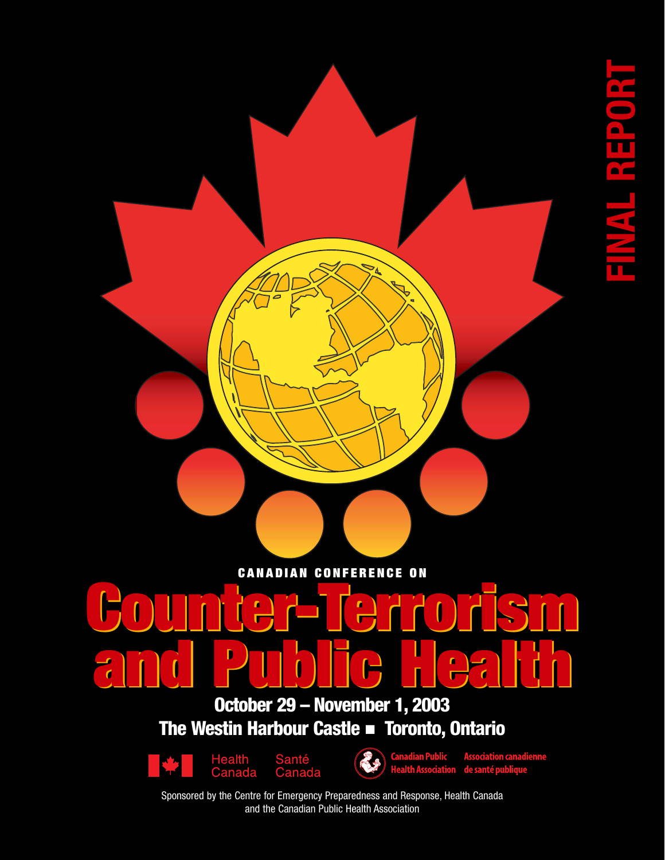**CANADIAN CONFERENCE ON** 

# **Counter-Terrorism and Public Health Counter-Terrorism and Public Health**

**October 29 – November 1, 2003 The Westin Harbour Castle ■ Toronto, Ontario** 





Health Association de santé publique

Sponsored by the Centre for Emergency Preparedness and Response, Health Canada and the Canadian Public Health Association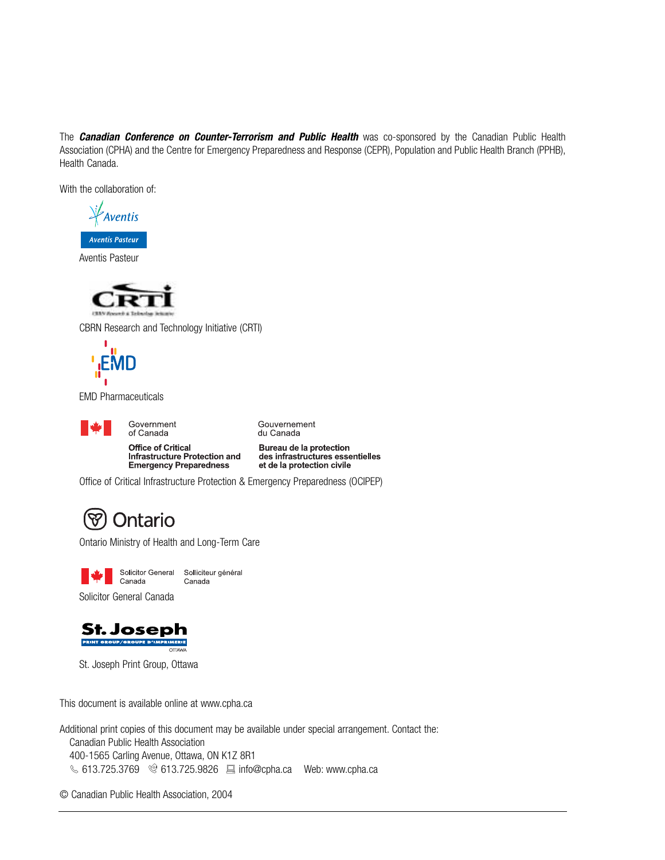The *Canadian Conference on Counter-Terrorism and Public Health* was co-sponsored by the Canadian Public Health Association (CPHA) and the Centre for Emergency Preparedness and Response (CEPR), Population and Public Health Branch (PPHB), Health Canada.

With the collaboration of:



Aventis Pasteur



CBRN Research and Technology Initiative (CRTI)



EMD Pharmaceuticals

**IVERSITE** 

Government of Canada

Gouvernement du Canada

**Office of Critical Infrastructure Protection and Emergency Preparedness** 

**Bureau de la protection** des infrastructures essentielles et de la protection civile

Office of Critical Infrastructure Protection & Emergency Preparedness (OCIPEP)



Ontario Ministry of Health and Long-Term Care



Solicitor General Solliciteur général Canada

Solicitor General Canada



St. Joseph Print Group, Ottawa

This document is available online at www.cpha.ca

Additional print copies of this document may be available under special arrangement. Contact the: Canadian Public Health Association 400-1565 Carling Avenue, Ottawa, ON K1Z 8R1  $\%$  613.725.3769  $\%$  613.725.9826  $\Box$  info@cpha.ca Web: www.cpha.ca

© Canadian Public Health Association, 2004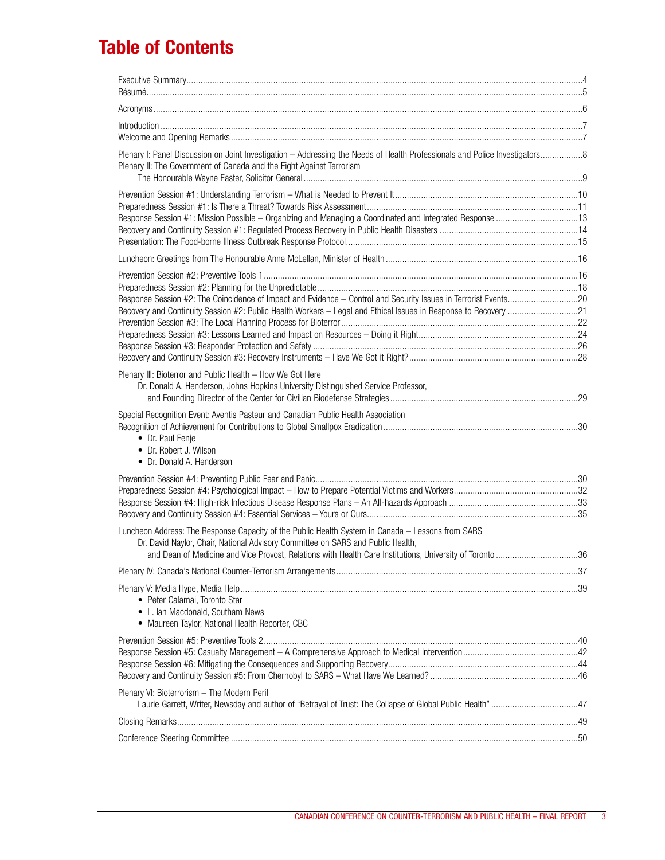## **Table of Contents**

| Plenary II: The Government of Canada and the Fight Against Terrorism                                                                                                                                                                                                                            |  |
|-------------------------------------------------------------------------------------------------------------------------------------------------------------------------------------------------------------------------------------------------------------------------------------------------|--|
|                                                                                                                                                                                                                                                                                                 |  |
|                                                                                                                                                                                                                                                                                                 |  |
| Recovery and Continuity Session #2: Public Health Workers - Legal and Ethical Issues in Response to Recovery 21                                                                                                                                                                                 |  |
| Plenary III: Bioterror and Public Health - How We Got Here<br>Dr. Donald A. Henderson, Johns Hopkins University Distinguished Service Professor,                                                                                                                                                |  |
| Special Recognition Event: Aventis Pasteur and Canadian Public Health Association<br>• Dr. Paul Fenje<br>• Dr. Robert J. Wilson<br>• Dr. Donald A. Henderson                                                                                                                                    |  |
|                                                                                                                                                                                                                                                                                                 |  |
| Luncheon Address: The Response Capacity of the Public Health System in Canada - Lessons from SARS<br>Dr. David Naylor, Chair, National Advisory Committee on SARS and Public Health,<br>and Dean of Medicine and Vice Provost, Relations with Health Care Institutions, University of Toronto36 |  |
|                                                                                                                                                                                                                                                                                                 |  |
| • Peter Calamai, Toronto Star<br>• L. lan Macdonald, Southam News<br>• Maureen Taylor, National Health Reporter, CBC                                                                                                                                                                            |  |
|                                                                                                                                                                                                                                                                                                 |  |
| Plenary VI: Bioterrorism - The Modern Peril                                                                                                                                                                                                                                                     |  |
|                                                                                                                                                                                                                                                                                                 |  |
|                                                                                                                                                                                                                                                                                                 |  |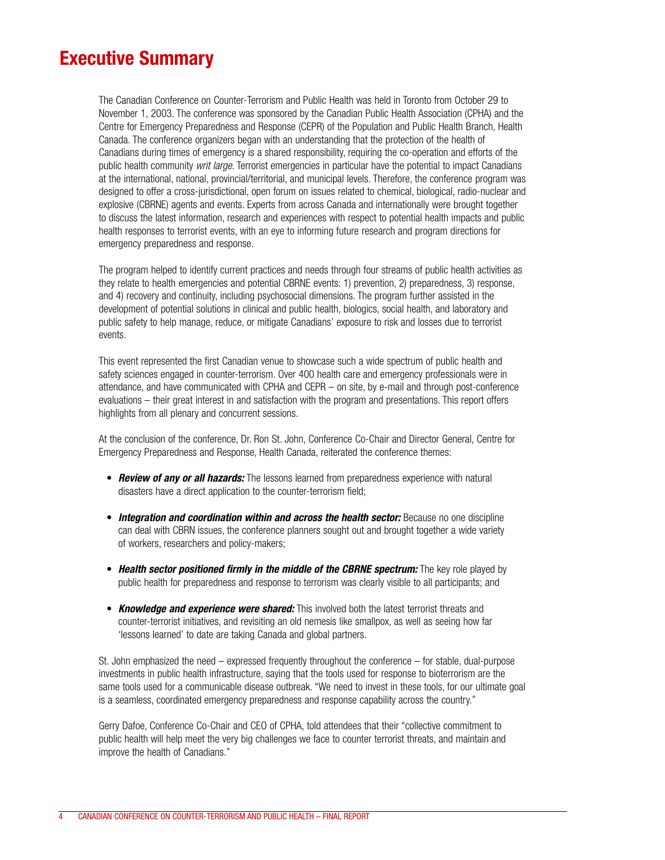## **Executive Summary**

The Canadian Conference on Counter-Terrorism and Public Health was held in Toronto from October 29 to November 1, 2003. The conference was sponsored by the Canadian Public Health Association (CPHA) and the Centre for Emergency Preparedness and Response (CEPR) of the Population and Public Health Branch, Health Canada. The conference organizers began with an understanding that the protection of the health of Canadians during times of emergency is a shared responsibility, requiring the co-operation and efforts of the public health community *writ large*. Terrorist emergencies in particular have the potential to impact Canadians at the international, national, provincial/territorial, and municipal levels. Therefore, the conference program was designed to offer a cross-jurisdictional, open forum on issues related to chemical, biological, radio-nuclear and explosive (CBRNE) agents and events. Experts from across Canada and internationally were brought together to discuss the latest information, research and experiences with respect to potential health impacts and public health responses to terrorist events, with an eye to informing future research and program directions for emergency preparedness and response.

The program helped to identify current practices and needs through four streams of public health activities as they relate to health emergencies and potential CBRNE events: 1) prevention, 2) preparedness, 3) response, and 4) recovery and continuity, including psychosocial dimensions. The program further assisted in the development of potential solutions in clinical and public health, biologics, social health, and laboratory and public safety to help manage, reduce, or mitigate Canadians' exposure to risk and losses due to terrorist events.

This event represented the first Canadian venue to showcase such a wide spectrum of public health and safety sciences engaged in counter-terrorism. Over 400 health care and emergency professionals were in attendance, and have communicated with CPHA and CEPR – on site, by e-mail and through post-conference evaluations – their great interest in and satisfaction with the program and presentations. This report offers highlights from all plenary and concurrent sessions.

At the conclusion of the conference, Dr. Ron St. John, Conference Co-Chair and Director General, Centre for Emergency Preparedness and Response, Health Canada, reiterated the conference themes:

- *Review of any or all hazards:* The lessons learned from preparedness experience with natural disasters have a direct application to the counter-terrorism field;
- **Integration and coordination within and across the health sector:** Because no one discipline can deal with CBRN issues, the conference planners sought out and brought together a wide variety of workers, researchers and policy-makers;
- *Health sector positioned firmly in the middle of the CBRNE spectrum:* The key role played by public health for preparedness and response to terrorism was clearly visible to all participants; and
- *Knowledge and experience were shared:* This involved both the latest terrorist threats and counter-terrorist initiatives, and revisiting an old nemesis like smallpox, as well as seeing how far 'lessons learned' to date are taking Canada and global partners.

St. John emphasized the need – expressed frequently throughout the conference – for stable, dual-purpose investments in public health infrastructure, saying that the tools used for response to bioterrorism are the same tools used for a communicable disease outbreak. "We need to invest in these tools, for our ultimate goal is a seamless, coordinated emergency preparedness and response capability across the country."

Gerry Dafoe, Conference Co-Chair and CEO of CPHA, told attendees that their "collective commitment to public health will help meet the very big challenges we face to counter terrorist threats, and maintain and improve the health of Canadians."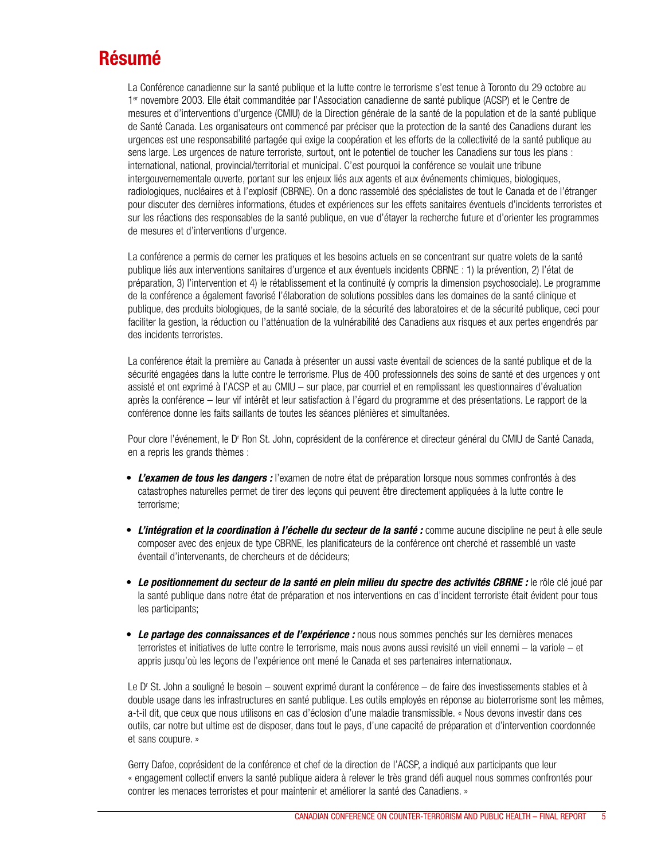## **Résumé**

La Conférence canadienne sur la santé publique et la lutte contre le terrorisme s'est tenue à Toronto du 29 octobre au 1<sup>er</sup> novembre 2003. Elle était commanditée par l'Association canadienne de santé publique (ACSP) et le Centre de mesures et d'interventions d'urgence (CMIU) de la Direction générale de la santé de la population et de la santé publique de Santé Canada. Les organisateurs ont commencé par préciser que la protection de la santé des Canadiens durant les urgences est une responsabilité partagée qui exige la coopération et les efforts de la collectivité de la santé publique au sens large. Les urgences de nature terroriste, surtout, ont le potentiel de toucher les Canadiens sur tous les plans : international, national, provincial/territorial et municipal. C'est pourquoi la conférence se voulait une tribune intergouvernementale ouverte, portant sur les enjeux liés aux agents et aux événements chimiques, biologiques, radiologiques, nucléaires et à l'explosif (CBRNE). On a donc rassemblé des spécialistes de tout le Canada et de l'étranger pour discuter des dernières informations, études et expériences sur les effets sanitaires éventuels d'incidents terroristes et sur les réactions des responsables de la santé publique, en vue d'étayer la recherche future et d'orienter les programmes de mesures et d'interventions d'urgence.

La conférence a permis de cerner les pratiques et les besoins actuels en se concentrant sur quatre volets de la santé publique liés aux interventions sanitaires d'urgence et aux éventuels incidents CBRNE : 1) la prévention, 2) l'état de préparation, 3) l'intervention et 4) le rétablissement et la continuité (y compris la dimension psychosociale). Le programme de la conférence a également favorisé l'élaboration de solutions possibles dans les domaines de la santé clinique et publique, des produits biologiques, de la santé sociale, de la sécurité des laboratoires et de la sécurité publique, ceci pour faciliter la gestion, la réduction ou l'atténuation de la vulnérabilité des Canadiens aux risques et aux pertes engendrés par des incidents terroristes.

La conférence était la première au Canada à présenter un aussi vaste éventail de sciences de la santé publique et de la sécurité engagées dans la lutte contre le terrorisme. Plus de 400 professionnels des soins de santé et des urgences y ont assisté et ont exprimé à l'ACSP et au CMIU – sur place, par courriel et en remplissant les questionnaires d'évaluation après la conférence – leur vif intérêt et leur satisfaction à l'égard du programme et des présentations. Le rapport de la conférence donne les faits saillants de toutes les séances plénières et simultanées.

Pour clore l'événement, le Dr Ron St. John, coprésident de la conférence et directeur général du CMIU de Santé Canada, en a repris les grands thèmes :

- *L'examen de tous les dangers :* l'examen de notre état de préparation lorsque nous sommes confrontés à des catastrophes naturelles permet de tirer des leçons qui peuvent être directement appliquées à la lutte contre le terrorisme;
- *L'intégration et la coordination à l'échelle du secteur de la santé :* comme aucune discipline ne peut à elle seule composer avec des enjeux de type CBRNE, les planificateurs de la conférence ont cherché et rassemblé un vaste éventail d'intervenants, de chercheurs et de décideurs;
- *Le positionnement du secteur de la santé en plein milieu du spectre des activités CBRNE :* le rôle clé joué par la santé publique dans notre état de préparation et nos interventions en cas d'incident terroriste était évident pour tous les participants;
- *Le partage des connaissances et de l'expérience :* nous nous sommes penchés sur les dernières menaces terroristes et initiatives de lutte contre le terrorisme, mais nous avons aussi revisité un vieil ennemi – la variole – et appris jusqu'où les leçons de l'expérience ont mené le Canada et ses partenaires internationaux.

Le D<sup>r</sup> St. John a souligné le besoin – souvent exprimé durant la conférence – de faire des investissements stables et à double usage dans les infrastructures en santé publique. Les outils employés en réponse au bioterrorisme sont les mêmes, a-t-il dit, que ceux que nous utilisons en cas d'éclosion d'une maladie transmissible. « Nous devons investir dans ces outils, car notre but ultime est de disposer, dans tout le pays, d'une capacité de préparation et d'intervention coordonnée et sans coupure. »

Gerry Dafoe, coprésident de la conférence et chef de la direction de l'ACSP, a indiqué aux participants que leur « engagement collectif envers la santé publique aidera à relever le très grand défi auquel nous sommes confrontés pour contrer les menaces terroristes et pour maintenir et améliorer la santé des Canadiens. »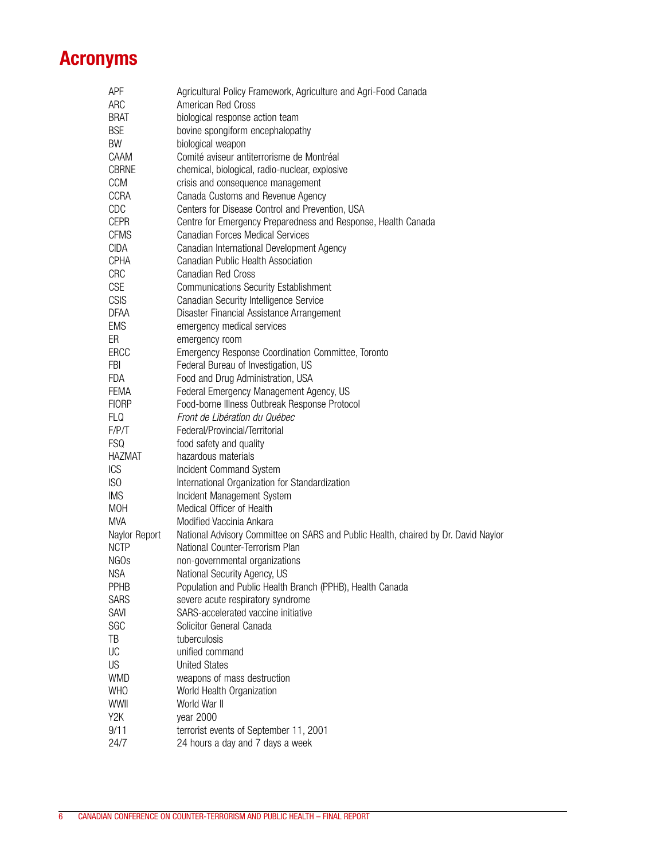## **Acronyms**

| APF             | Agricultural Policy Framework, Agriculture and Agri-Food Canada                    |
|-----------------|------------------------------------------------------------------------------------|
| ARC             | American Red Cross                                                                 |
| <b>BRAT</b>     | biological response action team                                                    |
| <b>BSE</b>      | bovine spongiform encephalopathy                                                   |
| BW              | biological weapon                                                                  |
| CAAM            | Comité aviseur antiterrorisme de Montréal                                          |
| <b>CBRNE</b>    | chemical, biological, radio-nuclear, explosive                                     |
| CCM             | crisis and consequence management                                                  |
| <b>CCRA</b>     | Canada Customs and Revenue Agency                                                  |
| CDC             | Centers for Disease Control and Prevention, USA                                    |
| <b>CEPR</b>     | Centre for Emergency Preparedness and Response, Health Canada                      |
| <b>CFMS</b>     | <b>Canadian Forces Medical Services</b>                                            |
| <b>CIDA</b>     | Canadian International Development Agency                                          |
| CPHA            | Canadian Public Health Association                                                 |
| <b>CRC</b>      | <b>Canadian Red Cross</b>                                                          |
|                 |                                                                                    |
| <b>CSE</b>      | <b>Communications Security Establishment</b>                                       |
| <b>CSIS</b>     | Canadian Security Intelligence Service                                             |
| <b>DFAA</b>     | Disaster Financial Assistance Arrangement                                          |
| <b>EMS</b>      | emergency medical services                                                         |
| ER              | emergency room                                                                     |
| ERCC            | Emergency Response Coordination Committee, Toronto                                 |
| <b>FBI</b>      | Federal Bureau of Investigation, US                                                |
| <b>FDA</b>      | Food and Drug Administration, USA                                                  |
| <b>FEMA</b>     | Federal Emergency Management Agency, US                                            |
| <b>FIORP</b>    | Food-borne Illness Outbreak Response Protocol                                      |
| FLQ             | Front de Libération du Québec                                                      |
| F/P/T           | Federal/Provincial/Territorial                                                     |
| <b>FSQ</b>      | food safety and quality                                                            |
| <b>HAZMAT</b>   | hazardous materials                                                                |
| <b>ICS</b>      | Incident Command System                                                            |
| IS <sub>0</sub> | International Organization for Standardization                                     |
| <b>IMS</b>      | Incident Management System                                                         |
| <b>MOH</b>      | Medical Officer of Health                                                          |
| <b>MVA</b>      | Modified Vaccinia Ankara                                                           |
| Naylor Report   | National Advisory Committee on SARS and Public Health, chaired by Dr. David Naylor |
| <b>NCTP</b>     | National Counter-Terrorism Plan                                                    |
| <b>NGOs</b>     | non-governmental organizations                                                     |
| <b>NSA</b>      | National Security Agency, US                                                       |
| PPHB            | Population and Public Health Branch (PPHB), Health Canada                          |
| <b>SARS</b>     | severe acute respiratory syndrome                                                  |
| SAVI            | SARS-accelerated vaccine initiative                                                |
| SGC             | Solicitor General Canada                                                           |
| TB              | tuberculosis                                                                       |
| UC              | unified command                                                                    |
| US              | <b>United States</b>                                                               |
| <b>WMD</b>      | weapons of mass destruction                                                        |
| <b>WHO</b>      | World Health Organization                                                          |
| WWII            | World War II                                                                       |
| Y2K             | year 2000                                                                          |
| 9/11            | terrorist events of September 11, 2001                                             |
| 24/7            | 24 hours a day and 7 days a week                                                   |
|                 |                                                                                    |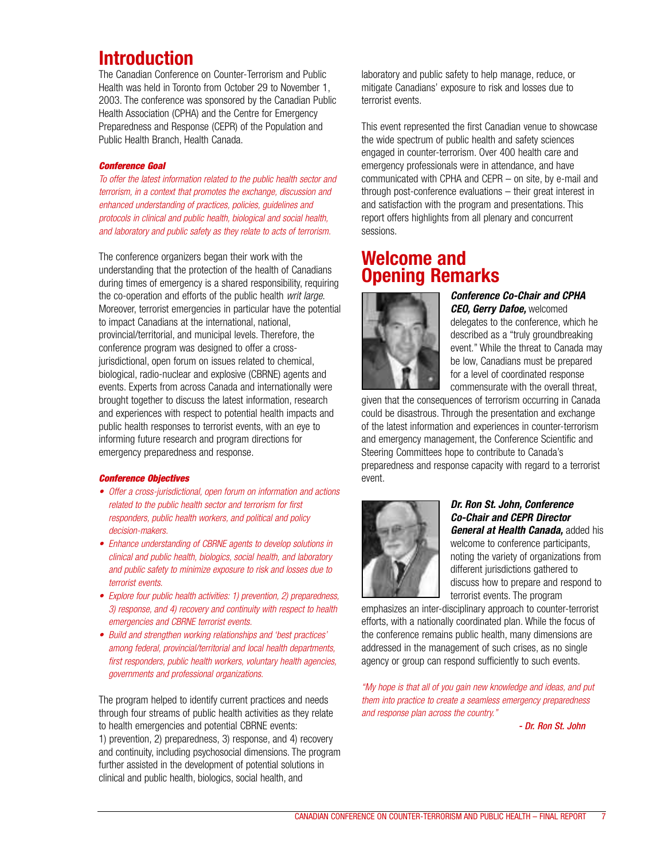## **Introduction**

The Canadian Conference on Counter-Terrorism and Public Health was held in Toronto from October 29 to November 1, 2003. The conference was sponsored by the Canadian Public Health Association (CPHA) and the Centre for Emergency Preparedness and Response (CEPR) of the Population and Public Health Branch, Health Canada.

### *Conference Goal*

*To offer the latest information related to the public health sector and terrorism, in a context that promotes the exchange, discussion and enhanced understanding of practices, policies, guidelines and protocols in clinical and public health, biological and social health, and laboratory and public safety as they relate to acts of terrorism.*

The conference organizers began their work with the understanding that the protection of the health of Canadians during times of emergency is a shared responsibility, requiring the co-operation and efforts of the public health *writ large*. Moreover, terrorist emergencies in particular have the potential to impact Canadians at the international, national, provincial/territorial, and municipal levels. Therefore, the conference program was designed to offer a crossjurisdictional, open forum on issues related to chemical. biological, radio-nuclear and explosive (CBRNE) agents and events. Experts from across Canada and internationally were brought together to discuss the latest information, research and experiences with respect to potential health impacts and public health responses to terrorist events, with an eye to informing future research and program directions for emergency preparedness and response.

### *Conference Objectives*

- *Offer a cross-jurisdictional, open forum on information and actions related to the public health sector and terrorism for first responders, public health workers, and political and policy decision-makers.*
- *• Enhance understanding of CBRNE agents to develop solutions in clinical and public health, biologics, social health, and laboratory and public safety to minimize exposure to risk and losses due to terrorist events.*
- *• Explore four public health activities: 1) prevention, 2) preparedness, 3) response, and 4) recovery and continuity with respect to health emergencies and CBRNE terrorist events.*
- *• Build and strengthen working relationships and 'best practices' among federal, provincial/territorial and local health departments, first responders, public health workers, voluntary health agencies, governments and professional organizations.*

The program helped to identify current practices and needs through four streams of public health activities as they relate to health emergencies and potential CBRNE events: 1) prevention, 2) preparedness, 3) response, and 4) recovery and continuity, including psychosocial dimensions. The program further assisted in the development of potential solutions in clinical and public health, biologics, social health, and

laboratory and public safety to help manage, reduce, or mitigate Canadians' exposure to risk and losses due to terrorist events.

This event represented the first Canadian venue to showcase the wide spectrum of public health and safety sciences engaged in counter-terrorism. Over 400 health care and emergency professionals were in attendance, and have communicated with CPHA and CEPR – on site, by e-mail and through post-conference evaluations – their great interest in and satisfaction with the program and presentations. This report offers highlights from all plenary and concurrent sessions.

## **Welcome and Opening Remarks**



### *Conference Co-Chair and CPHA CEO, Gerry Dafoe,* welcomed

delegates to the conference, which he described as a "truly groundbreaking event." While the threat to Canada may be low, Canadians must be prepared for a level of coordinated response commensurate with the overall threat,

given that the consequences of terrorism occurring in Canada could be disastrous. Through the presentation and exchange of the latest information and experiences in counter-terrorism and emergency management, the Conference Scientific and Steering Committees hope to contribute to Canada's preparedness and response capacity with regard to a terrorist event.



### *Dr. Ron St. John, Conference Co-Chair and CEPR Director General at Health Canada,* added his welcome to conference participants, noting the variety of organizations from different jurisdictions gathered to discuss how to prepare and respond to terrorist events. The program

emphasizes an inter-disciplinary approach to counter-terrorist efforts, with a nationally coordinated plan. While the focus of the conference remains public health, many dimensions are addressed in the management of such crises, as no single agency or group can respond sufficiently to such events.

*"My hope is that all of you gain new knowledge and ideas, and put them into practice to create a seamless emergency preparedness and response plan across the country."*

*- Dr. Ron St. John*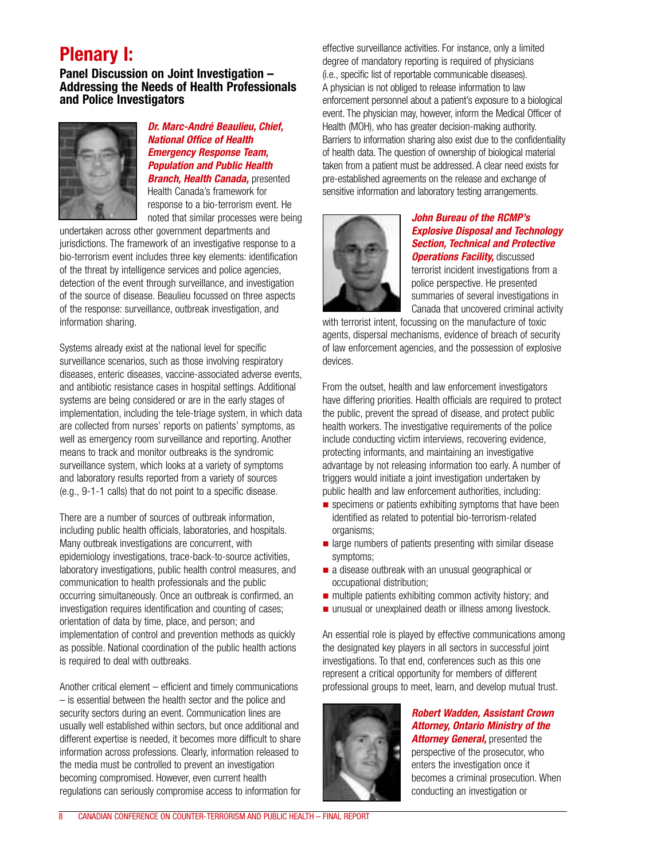## **Plenary I:**

### **Panel Discussion on Joint Investigation – Addressing the Needs of Health Professionals and Police Investigators**



*Dr. Marc-André Beaulieu, Chief, National Office of Health Emergency Response Team, Population and Public Health Branch, Health Canada,* presented Health Canada's framework for response to a bio-terrorism event. He noted that similar processes were being

undertaken across other government departments and jurisdictions. The framework of an investigative response to a bio-terrorism event includes three key elements: identification of the threat by intelligence services and police agencies, detection of the event through surveillance, and investigation of the source of disease. Beaulieu focussed on three aspects of the response: surveillance, outbreak investigation, and information sharing.

Systems already exist at the national level for specific surveillance scenarios, such as those involving respiratory diseases, enteric diseases, vaccine-associated adverse events, and antibiotic resistance cases in hospital settings. Additional systems are being considered or are in the early stages of implementation, including the tele-triage system, in which data are collected from nurses' reports on patients' symptoms, as well as emergency room surveillance and reporting. Another means to track and monitor outbreaks is the syndromic surveillance system, which looks at a variety of symptoms and laboratory results reported from a variety of sources (e.g., 9-1-1 calls) that do not point to a specific disease.

There are a number of sources of outbreak information, including public health officials, laboratories, and hospitals. Many outbreak investigations are concurrent, with epidemiology investigations, trace-back-to-source activities, laboratory investigations, public health control measures, and communication to health professionals and the public occurring simultaneously. Once an outbreak is confirmed, an investigation requires identification and counting of cases; orientation of data by time, place, and person; and implementation of control and prevention methods as quickly as possible. National coordination of the public health actions is required to deal with outbreaks.

Another critical element – efficient and timely communications – is essential between the health sector and the police and security sectors during an event. Communication lines are usually well established within sectors, but once additional and different expertise is needed, it becomes more difficult to share information across professions. Clearly, information released to the media must be controlled to prevent an investigation becoming compromised. However, even current health regulations can seriously compromise access to information for

effective surveillance activities. For instance, only a limited degree of mandatory reporting is required of physicians (i.e., specific list of reportable communicable diseases). A physician is not obliged to release information to law enforcement personnel about a patient's exposure to a biological event. The physician may, however, inform the Medical Officer of Health (MOH), who has greater decision-making authority. Barriers to information sharing also exist due to the confidentiality of health data. The question of ownership of biological material taken from a patient must be addressed. A clear need exists for pre-established agreements on the release and exchange of sensitive information and laboratory testing arrangements.



### *John Bureau of the RCMP's Explosive Disposal and Technology Section, Technical and Protective* **Operations Facility, discussed** terrorist incident investigations from a

police perspective. He presented summaries of several investigations in Canada that uncovered criminal activity

with terrorist intent, focussing on the manufacture of toxic agents, dispersal mechanisms, evidence of breach of security of law enforcement agencies, and the possession of explosive devices.

From the outset, health and law enforcement investigators have differing priorities. Health officials are required to protect the public, prevent the spread of disease, and protect public health workers. The investigative requirements of the police include conducting victim interviews, recovering evidence, protecting informants, and maintaining an investigative advantage by not releasing information too early. A number of triggers would initiate a joint investigation undertaken by public health and law enforcement authorities, including:

- $\blacksquare$  specimens or patients exhibiting symptoms that have been identified as related to potential bio-terrorism-related organisms;
- $\blacksquare$  large numbers of patients presenting with similar disease symptoms;
- $\blacksquare$  a disease outbreak with an unusual geographical or occupational distribution;
- $\blacksquare$  multiple patients exhibiting common activity history; and
- $\blacksquare$  unusual or unexplained death or illness among livestock.

An essential role is played by effective communications among the designated key players in all sectors in successful joint investigations. To that end, conferences such as this one represent a critical opportunity for members of different professional groups to meet, learn, and develop mutual trust.



*Robert Wadden, Assistant Crown Attorney, Ontario Ministry of the Attorney General,* presented the perspective of the prosecutor, who enters the investigation once it becomes a criminal prosecution. When conducting an investigation or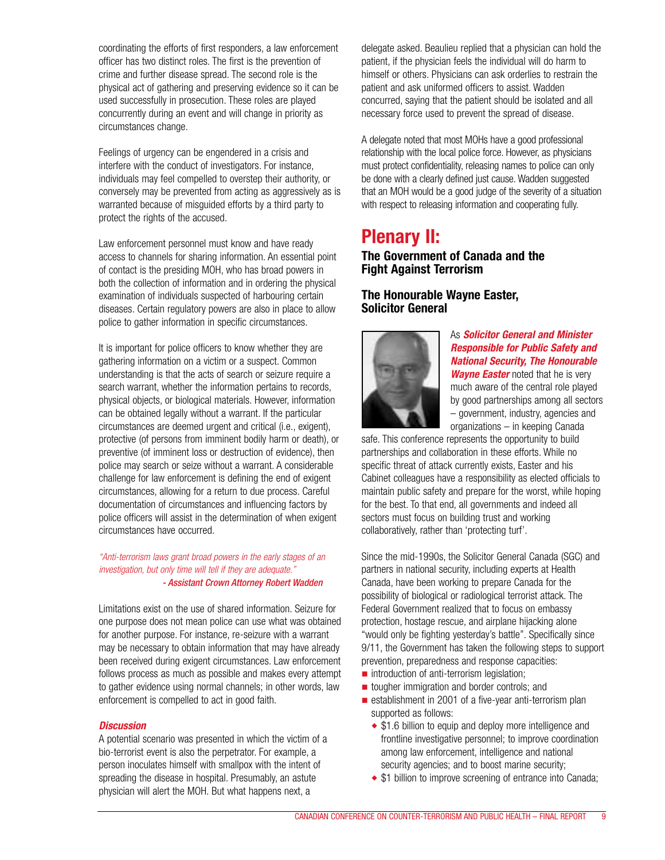coordinating the efforts of first responders, a law enforcement officer has two distinct roles. The first is the prevention of crime and further disease spread. The second role is the physical act of gathering and preserving evidence so it can be used successfully in prosecution. These roles are played concurrently during an event and will change in priority as circumstances change.

Feelings of urgency can be engendered in a crisis and interfere with the conduct of investigators. For instance, individuals may feel compelled to overstep their authority, or conversely may be prevented from acting as aggressively as is warranted because of misguided efforts by a third party to protect the rights of the accused.

Law enforcement personnel must know and have ready access to channels for sharing information. An essential point of contact is the presiding MOH, who has broad powers in both the collection of information and in ordering the physical examination of individuals suspected of harbouring certain diseases. Certain regulatory powers are also in place to allow police to gather information in specific circumstances.

It is important for police officers to know whether they are gathering information on a victim or a suspect. Common understanding is that the acts of search or seizure require a search warrant, whether the information pertains to records, physical objects, or biological materials. However, information can be obtained legally without a warrant. If the particular circumstances are deemed urgent and critical (i.e., exigent), protective (of persons from imminent bodily harm or death), or preventive (of imminent loss or destruction of evidence), then police may search or seize without a warrant. A considerable challenge for law enforcement is defining the end of exigent circumstances, allowing for a return to due process. Careful documentation of circumstances and influencing factors by police officers will assist in the determination of when exigent circumstances have occurred.

### *"Anti-terrorism laws grant broad powers in the early stages of an investigation, but only time will tell if they are adequate." - Assistant Crown Attorney Robert Wadden*

Limitations exist on the use of shared information. Seizure for one purpose does not mean police can use what was obtained for another purpose. For instance, re-seizure with a warrant may be necessary to obtain information that may have already been received during exigent circumstances. Law enforcement follows process as much as possible and makes every attempt to gather evidence using normal channels; in other words, law enforcement is compelled to act in good faith.

### *Discussion*

A potential scenario was presented in which the victim of a bio-terrorist event is also the perpetrator. For example, a person inoculates himself with smallpox with the intent of spreading the disease in hospital. Presumably, an astute physician will alert the MOH. But what happens next, a

delegate asked. Beaulieu replied that a physician can hold the patient, if the physician feels the individual will do harm to himself or others. Physicians can ask orderlies to restrain the patient and ask uniformed officers to assist. Wadden concurred, saying that the patient should be isolated and all necessary force used to prevent the spread of disease.

A delegate noted that most MOHs have a good professional relationship with the local police force. However, as physicians must protect confidentiality, releasing names to police can only be done with a clearly defined just cause. Wadden suggested that an MOH would be a good judge of the severity of a situation with respect to releasing information and cooperating fully.

## **Plenary II:**

### **The Government of Canada and the Fight Against Terrorism**

### **The Honourable Wayne Easter, Solicitor General**



### As *Solicitor General and Minister Responsible for Public Safety and National Security, The Honourable Wayne Easter* noted that he is very

much aware of the central role played by good partnerships among all sectors – government, industry, agencies and

organizations – in keeping Canada

safe. This conference represents the opportunity to build partnerships and collaboration in these efforts. While no specific threat of attack currently exists, Easter and his Cabinet colleagues have a responsibility as elected officials to maintain public safety and prepare for the worst, while hoping for the best. To that end, all governments and indeed all sectors must focus on building trust and working collaboratively, rather than 'protecting turf'.

Since the mid-1990s, the Solicitor General Canada (SGC) and partners in national security, including experts at Health Canada, have been working to prepare Canada for the possibility of biological or radiological terrorist attack. The Federal Government realized that to focus on embassy protection, hostage rescue, and airplane hijacking alone "would only be fighting yesterday's battle". Specifically since 9/11, the Government has taken the following steps to support prevention, preparedness and response capacities:

- $\blacksquare$  introduction of anti-terrorism legislation;
- $\blacksquare$  tougher immigration and border controls; and
- $\blacksquare$  establishment in 2001 of a five-year anti-terrorism plan supported as follows:
	- ◆ \$1.6 billion to equip and deploy more intelligence and frontline investigative personnel; to improve coordination among law enforcement, intelligence and national security agencies; and to boost marine security;
	- ◆ \$1 billion to improve screening of entrance into Canada;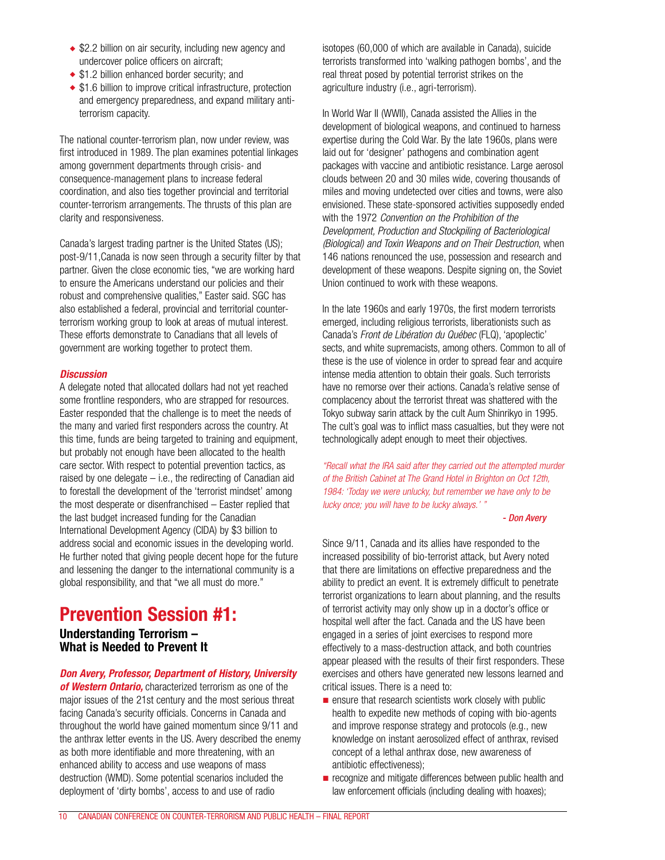- ◆ \$2.2 billion on air security, including new agency and undercover police officers on aircraft;
- ◆ \$1.2 billion enhanced border security; and
- ◆ \$1.6 billion to improve critical infrastructure, protection and emergency preparedness, and expand military antiterrorism capacity.

The national counter-terrorism plan, now under review, was first introduced in 1989. The plan examines potential linkages among government departments through crisis- and consequence-management plans to increase federal coordination, and also ties together provincial and territorial counter-terrorism arrangements. The thrusts of this plan are clarity and responsiveness.

Canada's largest trading partner is the United States (US); post-9/11,Canada is now seen through a security filter by that partner. Given the close economic ties, "we are working hard to ensure the Americans understand our policies and their robust and comprehensive qualities," Easter said. SGC has also established a federal, provincial and territorial counterterrorism working group to look at areas of mutual interest. These efforts demonstrate to Canadians that all levels of government are working together to protect them.

### *Discussion*

A delegate noted that allocated dollars had not yet reached some frontline responders, who are strapped for resources. Easter responded that the challenge is to meet the needs of the many and varied first responders across the country. At this time, funds are being targeted to training and equipment, but probably not enough have been allocated to the health care sector. With respect to potential prevention tactics, as raised by one delegate  $-$  i.e., the redirecting of Canadian aid to forestall the development of the 'terrorist mindset' among the most desperate or disenfranchised – Easter replied that the last budget increased funding for the Canadian International Development Agency (CIDA) by \$3 billion to address social and economic issues in the developing world. He further noted that giving people decent hope for the future and lessening the danger to the international community is a global responsibility, and that "we all must do more."

## **Prevention Session #1:**

### **Understanding Terrorism – What is Needed to Prevent It**

*Don Avery, Professor, Department of History, University*

*of Western Ontario,* characterized terrorism as one of the major issues of the 21st century and the most serious threat facing Canada's security officials. Concerns in Canada and throughout the world have gained momentum since 9/11 and the anthrax letter events in the US. Avery described the enemy as both more identifiable and more threatening, with an enhanced ability to access and use weapons of mass destruction (WMD). Some potential scenarios included the deployment of 'dirty bombs', access to and use of radio

isotopes (60,000 of which are available in Canada), suicide terrorists transformed into 'walking pathogen bombs', and the real threat posed by potential terrorist strikes on the agriculture industry (i.e., agri-terrorism).

In World War II (WWII), Canada assisted the Allies in the development of biological weapons, and continued to harness expertise during the Cold War. By the late 1960s, plans were laid out for 'designer' pathogens and combination agent packages with vaccine and antibiotic resistance. Large aerosol clouds between 20 and 30 miles wide, covering thousands of miles and moving undetected over cities and towns, were also envisioned. These state-sponsored activities supposedly ended with the 1972 *Convention on the Prohibition of the Development, Production and Stockpiling of Bacteriological (Biological) and Toxin Weapons and on Their Destruction*, when 146 nations renounced the use, possession and research and development of these weapons. Despite signing on, the Soviet Union continued to work with these weapons.

In the late 1960s and early 1970s, the first modern terrorists emerged, including religious terrorists, liberationists such as Canada's *Front de Libération du Québec* (FLQ), 'apoplectic' sects, and white supremacists, among others. Common to all of these is the use of violence in order to spread fear and acquire intense media attention to obtain their goals. Such terrorists have no remorse over their actions. Canada's relative sense of complacency about the terrorist threat was shattered with the Tokyo subway sarin attack by the cult Aum Shinrikyo in 1995. The cult's goal was to inflict mass casualties, but they were not technologically adept enough to meet their objectives.

*"Recall what the IRA said after they carried out the attempted murder of the British Cabinet at The Grand Hotel in Brighton on Oct 12th, 1984: 'Today we were unlucky, but remember we have only to be lucky once; you will have to be lucky always.' "*

*- Don Avery*

Since 9/11, Canada and its allies have responded to the increased possibility of bio-terrorist attack, but Avery noted that there are limitations on effective preparedness and the ability to predict an event. It is extremely difficult to penetrate terrorist organizations to learn about planning, and the results of terrorist activity may only show up in a doctor's office or hospital well after the fact. Canada and the US have been engaged in a series of joint exercises to respond more effectively to a mass-destruction attack, and both countries appear pleased with the results of their first responders. These exercises and others have generated new lessons learned and critical issues. There is a need to:

- $\blacksquare$  ensure that research scientists work closely with public health to expedite new methods of coping with bio-agents and improve response strategy and protocols (e.g., new knowledge on instant aerosolized effect of anthrax, revised concept of a lethal anthrax dose, new awareness of antibiotic effectiveness);
- $\blacksquare$  recognize and mitigate differences between public health and law enforcement officials (including dealing with hoaxes);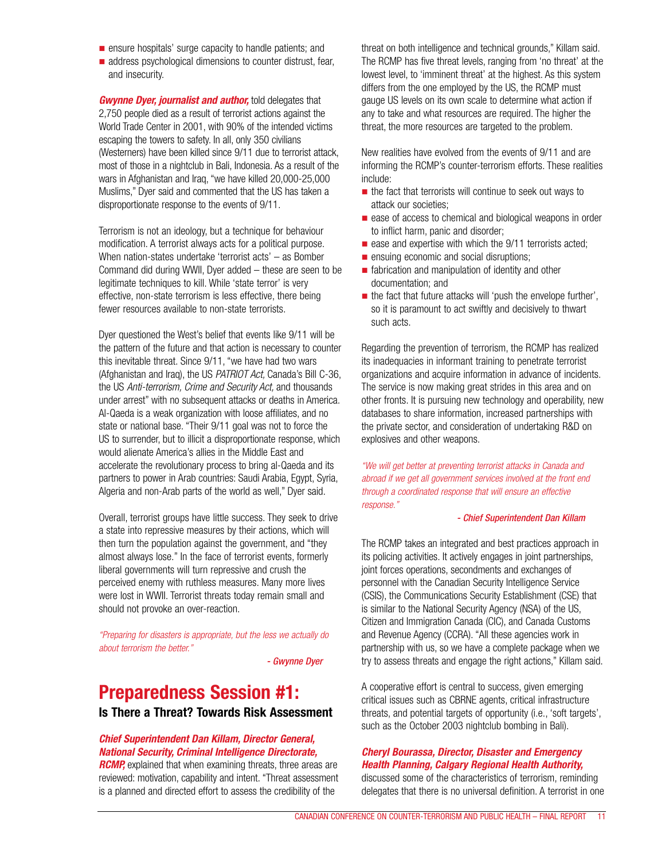- $\blacksquare$  ensure hospitals' surge capacity to handle patients; and
- $\blacksquare$  address psychological dimensions to counter distrust, fear, and insecurity.

*Gwynne Dyer, journalist and author,* told delegates that 2,750 people died as a result of terrorist actions against the World Trade Center in 2001, with 90% of the intended victims escaping the towers to safety. In all, only 350 civilians (Westerners) have been killed since 9/11 due to terrorist attack, most of those in a nightclub in Bali, Indonesia. As a result of the wars in Afghanistan and Iraq, "we have killed 20,000-25,000 Muslims," Dyer said and commented that the US has taken a disproportionate response to the events of 9/11.

Terrorism is not an ideology, but a technique for behaviour modification. A terrorist always acts for a political purpose. When nation-states undertake 'terrorist acts' – as Bomber Command did during WWII, Dyer added – these are seen to be legitimate techniques to kill. While 'state terror' is very effective, non-state terrorism is less effective, there being fewer resources available to non-state terrorists.

Dyer questioned the West's belief that events like 9/11 will be the pattern of the future and that action is necessary to counter this inevitable threat. Since 9/11, "we have had two wars (Afghanistan and Iraq), the US *PATRIOT Act,* Canada's Bill C-36, the US *Anti-terrorism, Crime and Security Act,* and thousands under arrest" with no subsequent attacks or deaths in America. Al-Qaeda is a weak organization with loose affiliates, and no state or national base. "Their 9/11 goal was not to force the US to surrender, but to illicit a disproportionate response, which would alienate America's allies in the Middle East and accelerate the revolutionary process to bring al-Qaeda and its partners to power in Arab countries: Saudi Arabia, Egypt, Syria, Algeria and non-Arab parts of the world as well," Dyer said.

Overall, terrorist groups have little success. They seek to drive a state into repressive measures by their actions, which will then turn the population against the government, and "they almost always lose." In the face of terrorist events, formerly liberal governments will turn repressive and crush the perceived enemy with ruthless measures. Many more lives were lost in WWII. Terrorist threats today remain small and should not provoke an over-reaction.

*"Preparing for disasters is appropriate, but the less we actually do about terrorism the better."*

*- Gwynne Dyer*

## **Preparedness Session #1: Is There a Threat? Towards Risk Assessment**

### *Chief Superintendent Dan Killam, Director General, National Security, Criminal Intelligence Directorate,*

**RCMP**, explained that when examining threats, three areas are reviewed: motivation, capability and intent. "Threat assessment is a planned and directed effort to assess the credibility of the

threat on both intelligence and technical grounds," Killam said. The RCMP has five threat levels, ranging from 'no threat' at the lowest level, to 'imminent threat' at the highest. As this system differs from the one employed by the US, the RCMP must gauge US levels on its own scale to determine what action if any to take and what resources are required. The higher the threat, the more resources are targeted to the problem.

New realities have evolved from the events of 9/11 and are informing the RCMP's counter-terrorism efforts. These realities include:

- $\blacksquare$  the fact that terrorists will continue to seek out ways to attack our societies;
- $\blacksquare$  ease of access to chemical and biological weapons in order to inflict harm, panic and disorder;
- $\blacksquare$  ease and expertise with which the 9/11 terrorists acted;
- $\blacksquare$  ensuing economic and social disruptions;
- $\blacksquare$  fabrication and manipulation of identity and other documentation; and
- $\blacksquare$  the fact that future attacks will 'push the envelope further', so it is paramount to act swiftly and decisively to thwart such acts.

Regarding the prevention of terrorism, the RCMP has realized its inadequacies in informant training to penetrate terrorist organizations and acquire information in advance of incidents. The service is now making great strides in this area and on other fronts. It is pursuing new technology and operability, new databases to share information, increased partnerships with the private sector, and consideration of undertaking R&D on explosives and other weapons.

*"We will get better at preventing terrorist attacks in Canada and abroad if we get all government services involved at the front end through a coordinated response that will ensure an effective response."*

#### *- Chief Superintendent Dan Killam*

The RCMP takes an integrated and best practices approach in its policing activities. It actively engages in joint partnerships, joint forces operations, secondments and exchanges of personnel with the Canadian Security Intelligence Service (CSIS), the Communications Security Establishment (CSE) that is similar to the National Security Agency (NSA) of the US, Citizen and Immigration Canada (CIC), and Canada Customs and Revenue Agency (CCRA). "All these agencies work in partnership with us, so we have a complete package when we try to assess threats and engage the right actions," Killam said.

A cooperative effort is central to success, given emerging critical issues such as CBRNE agents, critical infrastructure threats, and potential targets of opportunity (i.e., 'soft targets', such as the October 2003 nightclub bombing in Bali).

### *Cheryl Bourassa, Director, Disaster and Emergency Health Planning, Calgary Regional Health Authority,*

discussed some of the characteristics of terrorism, reminding delegates that there is no universal definition. A terrorist in one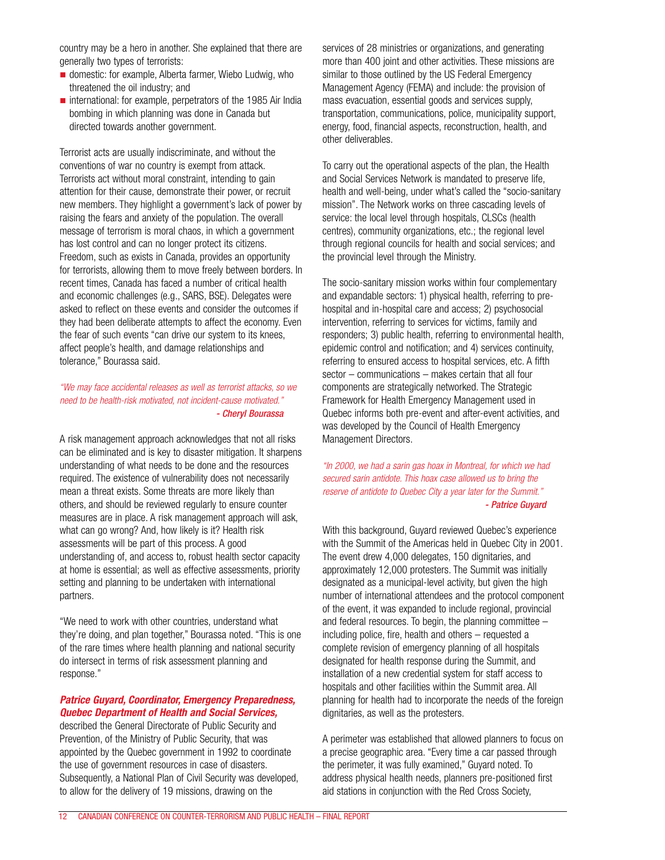country may be a hero in another. She explained that there are generally two types of terrorists:

- $\blacksquare$  domestic: for example, Alberta farmer, Wiebo Ludwig, who threatened the oil industry; and
- $\blacksquare$  international: for example, perpetrators of the 1985 Air India bombing in which planning was done in Canada but directed towards another government.

Terrorist acts are usually indiscriminate, and without the conventions of war no country is exempt from attack. Terrorists act without moral constraint, intending to gain attention for their cause, demonstrate their power, or recruit new members. They highlight a government's lack of power by raising the fears and anxiety of the population. The overall message of terrorism is moral chaos, in which a government has lost control and can no longer protect its citizens. Freedom, such as exists in Canada, provides an opportunity for terrorists, allowing them to move freely between borders. In recent times, Canada has faced a number of critical health and economic challenges (e.g., SARS, BSE). Delegates were asked to reflect on these events and consider the outcomes if they had been deliberate attempts to affect the economy. Even the fear of such events "can drive our system to its knees, affect people's health, and damage relationships and tolerance," Bourassa said.

### *"We may face accidental releases as well as terrorist attacks, so we need to be health-risk motivated, not incident-cause motivated." - Cheryl Bourassa*

A risk management approach acknowledges that not all risks can be eliminated and is key to disaster mitigation. It sharpens understanding of what needs to be done and the resources required. The existence of vulnerability does not necessarily mean a threat exists. Some threats are more likely than others, and should be reviewed regularly to ensure counter measures are in place. A risk management approach will ask, what can go wrong? And, how likely is it? Health risk assessments will be part of this process. A good understanding of, and access to, robust health sector capacity at home is essential; as well as effective assessments, priority setting and planning to be undertaken with international partners.

"We need to work with other countries, understand what they're doing, and plan together," Bourassa noted. "This is one of the rare times where health planning and national security do intersect in terms of risk assessment planning and response."

### *Patrice Guyard, Coordinator, Emergency Preparedness, Quebec Department of Health and Social Services,*

described the General Directorate of Public Security and Prevention, of the Ministry of Public Security, that was appointed by the Quebec government in 1992 to coordinate the use of government resources in case of disasters. Subsequently, a National Plan of Civil Security was developed, to allow for the delivery of 19 missions, drawing on the

services of 28 ministries or organizations, and generating more than 400 joint and other activities. These missions are similar to those outlined by the US Federal Emergency Management Agency (FEMA) and include: the provision of mass evacuation, essential goods and services supply, transportation, communications, police, municipality support, energy, food, financial aspects, reconstruction, health, and other deliverables.

To carry out the operational aspects of the plan, the Health and Social Services Network is mandated to preserve life, health and well-being, under what's called the "socio-sanitary mission". The Network works on three cascading levels of service: the local level through hospitals, CLSCs (health) centres), community organizations, etc.; the regional level through regional councils for health and social services; and the provincial level through the Ministry.

The socio-sanitary mission works within four complementary and expandable sectors: 1) physical health, referring to prehospital and in-hospital care and access; 2) psychosocial intervention, referring to services for victims, family and responders; 3) public health, referring to environmental health, epidemic control and notification; and 4) services continuity, referring to ensured access to hospital services, etc. A fifth sector – communications – makes certain that all four components are strategically networked. The Strategic Framework for Health Emergency Management used in Quebec informs both pre-event and after-event activities, and was developed by the Council of Health Emergency Management Directors.

*"In 2000, we had a sarin gas hoax in Montreal, for which we had secured sarin antidote. This hoax case allowed us to bring the reserve of antidote to Quebec City a year later for the Summit." - Patrice Guyard*

With this background, Guyard reviewed Quebec's experience with the Summit of the Americas held in Quebec City in 2001. The event drew 4,000 delegates, 150 dignitaries, and approximately 12,000 protesters. The Summit was initially designated as a municipal-level activity, but given the high number of international attendees and the protocol component of the event, it was expanded to include regional, provincial and federal resources. To begin, the planning committee – including police, fire, health and others – requested a complete revision of emergency planning of all hospitals designated for health response during the Summit, and installation of a new credential system for staff access to hospitals and other facilities within the Summit area. All planning for health had to incorporate the needs of the foreign dignitaries, as well as the protesters.

A perimeter was established that allowed planners to focus on a precise geographic area. "Every time a car passed through the perimeter, it was fully examined," Guyard noted. To address physical health needs, planners pre-positioned first aid stations in conjunction with the Red Cross Society,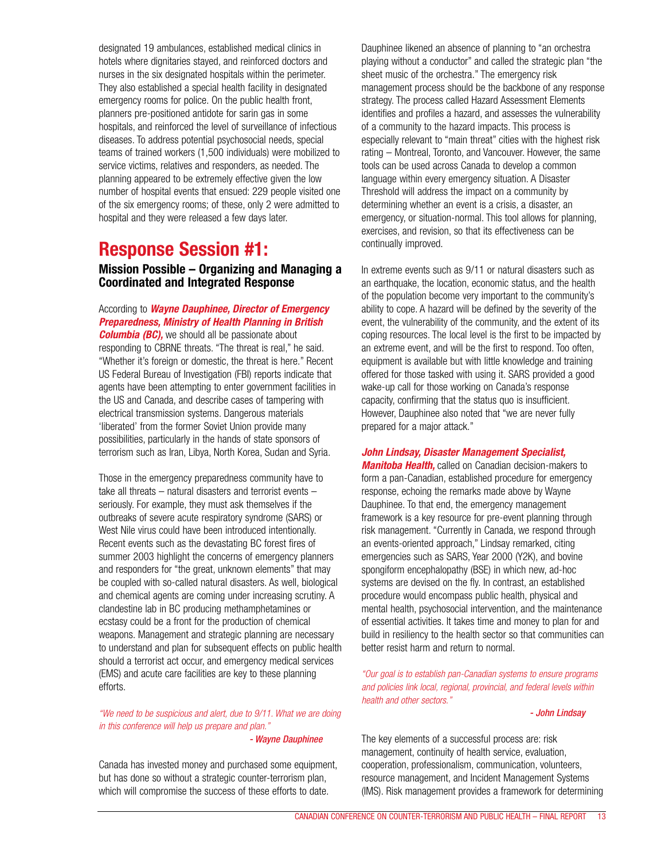designated 19 ambulances, established medical clinics in hotels where dignitaries stayed, and reinforced doctors and nurses in the six designated hospitals within the perimeter. They also established a special health facility in designated emergency rooms for police. On the public health front, planners pre-positioned antidote for sarin gas in some hospitals, and reinforced the level of surveillance of infectious diseases. To address potential psychosocial needs, special teams of trained workers (1,500 individuals) were mobilized to service victims, relatives and responders, as needed. The planning appeared to be extremely effective given the low number of hospital events that ensued: 229 people visited one of the six emergency rooms; of these, only 2 were admitted to hospital and they were released a few days later.

## **Response Session #1:**

### **Mission Possible – Organizing and Managing a Coordinated and Integrated Response**

According to *Wayne Dauphinee, Director of Emergency Preparedness, Ministry of Health Planning in British Columbia (BC),* we should all be passionate about responding to CBRNE threats. "The threat is real," he said. "Whether it's foreign or domestic, the threat is here." Recent US Federal Bureau of Investigation (FBI) reports indicate that agents have been attempting to enter government facilities in the US and Canada, and describe cases of tampering with electrical transmission systems. Dangerous materials 'liberated' from the former Soviet Union provide many possibilities, particularly in the hands of state sponsors of terrorism such as Iran, Libya, North Korea, Sudan and Syria.

Those in the emergency preparedness community have to take all threats – natural disasters and terrorist events – seriously. For example, they must ask themselves if the outbreaks of severe acute respiratory syndrome (SARS) or West Nile virus could have been introduced intentionally. Recent events such as the devastating BC forest fires of summer 2003 highlight the concerns of emergency planners and responders for "the great, unknown elements" that may be coupled with so-called natural disasters. As well, biological and chemical agents are coming under increasing scrutiny. A clandestine lab in BC producing methamphetamines or ecstasy could be a front for the production of chemical weapons. Management and strategic planning are necessary to understand and plan for subsequent effects on public health should a terrorist act occur, and emergency medical services (EMS) and acute care facilities are key to these planning efforts.

*"We need to be suspicious and alert, due to 9/11. What we are doing in this conference will help us prepare and plan."*

### *- Wayne Dauphinee*

Canada has invested money and purchased some equipment, but has done so without a strategic counter-terrorism plan, which will compromise the success of these efforts to date.

Dauphinee likened an absence of planning to "an orchestra playing without a conductor" and called the strategic plan "the sheet music of the orchestra." The emergency risk management process should be the backbone of any response strategy. The process called Hazard Assessment Elements identifies and profiles a hazard, and assesses the vulnerability of a community to the hazard impacts. This process is especially relevant to "main threat" cities with the highest risk rating – Montreal, Toronto, and Vancouver. However, the same tools can be used across Canada to develop a common language within every emergency situation. A Disaster Threshold will address the impact on a community by determining whether an event is a crisis, a disaster, an emergency, or situation-normal. This tool allows for planning, exercises, and revision, so that its effectiveness can be continually improved.

In extreme events such as 9/11 or natural disasters such as an earthquake, the location, economic status, and the health of the population become very important to the community's ability to cope. A hazard will be defined by the severity of the event, the vulnerability of the community, and the extent of its coping resources. The local level is the first to be impacted by an extreme event, and will be the first to respond. Too often, equipment is available but with little knowledge and training offered for those tasked with using it. SARS provided a good wake-up call for those working on Canada's response capacity, confirming that the status quo is insufficient. However, Dauphinee also noted that "we are never fully prepared for a major attack."

#### *John Lindsay, Disaster Management Specialist,*

*Manitoba Health,* called on Canadian decision-makers to form a pan-Canadian, established procedure for emergency response, echoing the remarks made above by Wayne Dauphinee. To that end, the emergency management framework is a key resource for pre-event planning through risk management. "Currently in Canada, we respond through an events-oriented approach," Lindsay remarked, citing emergencies such as SARS, Year 2000 (Y2K), and bovine spongiform encephalopathy (BSE) in which new, ad-hoc systems are devised on the fly. In contrast, an established procedure would encompass public health, physical and mental health, psychosocial intervention, and the maintenance of essential activities. It takes time and money to plan for and build in resiliency to the health sector so that communities can better resist harm and return to normal.

*"Our goal is to establish pan-Canadian systems to ensure programs and policies link local, regional, provincial, and federal levels within health and other sectors."*

#### *- John Lindsay*

The key elements of a successful process are: risk management, continuity of health service, evaluation, cooperation, professionalism, communication, volunteers, resource management, and Incident Management Systems (IMS). Risk management provides a framework for determining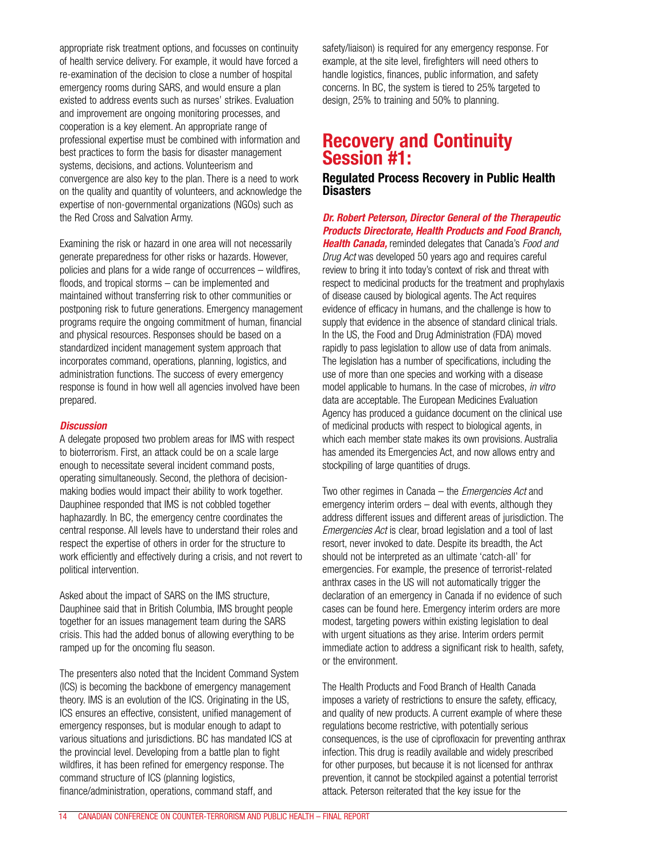appropriate risk treatment options, and focusses on continuity of health service delivery. For example, it would have forced a re-examination of the decision to close a number of hospital emergency rooms during SARS, and would ensure a plan existed to address events such as nurses' strikes. Evaluation and improvement are ongoing monitoring processes, and cooperation is a key element. An appropriate range of professional expertise must be combined with information and best practices to form the basis for disaster management systems, decisions, and actions. Volunteerism and convergence are also key to the plan. There is a need to work on the quality and quantity of volunteers, and acknowledge the expertise of non-governmental organizations (NGOs) such as the Red Cross and Salvation Army.

Examining the risk or hazard in one area will not necessarily generate preparedness for other risks or hazards. However, policies and plans for a wide range of occurrences – wildfires, floods, and tropical storms – can be implemented and maintained without transferring risk to other communities or postponing risk to future generations. Emergency management programs require the ongoing commitment of human, financial and physical resources. Responses should be based on a standardized incident management system approach that incorporates command, operations, planning, logistics, and administration functions. The success of every emergency response is found in how well all agencies involved have been prepared.

### *Discussion*

A delegate proposed two problem areas for IMS with respect to bioterrorism. First, an attack could be on a scale large enough to necessitate several incident command posts, operating simultaneously. Second, the plethora of decisionmaking bodies would impact their ability to work together. Dauphinee responded that IMS is not cobbled together haphazardly. In BC, the emergency centre coordinates the central response. All levels have to understand their roles and respect the expertise of others in order for the structure to work efficiently and effectively during a crisis, and not revert to political intervention.

Asked about the impact of SARS on the IMS structure, Dauphinee said that in British Columbia, IMS brought people together for an issues management team during the SARS crisis. This had the added bonus of allowing everything to be ramped up for the oncoming flu season.

The presenters also noted that the Incident Command System (ICS) is becoming the backbone of emergency management theory. IMS is an evolution of the ICS. Originating in the US, ICS ensures an effective, consistent, unified management of emergency responses, but is modular enough to adapt to various situations and jurisdictions. BC has mandated ICS at the provincial level. Developing from a battle plan to fight wildfires, it has been refined for emergency response. The command structure of ICS (planning logistics, finance/administration, operations, command staff, and

safety/liaison) is required for any emergency response. For example, at the site level, firefighters will need others to handle logistics, finances, public information, and safety concerns. In BC, the system is tiered to 25% targeted to design, 25% to training and 50% to planning.

## **Recovery and Continuity Session #1:**

### **Regulated Process Recovery in Public Health Disasters**

### *Dr. Robert Peterson, Director General of the Therapeutic Products Directorate, Health Products and Food Branch,*

*Health Canada,* reminded delegates that Canada's *Food and Drug Act* was developed 50 years ago and requires careful review to bring it into today's context of risk and threat with respect to medicinal products for the treatment and prophylaxis of disease caused by biological agents. The Act requires evidence of efficacy in humans, and the challenge is how to supply that evidence in the absence of standard clinical trials. In the US, the Food and Drug Administration (FDA) moved rapidly to pass legislation to allow use of data from animals. The legislation has a number of specifications, including the use of more than one species and working with a disease model applicable to humans. In the case of microbes, *in vitro* data are acceptable. The European Medicines Evaluation Agency has produced a guidance document on the clinical use of medicinal products with respect to biological agents, in which each member state makes its own provisions. Australia has amended its Emergencies Act, and now allows entry and stockpiling of large quantities of drugs.

Two other regimes in Canada – the *Emergencies Act* and emergency interim orders – deal with events, although they address different issues and different areas of jurisdiction. The *Emergencies Act* is clear, broad legislation and a tool of last resort, never invoked to date. Despite its breadth, the Act should not be interpreted as an ultimate 'catch-all' for emergencies. For example, the presence of terrorist-related anthrax cases in the US will not automatically trigger the declaration of an emergency in Canada if no evidence of such cases can be found here. Emergency interim orders are more modest, targeting powers within existing legislation to deal with urgent situations as they arise. Interim orders permit immediate action to address a significant risk to health, safety, or the environment.

The Health Products and Food Branch of Health Canada imposes a variety of restrictions to ensure the safety, efficacy, and quality of new products. A current example of where these regulations become restrictive, with potentially serious consequences, is the use of ciprofloxacin for preventing anthrax infection. This drug is readily available and widely prescribed for other purposes, but because it is not licensed for anthrax prevention, it cannot be stockpiled against a potential terrorist attack. Peterson reiterated that the key issue for the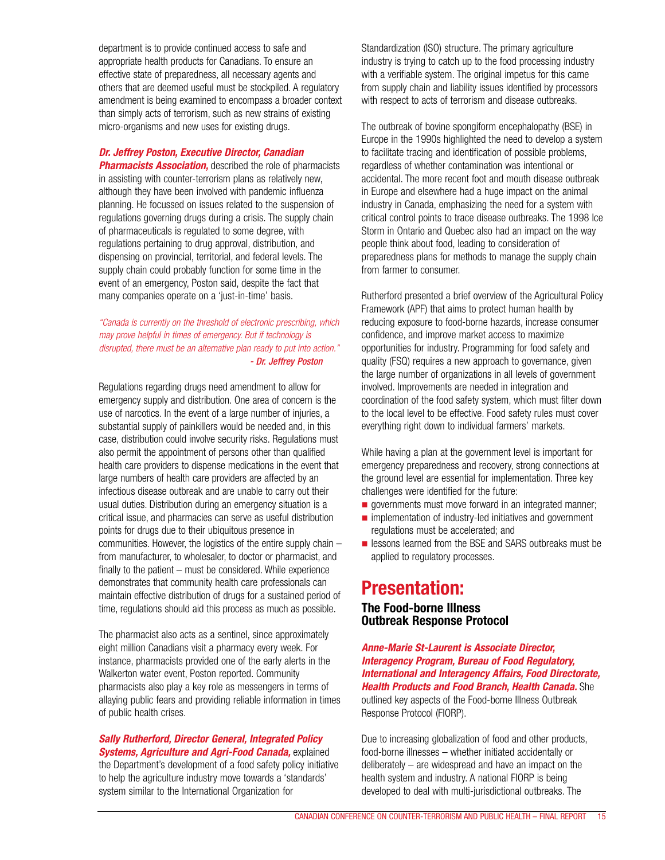department is to provide continued access to safe and appropriate health products for Canadians. To ensure an effective state of preparedness, all necessary agents and others that are deemed useful must be stockpiled. A regulatory amendment is being examined to encompass a broader context than simply acts of terrorism, such as new strains of existing micro-organisms and new uses for existing drugs.

### *Dr. Jeffrey Poston, Executive Director, Canadian*

*Pharmacists Association,* described the role of pharmacists in assisting with counter-terrorism plans as relatively new, although they have been involved with pandemic influenza planning. He focussed on issues related to the suspension of regulations governing drugs during a crisis. The supply chain of pharmaceuticals is regulated to some degree, with regulations pertaining to drug approval, distribution, and dispensing on provincial, territorial, and federal levels. The supply chain could probably function for some time in the event of an emergency, Poston said, despite the fact that many companies operate on a 'just-in-time' basis.

### *"Canada is currently on the threshold of electronic prescribing, which may prove helpful in times of emergency. But if technology is disrupted, there must be an alternative plan ready to put into action." - Dr. Jeffrey Poston*

Regulations regarding drugs need amendment to allow for emergency supply and distribution. One area of concern is the use of narcotics. In the event of a large number of injuries, a substantial supply of painkillers would be needed and, in this case, distribution could involve security risks. Regulations must also permit the appointment of persons other than qualified health care providers to dispense medications in the event that large numbers of health care providers are affected by an infectious disease outbreak and are unable to carry out their usual duties. Distribution during an emergency situation is a critical issue, and pharmacies can serve as useful distribution points for drugs due to their ubiquitous presence in communities. However, the logistics of the entire supply chain – from manufacturer, to wholesaler, to doctor or pharmacist, and finally to the patient – must be considered. While experience demonstrates that community health care professionals can maintain effective distribution of drugs for a sustained period of time, regulations should aid this process as much as possible.

The pharmacist also acts as a sentinel, since approximately eight million Canadians visit a pharmacy every week. For instance, pharmacists provided one of the early alerts in the Walkerton water event, Poston reported. Community pharmacists also play a key role as messengers in terms of allaying public fears and providing reliable information in times of public health crises.

### *Sally Rutherford, Director General, Integrated Policy Systems, Agriculture and Agri-Food Canada,* explained the Department's development of a food safety policy initiative to help the agriculture industry move towards a 'standards' system similar to the International Organization for

Standardization (ISO) structure. The primary agriculture industry is trying to catch up to the food processing industry with a verifiable system. The original impetus for this came from supply chain and liability issues identified by processors with respect to acts of terrorism and disease outbreaks.

The outbreak of bovine spongiform encephalopathy (BSE) in Europe in the 1990s highlighted the need to develop a system to facilitate tracing and identification of possible problems, regardless of whether contamination was intentional or accidental. The more recent foot and mouth disease outbreak in Europe and elsewhere had a huge impact on the animal industry in Canada, emphasizing the need for a system with critical control points to trace disease outbreaks. The 1998 Ice Storm in Ontario and Quebec also had an impact on the way people think about food, leading to consideration of preparedness plans for methods to manage the supply chain from farmer to consumer.

Rutherford presented a brief overview of the Agricultural Policy Framework (APF) that aims to protect human health by reducing exposure to food-borne hazards, increase consumer confidence, and improve market access to maximize opportunities for industry. Programming for food safety and quality (FSQ) requires a new approach to governance, given the large number of organizations in all levels of government involved. Improvements are needed in integration and coordination of the food safety system, which must filter down to the local level to be effective. Food safety rules must cover everything right down to individual farmers' markets.

While having a plan at the government level is important for emergency preparedness and recovery, strong connections at the ground level are essential for implementation. Three key challenges were identified for the future:

- $\blacksquare$  governments must move forward in an integrated manner;
- $\blacksquare$  implementation of industry-led initiatives and government regulations must be accelerated; and
- **Exchange is extended from the BSE and SARS outbreaks must be** applied to regulatory processes.

### **Presentation: The Food-borne Illness Outbreak Response Protocol**

*Anne-Marie St-Laurent is Associate Director, Interagency Program, Bureau of Food Regulatory, International and Interagency Affairs, Food Directorate, Health Products and Food Branch, Health Canada.* She outlined key aspects of the Food-borne Illness Outbreak Response Protocol (FIORP).

Due to increasing globalization of food and other products, food-borne illnesses – whether initiated accidentally or deliberately – are widespread and have an impact on the health system and industry. A national FIORP is being developed to deal with multi-jurisdictional outbreaks. The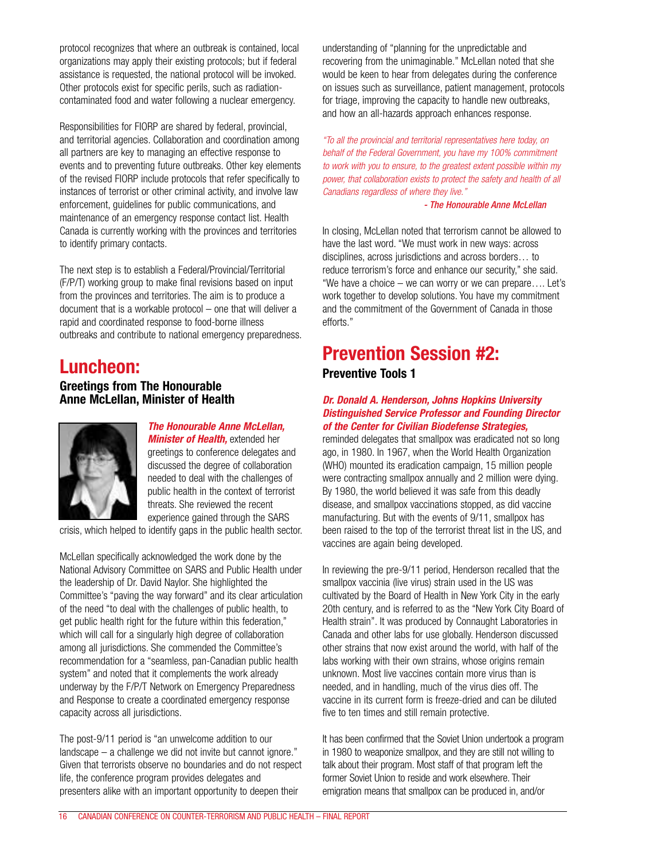protocol recognizes that where an outbreak is contained, local organizations may apply their existing protocols; but if federal assistance is requested, the national protocol will be invoked. Other protocols exist for specific perils, such as radiationcontaminated food and water following a nuclear emergency.

Responsibilities for FIORP are shared by federal, provincial, and territorial agencies. Collaboration and coordination among all partners are key to managing an effective response to events and to preventing future outbreaks. Other key elements of the revised FIORP include protocols that refer specifically to instances of terrorist or other criminal activity, and involve law enforcement, guidelines for public communications, and maintenance of an emergency response contact list. Health Canada is currently working with the provinces and territories to identify primary contacts.

The next step is to establish a Federal/Provincial/Territorial (F/P/T) working group to make final revisions based on input from the provinces and territories. The aim is to produce a document that is a workable protocol – one that will deliver a rapid and coordinated response to food-borne illness outbreaks and contribute to national emergency preparedness.

## **Luncheon:**

### **Greetings from The Honourable Anne McLellan, Minister of Health**



### *The Honourable Anne McLellan, Minister of Health,* extended her

greetings to conference delegates and discussed the degree of collaboration needed to deal with the challenges of public health in the context of terrorist threats. She reviewed the recent experience gained through the SARS

crisis, which helped to identify gaps in the public health sector.

McLellan specifically acknowledged the work done by the National Advisory Committee on SARS and Public Health under the leadership of Dr. David Naylor. She highlighted the Committee's "paving the way forward" and its clear articulation of the need "to deal with the challenges of public health, to get public health right for the future within this federation," which will call for a singularly high degree of collaboration among all jurisdictions. She commended the Committee's recommendation for a "seamless, pan-Canadian public health system" and noted that it complements the work already underway by the F/P/T Network on Emergency Preparedness and Response to create a coordinated emergency response capacity across all jurisdictions.

The post-9/11 period is "an unwelcome addition to our landscape – a challenge we did not invite but cannot ignore." Given that terrorists observe no boundaries and do not respect life, the conference program provides delegates and presenters alike with an important opportunity to deepen their

understanding of "planning for the unpredictable and recovering from the unimaginable." McLellan noted that she would be keen to hear from delegates during the conference on issues such as surveillance, patient management, protocols for triage, improving the capacity to handle new outbreaks, and how an all-hazards approach enhances response.

*"To all the provincial and territorial representatives here today, on behalf of the Federal Government, you have my 100% commitment to work with you to ensure, to the greatest extent possible within my power, that collaboration exists to protect the safety and health of all Canadians regardless of where they live."*

*- The Honourable Anne McLellan*

In closing, McLellan noted that terrorism cannot be allowed to have the last word. "We must work in new ways: across disciplines, across jurisdictions and across borders… to reduce terrorism's force and enhance our security," she said. "We have a choice – we can worry or we can prepare…. Let's work together to develop solutions. You have my commitment and the commitment of the Government of Canada in those efforts."

### **Prevention Session #2: Preventive Tools 1**

### *Dr. Donald A. Henderson, Johns Hopkins University Distinguished Service Professor and Founding Director of the Center for Civilian Biodefense Strategies,*

reminded delegates that smallpox was eradicated not so long ago, in 1980. In 1967, when the World Health Organization (WHO) mounted its eradication campaign, 15 million people were contracting smallpox annually and 2 million were dying. By 1980, the world believed it was safe from this deadly disease, and smallpox vaccinations stopped, as did vaccine manufacturing. But with the events of 9/11, smallpox has been raised to the top of the terrorist threat list in the US, and vaccines are again being developed.

In reviewing the pre-9/11 period, Henderson recalled that the smallpox vaccinia (live virus) strain used in the US was cultivated by the Board of Health in New York City in the early 20th century, and is referred to as the "New York City Board of Health strain". It was produced by Connaught Laboratories in Canada and other labs for use globally. Henderson discussed other strains that now exist around the world, with half of the labs working with their own strains, whose origins remain unknown. Most live vaccines contain more virus than is needed, and in handling, much of the virus dies off. The vaccine in its current form is freeze-dried and can be diluted five to ten times and still remain protective.

It has been confirmed that the Soviet Union undertook a program in 1980 to weaponize smallpox, and they are still not willing to talk about their program. Most staff of that program left the former Soviet Union to reside and work elsewhere. Their emigration means that smallpox can be produced in, and/or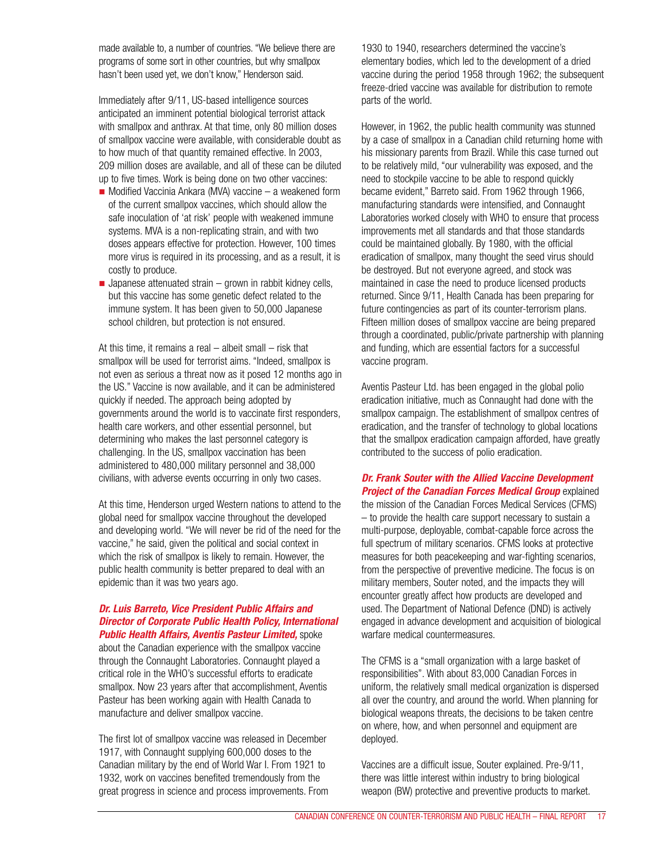made available to, a number of countries. "We believe there are programs of some sort in other countries, but why smallpox hasn't been used yet, we don't know," Henderson said.

Immediately after 9/11, US-based intelligence sources anticipated an imminent potential biological terrorist attack with smallpox and anthrax. At that time, only 80 million doses of smallpox vaccine were available, with considerable doubt as to how much of that quantity remained effective. In 2003, 209 million doses are available, and all of these can be diluted up to five times. Work is being done on two other vaccines:

- $\blacksquare$  Modified Vaccinia Ankara (MVA) vaccine a weakened form of the current smallpox vaccines, which should allow the safe inoculation of 'at risk' people with weakened immune systems. MVA is a non-replicating strain, and with two doses appears effective for protection. However, 100 times more virus is required in its processing, and as a result, it is costly to produce.
- $\blacksquare$  Japanese attenuated strain grown in rabbit kidney cells, but this vaccine has some genetic defect related to the immune system. It has been given to 50,000 Japanese school children, but protection is not ensured.

At this time, it remains a real – albeit small – risk that smallpox will be used for terrorist aims. "Indeed, smallpox is not even as serious a threat now as it posed 12 months ago in the US." Vaccine is now available, and it can be administered quickly if needed. The approach being adopted by governments around the world is to vaccinate first responders, health care workers, and other essential personnel, but determining who makes the last personnel category is challenging. In the US, smallpox vaccination has been administered to 480,000 military personnel and 38,000 civilians, with adverse events occurring in only two cases.

At this time, Henderson urged Western nations to attend to the global need for smallpox vaccine throughout the developed and developing world. "We will never be rid of the need for the vaccine," he said, given the political and social context in which the risk of smallpox is likely to remain. However, the public health community is better prepared to deal with an epidemic than it was two years ago.

### *Dr. Luis Barreto, Vice President Public Affairs and Director of Corporate Public Health Policy, International Public Health Affairs, Aventis Pasteur Limited,* spoke

about the Canadian experience with the smallpox vaccine through the Connaught Laboratories. Connaught played a critical role in the WHO's successful efforts to eradicate smallpox. Now 23 years after that accomplishment, Aventis Pasteur has been working again with Health Canada to manufacture and deliver smallpox vaccine.

The first lot of smallpox vaccine was released in December 1917, with Connaught supplying 600,000 doses to the Canadian military by the end of World War I. From 1921 to 1932, work on vaccines benefited tremendously from the great progress in science and process improvements. From 1930 to 1940, researchers determined the vaccine's elementary bodies, which led to the development of a dried vaccine during the period 1958 through 1962; the subsequent freeze-dried vaccine was available for distribution to remote parts of the world.

However, in 1962, the public health community was stunned by a case of smallpox in a Canadian child returning home with his missionary parents from Brazil. While this case turned out to be relatively mild, "our vulnerability was exposed, and the need to stockpile vaccine to be able to respond quickly became evident," Barreto said. From 1962 through 1966, manufacturing standards were intensified, and Connaught Laboratories worked closely with WHO to ensure that process improvements met all standards and that those standards could be maintained globally. By 1980, with the official eradication of smallpox, many thought the seed virus should be destroyed. But not everyone agreed, and stock was maintained in case the need to produce licensed products returned. Since 9/11, Health Canada has been preparing for future contingencies as part of its counter-terrorism plans. Fifteen million doses of smallpox vaccine are being prepared through a coordinated, public/private partnership with planning and funding, which are essential factors for a successful vaccine program.

Aventis Pasteur Ltd. has been engaged in the global polio eradication initiative, much as Connaught had done with the smallpox campaign. The establishment of smallpox centres of eradication, and the transfer of technology to global locations that the smallpox eradication campaign afforded, have greatly contributed to the success of polio eradication.

### *Dr. Frank Souter with the Allied Vaccine Development Project of the Canadian Forces Medical Group* **explained**

the mission of the Canadian Forces Medical Services (CFMS) – to provide the health care support necessary to sustain a multi-purpose, deployable, combat-capable force across the full spectrum of military scenarios. CFMS looks at protective measures for both peacekeeping and war-fighting scenarios, from the perspective of preventive medicine. The focus is on military members, Souter noted, and the impacts they will encounter greatly affect how products are developed and used. The Department of National Defence (DND) is actively engaged in advance development and acquisition of biological warfare medical countermeasures.

The CFMS is a "small organization with a large basket of responsibilities". With about 83,000 Canadian Forces in uniform, the relatively small medical organization is dispersed all over the country, and around the world. When planning for biological weapons threats, the decisions to be taken centre on where, how, and when personnel and equipment are deployed.

Vaccines are a difficult issue, Souter explained. Pre-9/11, there was little interest within industry to bring biological weapon (BW) protective and preventive products to market.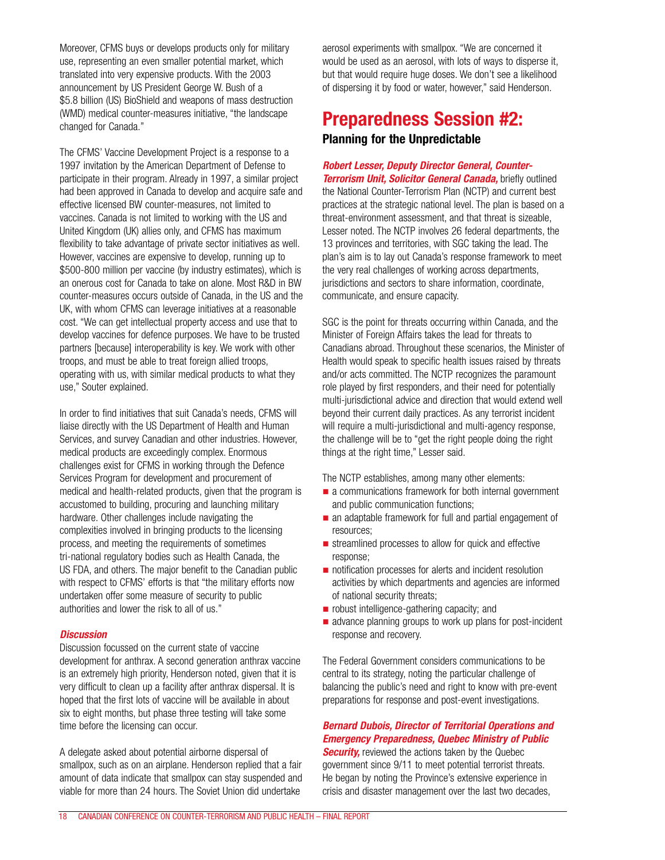Moreover, CFMS buys or develops products only for military use, representing an even smaller potential market, which translated into very expensive products. With the 2003 announcement by US President George W. Bush of a \$5.8 billion (US) BioShield and weapons of mass destruction (WMD) medical counter-measures initiative, "the landscape changed for Canada."

The CFMS' Vaccine Development Project is a response to a 1997 invitation by the American Department of Defense to participate in their program. Already in 1997, a similar project had been approved in Canada to develop and acquire safe and effective licensed BW counter-measures, not limited to vaccines. Canada is not limited to working with the US and United Kingdom (UK) allies only, and CFMS has maximum flexibility to take advantage of private sector initiatives as well. However, vaccines are expensive to develop, running up to \$500-800 million per vaccine (by industry estimates), which is an onerous cost for Canada to take on alone. Most R&D in BW counter-measures occurs outside of Canada, in the US and the UK, with whom CFMS can leverage initiatives at a reasonable cost. "We can get intellectual property access and use that to develop vaccines for defence purposes. We have to be trusted partners [because] interoperability is key. We work with other troops, and must be able to treat foreign allied troops, operating with us, with similar medical products to what they use," Souter explained.

In order to find initiatives that suit Canada's needs, CFMS will liaise directly with the US Department of Health and Human Services, and survey Canadian and other industries. However, medical products are exceedingly complex. Enormous challenges exist for CFMS in working through the Defence Services Program for development and procurement of medical and health-related products, given that the program is accustomed to building, procuring and launching military hardware. Other challenges include navigating the complexities involved in bringing products to the licensing process, and meeting the requirements of sometimes tri-national regulatory bodies such as Health Canada, the US FDA, and others. The major benefit to the Canadian public with respect to CFMS' efforts is that "the military efforts now undertaken offer some measure of security to public authorities and lower the risk to all of us."

### *Discussion*

Discussion focussed on the current state of vaccine development for anthrax. A second generation anthrax vaccine is an extremely high priority, Henderson noted, given that it is very difficult to clean up a facility after anthrax dispersal. It is hoped that the first lots of vaccine will be available in about six to eight months, but phase three testing will take some time before the licensing can occur.

A delegate asked about potential airborne dispersal of smallpox, such as on an airplane. Henderson replied that a fair amount of data indicate that smallpox can stay suspended and viable for more than 24 hours. The Soviet Union did undertake

aerosol experiments with smallpox. "We are concerned it would be used as an aerosol, with lots of ways to disperse it, but that would require huge doses. We don't see a likelihood of dispersing it by food or water, however," said Henderson.

### **Preparedness Session #2: Planning for the Unpredictable**

*Robert Lesser, Deputy Director General, Counter-Terrorism Unit, Solicitor General Canada, briefly outlined* the National Counter-Terrorism Plan (NCTP) and current best practices at the strategic national level. The plan is based on a threat-environment assessment, and that threat is sizeable, Lesser noted. The NCTP involves 26 federal departments, the 13 provinces and territories, with SGC taking the lead. The plan's aim is to lay out Canada's response framework to meet the very real challenges of working across departments, jurisdictions and sectors to share information, coordinate, communicate, and ensure capacity.

SGC is the point for threats occurring within Canada, and the Minister of Foreign Affairs takes the lead for threats to Canadians abroad. Throughout these scenarios, the Minister of Health would speak to specific health issues raised by threats and/or acts committed. The NCTP recognizes the paramount role played by first responders, and their need for potentially multi-jurisdictional advice and direction that would extend well beyond their current daily practices. As any terrorist incident will require a multi-jurisdictional and multi-agency response, the challenge will be to "get the right people doing the right things at the right time," Lesser said.

The NCTP establishes, among many other elements:

- $\blacksquare$  a communications framework for both internal government and public communication functions;
- $\blacksquare$  an adaptable framework for full and partial engagement of resources;
- $\blacksquare$  streamlined processes to allow for quick and effective response;
- $\blacksquare$  notification processes for alerts and incident resolution activities by which departments and agencies are informed of national security threats;
- **n** robust intelligence-gathering capacity; and
- $\blacksquare$  advance planning groups to work up plans for post-incident response and recovery.

The Federal Government considers communications to be central to its strategy, noting the particular challenge of balancing the public's need and right to know with pre-event preparations for response and post-event investigations.

### *Bernard Dubois, Director of Territorial Operations and Emergency Preparedness, Quebec Ministry of Public*

**Security,** reviewed the actions taken by the Quebec government since 9/11 to meet potential terrorist threats. He began by noting the Province's extensive experience in crisis and disaster management over the last two decades,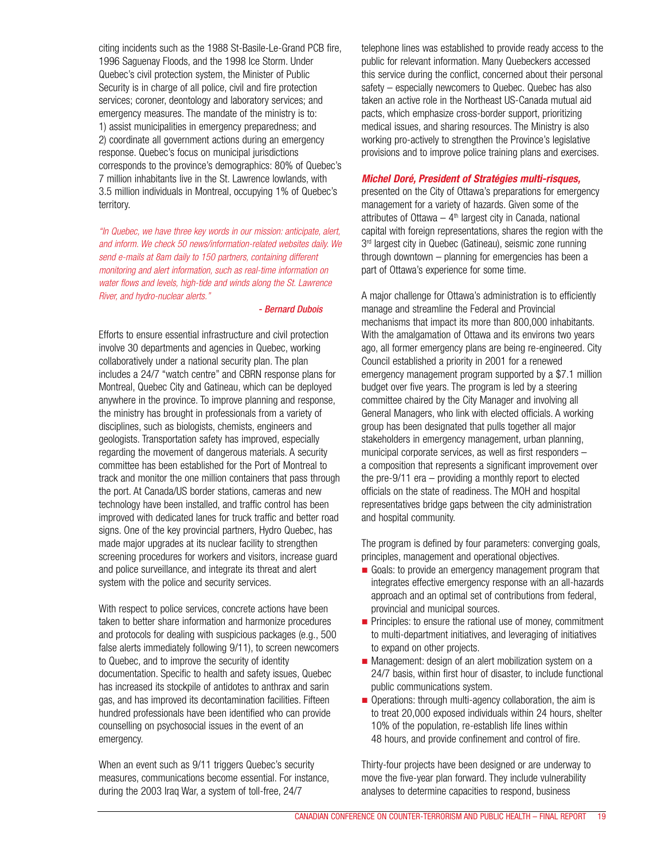citing incidents such as the 1988 St-Basile-Le-Grand PCB fire, 1996 Saguenay Floods, and the 1998 Ice Storm. Under Quebec's civil protection system, the Minister of Public Security is in charge of all police, civil and fire protection services; coroner, deontology and laboratory services; and emergency measures. The mandate of the ministry is to: 1) assist municipalities in emergency preparedness; and 2) coordinate all government actions during an emergency response. Quebec's focus on municipal jurisdictions corresponds to the province's demographics: 80% of Quebec's 7 million inhabitants live in the St. Lawrence lowlands, with 3.5 million individuals in Montreal, occupying 1% of Quebec's territory.

*"In Quebec, we have three key words in our mission: anticipate, alert, and inform. We check 50 news/information-related websites daily. We send e-mails at 8am daily to 150 partners, containing different monitoring and alert information, such as real-time information on water flows and levels, high-tide and winds along the St. Lawrence River, and hydro-nuclear alerts."*

#### *- Bernard Dubois*

Efforts to ensure essential infrastructure and civil protection involve 30 departments and agencies in Quebec, working collaboratively under a national security plan. The plan includes a 24/7 "watch centre" and CBRN response plans for Montreal, Quebec City and Gatineau, which can be deployed anywhere in the province. To improve planning and response, the ministry has brought in professionals from a variety of disciplines, such as biologists, chemists, engineers and geologists. Transportation safety has improved, especially regarding the movement of dangerous materials. A security committee has been established for the Port of Montreal to track and monitor the one million containers that pass through the port. At Canada/US border stations, cameras and new technology have been installed, and traffic control has been improved with dedicated lanes for truck traffic and better road signs. One of the key provincial partners, Hydro Quebec, has made major upgrades at its nuclear facility to strengthen screening procedures for workers and visitors, increase guard and police surveillance, and integrate its threat and alert system with the police and security services.

With respect to police services, concrete actions have been taken to better share information and harmonize procedures and protocols for dealing with suspicious packages (e.g., 500 false alerts immediately following 9/11), to screen newcomers to Quebec, and to improve the security of identity documentation. Specific to health and safety issues, Quebec has increased its stockpile of antidotes to anthrax and sarin gas, and has improved its decontamination facilities. Fifteen hundred professionals have been identified who can provide counselling on psychosocial issues in the event of an emergency.

When an event such as 9/11 triggers Quebec's security measures, communications become essential. For instance, during the 2003 Iraq War, a system of toll-free, 24/7

telephone lines was established to provide ready access to the public for relevant information. Many Quebeckers accessed this service during the conflict, concerned about their personal safety – especially newcomers to Quebec. Quebec has also taken an active role in the Northeast US-Canada mutual aid pacts, which emphasize cross-border support, prioritizing medical issues, and sharing resources. The Ministry is also working pro-actively to strengthen the Province's legislative provisions and to improve police training plans and exercises.

### *Michel Doré, President of Stratégies multi-risques,*

presented on the City of Ottawa's preparations for emergency management for a variety of hazards. Given some of the attributes of Ottawa  $-4$ <sup>th</sup> largest city in Canada, national capital with foreign representations, shares the region with the 3<sup>rd</sup> largest city in Quebec (Gatineau), seismic zone running through downtown – planning for emergencies has been a part of Ottawa's experience for some time.

A major challenge for Ottawa's administration is to efficiently manage and streamline the Federal and Provincial mechanisms that impact its more than 800,000 inhabitants. With the amalgamation of Ottawa and its environs two years ago, all former emergency plans are being re-engineered. City Council established a priority in 2001 for a renewed emergency management program supported by a \$7.1 million budget over five years. The program is led by a steering committee chaired by the City Manager and involving all General Managers, who link with elected officials. A working group has been designated that pulls together all major stakeholders in emergency management, urban planning, municipal corporate services, as well as first responders – a composition that represents a significant improvement over the pre-9/11 era – providing a monthly report to elected officials on the state of readiness. The MOH and hospital representatives bridge gaps between the city administration and hospital community.

The program is defined by four parameters: converging goals, principles, management and operational objectives.

- Goals: to provide an emergency management program that integrates effective emergency response with an all-hazards approach and an optimal set of contributions from federal, provincial and municipal sources.
- $\blacksquare$  Principles: to ensure the rational use of money, commitment to multi-department initiatives, and leveraging of initiatives to expand on other projects.
- $\blacksquare$  Management: design of an alert mobilization system on a 24/7 basis, within first hour of disaster, to include functional public communications system.
- $\blacksquare$  Operations: through multi-agency collaboration, the aim is to treat 20,000 exposed individuals within 24 hours, shelter 10% of the population, re-establish life lines within 48 hours, and provide confinement and control of fire.

Thirty-four projects have been designed or are underway to move the five-year plan forward. They include vulnerability analyses to determine capacities to respond, business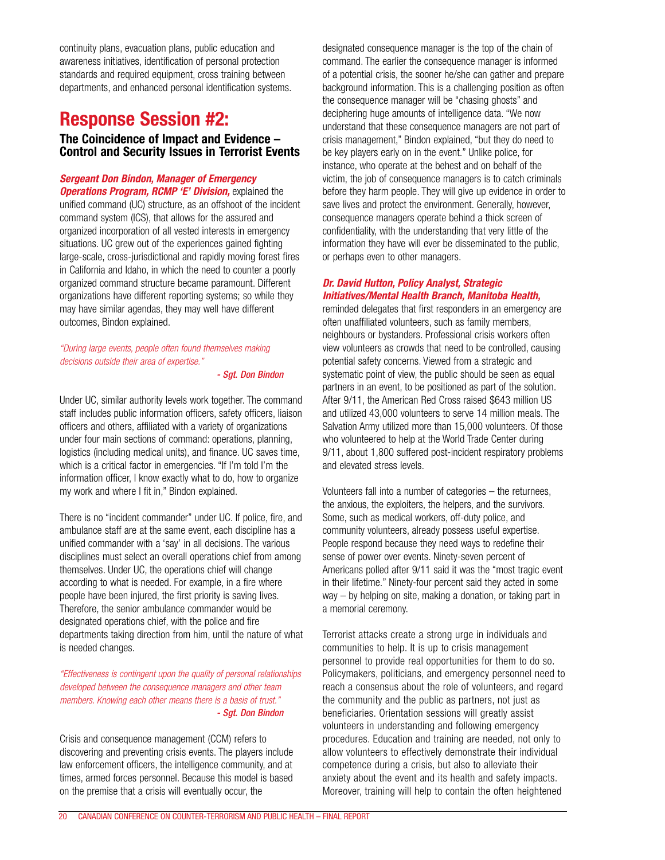continuity plans, evacuation plans, public education and awareness initiatives, identification of personal protection standards and required equipment, cross training between departments, and enhanced personal identification systems.

## **Response Session #2:**

### **The Coincidence of Impact and Evidence – Control and Security Issues in Terrorist Events**

### *Sergeant Don Bindon, Manager of Emergency Operations Program, RCMP 'E' Division,* explained the

unified command (UC) structure, as an offshoot of the incident command system (ICS), that allows for the assured and organized incorporation of all vested interests in emergency situations. UC grew out of the experiences gained fighting large-scale, cross-jurisdictional and rapidly moving forest fires in California and Idaho, in which the need to counter a poorly organized command structure became paramount. Different organizations have different reporting systems; so while they may have similar agendas, they may well have different outcomes, Bindon explained.

*"During large events, people often found themselves making decisions outside their area of expertise."*

*- Sgt. Don Bindon*

Under UC, similar authority levels work together. The command staff includes public information officers, safety officers, liaison officers and others, affiliated with a variety of organizations under four main sections of command: operations, planning, logistics (including medical units), and finance. UC saves time, which is a critical factor in emergencies. "If I'm told I'm the information officer, I know exactly what to do, how to organize my work and where I fit in," Bindon explained.

There is no "incident commander" under UC. If police, fire, and ambulance staff are at the same event, each discipline has a unified commander with a 'say' in all decisions. The various disciplines must select an overall operations chief from among themselves. Under UC, the operations chief will change according to what is needed. For example, in a fire where people have been injured, the first priority is saving lives. Therefore, the senior ambulance commander would be designated operations chief, with the police and fire departments taking direction from him, until the nature of what is needed changes.

*"Effectiveness is contingent upon the quality of personal relationships developed between the consequence managers and other team members. Knowing each other means there is a basis of trust." - Sgt. Don Bindon*

Crisis and consequence management (CCM) refers to discovering and preventing crisis events. The players include law enforcement officers, the intelligence community, and at times, armed forces personnel. Because this model is based on the premise that a crisis will eventually occur, the

designated consequence manager is the top of the chain of command. The earlier the consequence manager is informed of a potential crisis, the sooner he/she can gather and prepare background information. This is a challenging position as often the consequence manager will be "chasing ghosts" and deciphering huge amounts of intelligence data. "We now understand that these consequence managers are not part of crisis management," Bindon explained, "but they do need to be key players early on in the event." Unlike police, for instance, who operate at the behest and on behalf of the victim, the job of consequence managers is to catch criminals before they harm people. They will give up evidence in order to save lives and protect the environment. Generally, however, consequence managers operate behind a thick screen of confidentiality, with the understanding that very little of the information they have will ever be disseminated to the public, or perhaps even to other managers.

### *Dr. David Hutton, Policy Analyst, Strategic Initiatives/Mental Health Branch, Manitoba Health,*

reminded delegates that first responders in an emergency are often unaffiliated volunteers, such as family members, neighbours or bystanders. Professional crisis workers often view volunteers as crowds that need to be controlled, causing potential safety concerns. Viewed from a strategic and systematic point of view, the public should be seen as equal partners in an event, to be positioned as part of the solution. After 9/11, the American Red Cross raised \$643 million US and utilized 43,000 volunteers to serve 14 million meals. The Salvation Army utilized more than 15,000 volunteers. Of those who volunteered to help at the World Trade Center during 9/11, about 1,800 suffered post-incident respiratory problems and elevated stress levels.

Volunteers fall into a number of categories – the returnees, the anxious, the exploiters, the helpers, and the survivors. Some, such as medical workers, off-duty police, and community volunteers, already possess useful expertise. People respond because they need ways to redefine their sense of power over events. Ninety-seven percent of Americans polled after 9/11 said it was the "most tragic event in their lifetime." Ninety-four percent said they acted in some way – by helping on site, making a donation, or taking part in a memorial ceremony.

Terrorist attacks create a strong urge in individuals and communities to help. It is up to crisis management personnel to provide real opportunities for them to do so. Policymakers, politicians, and emergency personnel need to reach a consensus about the role of volunteers, and regard the community and the public as partners, not just as beneficiaries. Orientation sessions will greatly assist volunteers in understanding and following emergency procedures. Education and training are needed, not only to allow volunteers to effectively demonstrate their individual competence during a crisis, but also to alleviate their anxiety about the event and its health and safety impacts. Moreover, training will help to contain the often heightened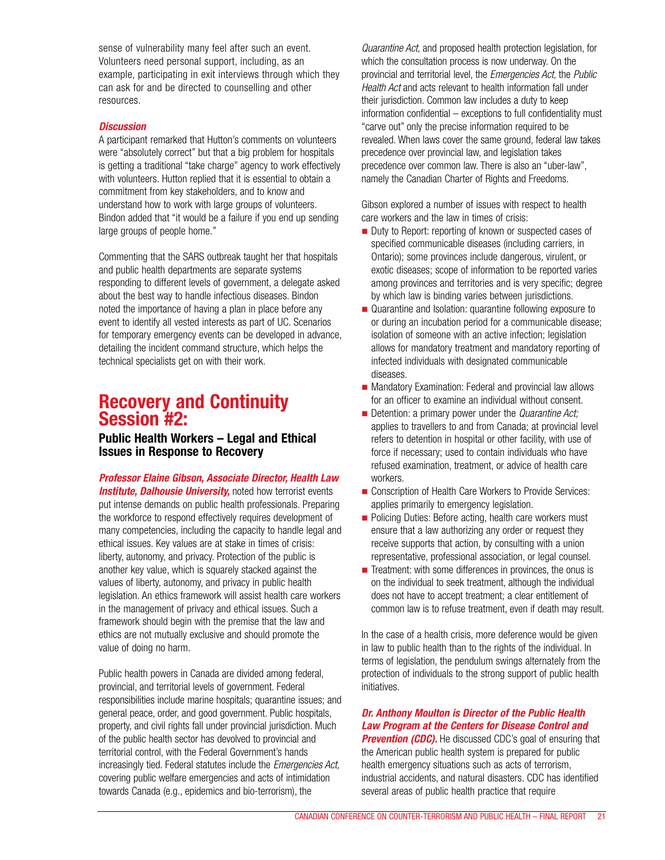sense of vulnerability many feel after such an event. Volunteers need personal support, including, as an example, participating in exit interviews through which they can ask for and be directed to counselling and other resources.

### *Discussion*

A participant remarked that Hutton's comments on volunteers were "absolutely correct" but that a big problem for hospitals is getting a traditional "take charge" agency to work effectively with volunteers. Hutton replied that it is essential to obtain a commitment from key stakeholders, and to know and understand how to work with large groups of volunteers. Bindon added that "it would be a failure if you end up sending large groups of people home."

Commenting that the SARS outbreak taught her that hospitals and public health departments are separate systems responding to different levels of government, a delegate asked about the best way to handle infectious diseases. Bindon noted the importance of having a plan in place before any event to identify all vested interests as part of UC. Scenarios for temporary emergency events can be developed in advance, detailing the incident command structure, which helps the technical specialists get on with their work.

### **Recovery and Continuity Session #2:**

**Public Health Workers – Legal and Ethical Issues in Response to Recovery**

### *Professor Elaine Gibson, Associate Director, Health Law*

**Institute, Dalhousie University, noted how terrorist events** put intense demands on public health professionals. Preparing the workforce to respond effectively requires development of many competencies, including the capacity to handle legal and ethical issues. Key values are at stake in times of crisis: liberty, autonomy, and privacy. Protection of the public is another key value, which is squarely stacked against the values of liberty, autonomy, and privacy in public health legislation. An ethics framework will assist health care workers in the management of privacy and ethical issues. Such a framework should begin with the premise that the law and ethics are not mutually exclusive and should promote the value of doing no harm.

Public health powers in Canada are divided among federal, provincial, and territorial levels of government. Federal responsibilities include marine hospitals; quarantine issues; and general peace, order, and good government. Public hospitals, property, and civil rights fall under provincial jurisdiction. Much of the public health sector has devolved to provincial and territorial control, with the Federal Government's hands increasingly tied. Federal statutes include the *Emergencies Act,* covering public welfare emergencies and acts of intimidation towards Canada (e.g., epidemics and bio-terrorism), the

*Quarantine Act,* and proposed health protection legislation, for which the consultation process is now underway. On the provincial and territorial level, the *Emergencies Act,* the *Public Health Act* and acts relevant to health information fall under their jurisdiction. Common law includes a duty to keep information confidential – exceptions to full confidentiality must "carve out" only the precise information required to be revealed. When laws cover the same ground, federal law takes precedence over provincial law, and legislation takes precedence over common law. There is also an "uber-law", namely the Canadian Charter of Rights and Freedoms.

Gibson explored a number of issues with respect to health care workers and the law in times of crisis:

- **Duty to Report: reporting of known or suspected cases of** specified communicable diseases (including carriers, in Ontario); some provinces include dangerous, virulent, or exotic diseases; scope of information to be reported varies among provinces and territories and is very specific; degree by which law is binding varies between jurisdictions.
- **Quarantine and Isolation: quarantine following exposure to** or during an incubation period for a communicable disease; isolation of someone with an active infection; legislation allows for mandatory treatment and mandatory reporting of infected individuals with designated communicable diseases.
- **Mandatory Examination: Federal and provincial law allows** for an officer to examine an individual without consent.
- **Detention: a primary power under the** *Quarantine Act***;** applies to travellers to and from Canada; at provincial level refers to detention in hospital or other facility, with use of force if necessary; used to contain individuals who have refused examination, treatment, or advice of health care workers.
- Conscription of Health Care Workers to Provide Services: applies primarily to emergency legislation.
- $\blacksquare$  Policing Duties: Before acting, health care workers must ensure that a law authorizing any order or request they receive supports that action, by consulting with a union representative, professional association, or legal counsel.
- $\blacksquare$  Treatment: with some differences in provinces, the onus is on the individual to seek treatment, although the individual does not have to accept treatment; a clear entitlement of common law is to refuse treatment, even if death may result.

In the case of a health crisis, more deference would be given in law to public health than to the rights of the individual. In terms of legislation, the pendulum swings alternately from the protection of individuals to the strong support of public health initiatives.

### *Dr. Anthony Moulton is Director of the Public Health Law Program at the Centers for Disease Control and*

*Prevention (CDC).* He discussed CDC's goal of ensuring that the American public health system is prepared for public health emergency situations such as acts of terrorism, industrial accidents, and natural disasters. CDC has identified several areas of public health practice that require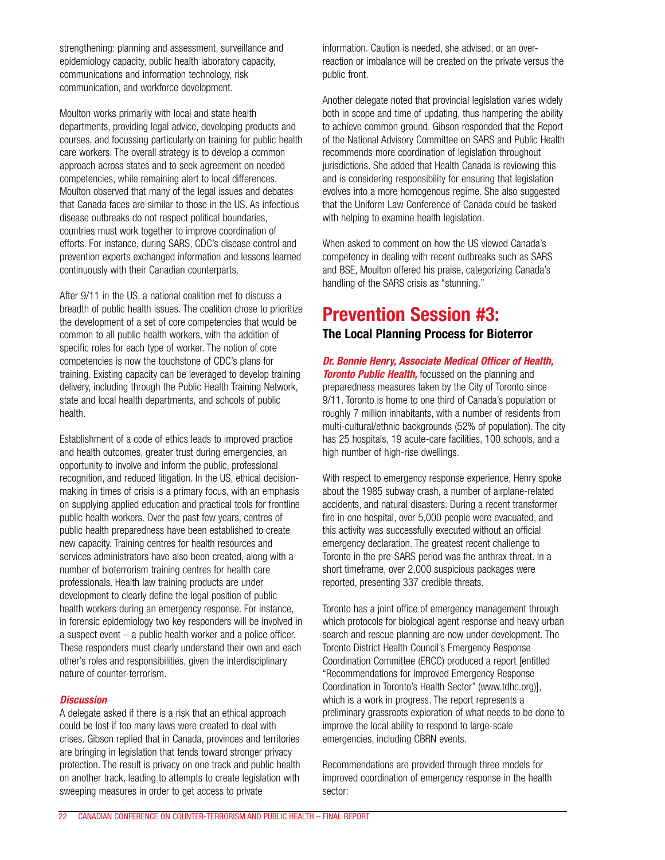strengthening: planning and assessment, surveillance and epidemiology capacity, public health laboratory capacity, communications and information technology, risk communication, and workforce development.

Moulton works primarily with local and state health departments, providing legal advice, developing products and courses, and focussing particularly on training for public health care workers. The overall strategy is to develop a common approach across states and to seek agreement on needed competencies, while remaining alert to local differences. Moulton observed that many of the legal issues and debates that Canada faces are similar to those in the US. As infectious disease outbreaks do not respect political boundaries, countries must work together to improve coordination of efforts. For instance, during SARS, CDC's disease control and prevention experts exchanged information and lessons learned continuously with their Canadian counterparts.

After 9/11 in the US, a national coalition met to discuss a breadth of public health issues. The coalition chose to prioritize the development of a set of core competencies that would be common to all public health workers, with the addition of specific roles for each type of worker. The notion of core competencies is now the touchstone of CDC's plans for training. Existing capacity can be leveraged to develop training delivery, including through the Public Health Training Network, state and local health departments, and schools of public health.

Establishment of a code of ethics leads to improved practice and health outcomes, greater trust during emergencies, an opportunity to involve and inform the public, professional recognition, and reduced litigation. In the US, ethical decisionmaking in times of crisis is a primary focus, with an emphasis on supplying applied education and practical tools for frontline public health workers. Over the past few years, centres of public health preparedness have been established to create new capacity. Training centres for health resources and services administrators have also been created, along with a number of bioterrorism training centres for health care professionals. Health law training products are under development to clearly define the legal position of public health workers during an emergency response. For instance, in forensic epidemiology two key responders will be involved in a suspect event – a public health worker and a police officer. These responders must clearly understand their own and each other's roles and responsibilities, given the interdisciplinary nature of counter-terrorism.

### *Discussion*

A delegate asked if there is a risk that an ethical approach could be lost if too many laws were created to deal with crises. Gibson replied that in Canada, provinces and territories are bringing in legislation that tends toward stronger privacy protection. The result is privacy on one track and public health on another track, leading to attempts to create legislation with sweeping measures in order to get access to private

information. Caution is needed, she advised, or an overreaction or imbalance will be created on the private versus the public front.

Another delegate noted that provincial legislation varies widely both in scope and time of updating, thus hampering the ability to achieve common ground. Gibson responded that the Report of the National Advisory Committee on SARS and Public Health recommends more coordination of legislation throughout jurisdictions. She added that Health Canada is reviewing this and is considering responsibility for ensuring that legislation evolves into a more homogenous regime. She also suggested that the Uniform Law Conference of Canada could be tasked with helping to examine health legislation.

When asked to comment on how the US viewed Canada's competency in dealing with recent outbreaks such as SARS and BSE, Moulton offered his praise, categorizing Canada's handling of the SARS crisis as "stunning."

## **Prevention Session #3:**

### **The Local Planning Process for Bioterror**

*Dr. Bonnie Henry, Associate Medical Officer of Health, Toronto Public Health,* focussed on the planning and preparedness measures taken by the City of Toronto since 9/11. Toronto is home to one third of Canada's population or roughly 7 million inhabitants, with a number of residents from multi-cultural/ethnic backgrounds (52% of population). The city has 25 hospitals, 19 acute-care facilities, 100 schools, and a high number of high-rise dwellings.

With respect to emergency response experience, Henry spoke about the 1985 subway crash, a number of airplane-related accidents, and natural disasters. During a recent transformer fire in one hospital, over 5,000 people were evacuated, and this activity was successfully executed without an official emergency declaration. The greatest recent challenge to Toronto in the pre-SARS period was the anthrax threat. In a short timeframe, over 2,000 suspicious packages were reported, presenting 337 credible threats.

Toronto has a joint office of emergency management through which protocols for biological agent response and heavy urban search and rescue planning are now under development. The Toronto District Health Council's Emergency Response Coordination Committee (ERCC) produced a report [entitled "Recommendations for Improved Emergency Response Coordination in Toronto's Health Sector" (www.tdhc.org)], which is a work in progress. The report represents a preliminary grassroots exploration of what needs to be done to improve the local ability to respond to large-scale emergencies, including CBRN events.

Recommendations are provided through three models for improved coordination of emergency response in the health sector: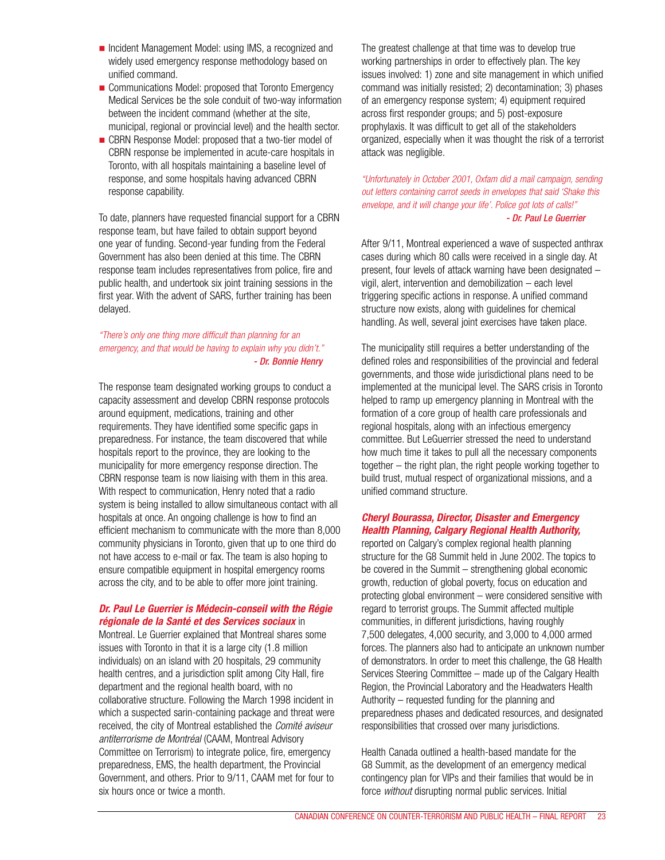- **n** Incident Management Model: using IMS, a recognized and widely used emergency response methodology based on unified command.
- **Communications Model: proposed that Toronto Emergency** Medical Services be the sole conduit of two-way information between the incident command (whether at the site, municipal, regional or provincial level) and the health sector.
- **EXAMPE CBRN Response Model: proposed that a two-tier model of** CBRN response be implemented in acute-care hospitals in Toronto, with all hospitals maintaining a baseline level of response, and some hospitals having advanced CBRN response capability.

To date, planners have requested financial support for a CBRN response team, but have failed to obtain support beyond one year of funding. Second-year funding from the Federal Government has also been denied at this time. The CBRN response team includes representatives from police, fire and public health, and undertook six joint training sessions in the first year. With the advent of SARS, further training has been delayed.

### *"There's only one thing more difficult than planning for an emergency, and that would be having to explain why you didn't." - Dr. Bonnie Henry*

The response team designated working groups to conduct a capacity assessment and develop CBRN response protocols around equipment, medications, training and other requirements. They have identified some specific gaps in preparedness. For instance, the team discovered that while hospitals report to the province, they are looking to the municipality for more emergency response direction. The CBRN response team is now liaising with them in this area. With respect to communication, Henry noted that a radio system is being installed to allow simultaneous contact with all hospitals at once. An ongoing challenge is how to find an efficient mechanism to communicate with the more than 8,000 community physicians in Toronto, given that up to one third do not have access to e-mail or fax. The team is also hoping to ensure compatible equipment in hospital emergency rooms across the city, and to be able to offer more joint training.

### *Dr. Paul Le Guerrier is Médecin-conseil with the Régie régionale de la Santé et des Services sociaux* in

Montreal. Le Guerrier explained that Montreal shares some issues with Toronto in that it is a large city (1.8 million individuals) on an island with 20 hospitals, 29 community health centres, and a jurisdiction split among City Hall, fire department and the regional health board, with no collaborative structure. Following the March 1998 incident in which a suspected sarin-containing package and threat were received, the city of Montreal established the *Comité aviseur antiterrorisme de Montréal* (CAAM, Montreal Advisory Committee on Terrorism) to integrate police, fire, emergency preparedness, EMS, the health department, the Provincial Government, and others. Prior to 9/11, CAAM met for four to six hours once or twice a month.

The greatest challenge at that time was to develop true working partnerships in order to effectively plan. The key issues involved: 1) zone and site management in which unified command was initially resisted; 2) decontamination; 3) phases of an emergency response system; 4) equipment required across first responder groups; and 5) post-exposure prophylaxis. It was difficult to get all of the stakeholders organized, especially when it was thought the risk of a terrorist attack was negligible.

*"Unfortunately in October 2001, Oxfam did a mail campaign, sending out letters containing carrot seeds in envelopes that said 'Shake this envelope, and it will change your life'. Police got lots of calls!" - Dr. Paul Le Guerrier*

After 9/11, Montreal experienced a wave of suspected anthrax cases during which 80 calls were received in a single day. At present, four levels of attack warning have been designated – vigil, alert, intervention and demobilization – each level triggering specific actions in response. A unified command structure now exists, along with guidelines for chemical handling. As well, several joint exercises have taken place.

The municipality still requires a better understanding of the defined roles and responsibilities of the provincial and federal governments, and those wide jurisdictional plans need to be implemented at the municipal level. The SARS crisis in Toronto helped to ramp up emergency planning in Montreal with the formation of a core group of health care professionals and regional hospitals, along with an infectious emergency committee. But LeGuerrier stressed the need to understand how much time it takes to pull all the necessary components together – the right plan, the right people working together to build trust, mutual respect of organizational missions, and a unified command structure.

### *Cheryl Bourassa, Director, Disaster and Emergency Health Planning, Calgary Regional Health Authority,*

reported on Calgary's complex regional health planning structure for the G8 Summit held in June 2002. The topics to be covered in the Summit – strengthening global economic growth, reduction of global poverty, focus on education and protecting global environment – were considered sensitive with regard to terrorist groups. The Summit affected multiple communities, in different jurisdictions, having roughly 7,500 delegates, 4,000 security, and 3,000 to 4,000 armed forces. The planners also had to anticipate an unknown number of demonstrators. In order to meet this challenge, the G8 Health Services Steering Committee – made up of the Calgary Health Region, the Provincial Laboratory and the Headwaters Health Authority – requested funding for the planning and preparedness phases and dedicated resources, and designated responsibilities that crossed over many jurisdictions.

Health Canada outlined a health-based mandate for the G8 Summit, as the development of an emergency medical contingency plan for VIPs and their families that would be in force *without* disrupting normal public services. Initial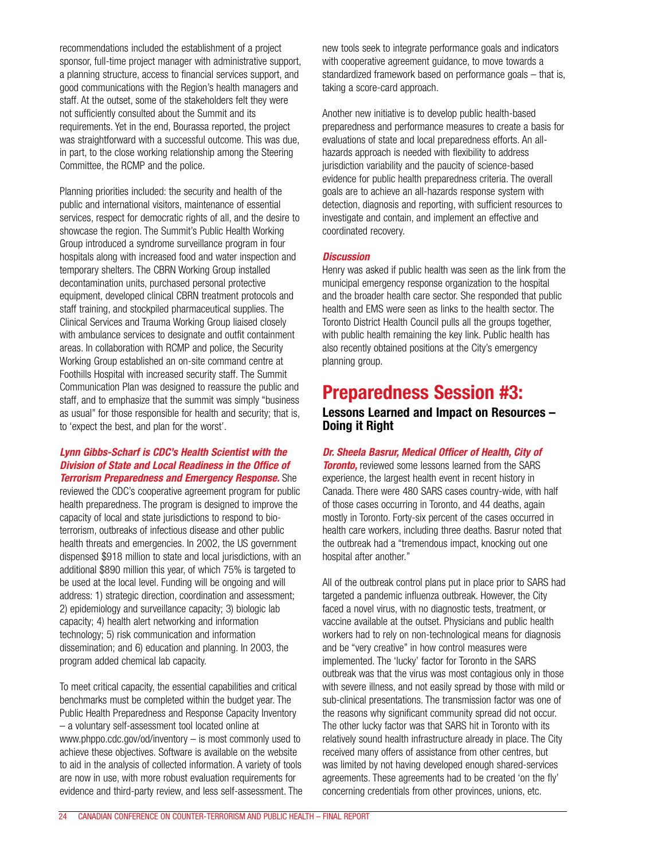recommendations included the establishment of a project sponsor, full-time project manager with administrative support, a planning structure, access to financial services support, and good communications with the Region's health managers and staff. At the outset, some of the stakeholders felt they were not sufficiently consulted about the Summit and its requirements. Yet in the end, Bourassa reported, the project was straightforward with a successful outcome. This was due, in part, to the close working relationship among the Steering Committee, the RCMP and the police.

Planning priorities included: the security and health of the public and international visitors, maintenance of essential services, respect for democratic rights of all, and the desire to showcase the region. The Summit's Public Health Working Group introduced a syndrome surveillance program in four hospitals along with increased food and water inspection and temporary shelters. The CBRN Working Group installed decontamination units, purchased personal protective equipment, developed clinical CBRN treatment protocols and staff training, and stockpiled pharmaceutical supplies. The Clinical Services and Trauma Working Group liaised closely with ambulance services to designate and outfit containment areas. In collaboration with RCMP and police, the Security Working Group established an on-site command centre at Foothills Hospital with increased security staff. The Summit Communication Plan was designed to reassure the public and staff, and to emphasize that the summit was simply "business as usual" for those responsible for health and security; that is, to 'expect the best, and plan for the worst'.

### *Lynn Gibbs-Scharf is CDC's Health Scientist with the Division of State and Local Readiness in the Office of Terrorism Preparedness and Emergency Response.* She

reviewed the CDC's cooperative agreement program for public health preparedness. The program is designed to improve the capacity of local and state jurisdictions to respond to bioterrorism, outbreaks of infectious disease and other public health threats and emergencies. In 2002, the US government dispensed \$918 million to state and local jurisdictions, with an additional \$890 million this year, of which 75% is targeted to be used at the local level. Funding will be ongoing and will address: 1) strategic direction, coordination and assessment; 2) epidemiology and surveillance capacity; 3) biologic lab capacity; 4) health alert networking and information technology; 5) risk communication and information dissemination; and 6) education and planning. In 2003, the program added chemical lab capacity.

To meet critical capacity, the essential capabilities and critical benchmarks must be completed within the budget year. The Public Health Preparedness and Response Capacity Inventory – a voluntary self-assessment tool located online at www.phppo.cdc.gov/od/inventory – is most commonly used to achieve these objectives. Software is available on the website to aid in the analysis of collected information. A variety of tools are now in use, with more robust evaluation requirements for evidence and third-party review, and less self-assessment. The

new tools seek to integrate performance goals and indicators with cooperative agreement guidance, to move towards a standardized framework based on performance goals – that is, taking a score-card approach.

Another new initiative is to develop public health-based preparedness and performance measures to create a basis for evaluations of state and local preparedness efforts. An allhazards approach is needed with flexibility to address jurisdiction variability and the paucity of science-based evidence for public health preparedness criteria. The overall goals are to achieve an all-hazards response system with detection, diagnosis and reporting, with sufficient resources to investigate and contain, and implement an effective and coordinated recovery.

### *Discussion*

Henry was asked if public health was seen as the link from the municipal emergency response organization to the hospital and the broader health care sector. She responded that public health and EMS were seen as links to the health sector. The Toronto District Health Council pulls all the groups together, with public health remaining the key link. Public health has also recently obtained positions at the City's emergency planning group.

### **Preparedness Session #3:**

### **Lessons Learned and Impact on Resources – Doing it Right**

### *Dr. Sheela Basrur, Medical Officer of Health, City of*

*Toronto*, reviewed some lessons learned from the SARS experience, the largest health event in recent history in Canada. There were 480 SARS cases country-wide, with half of those cases occurring in Toronto, and 44 deaths, again mostly in Toronto. Forty-six percent of the cases occurred in health care workers, including three deaths. Basrur noted that the outbreak had a "tremendous impact, knocking out one hospital after another."

All of the outbreak control plans put in place prior to SARS had targeted a pandemic influenza outbreak. However, the City faced a novel virus, with no diagnostic tests, treatment, or vaccine available at the outset. Physicians and public health workers had to rely on non-technological means for diagnosis and be "very creative" in how control measures were implemented. The 'lucky' factor for Toronto in the SARS outbreak was that the virus was most contagious only in those with severe illness, and not easily spread by those with mild or sub-clinical presentations. The transmission factor was one of the reasons why significant community spread did not occur. The other lucky factor was that SARS hit in Toronto with its relatively sound health infrastructure already in place. The City received many offers of assistance from other centres, but was limited by not having developed enough shared-services agreements. These agreements had to be created 'on the fly' concerning credentials from other provinces, unions, etc.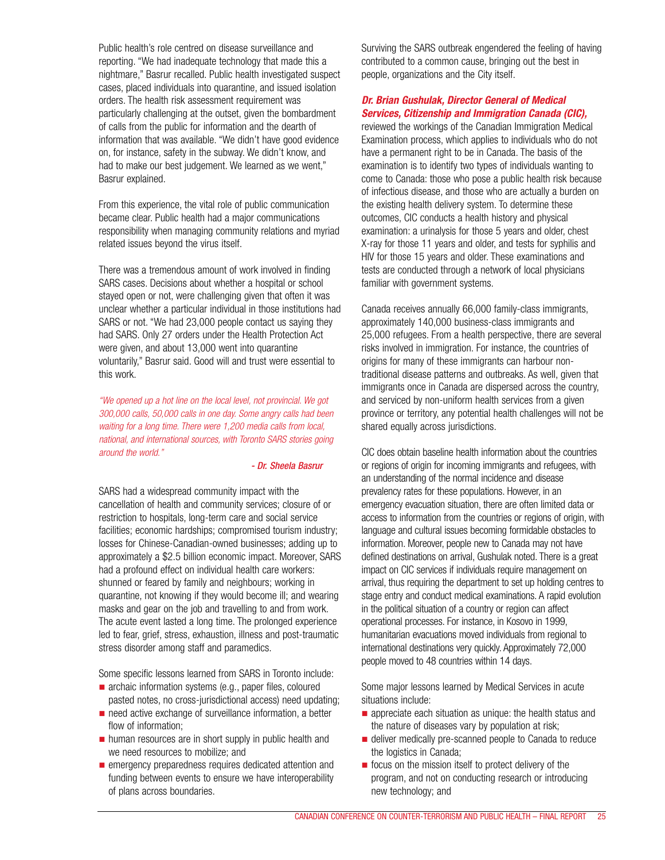Public health's role centred on disease surveillance and reporting. "We had inadequate technology that made this a nightmare," Basrur recalled. Public health investigated suspect cases, placed individuals into quarantine, and issued isolation orders. The health risk assessment requirement was particularly challenging at the outset, given the bombardment of calls from the public for information and the dearth of information that was available. "We didn't have good evidence on, for instance, safety in the subway. We didn't know, and had to make our best judgement. We learned as we went," Basrur explained.

From this experience, the vital role of public communication became clear. Public health had a major communications responsibility when managing community relations and myriad related issues beyond the virus itself.

There was a tremendous amount of work involved in finding SARS cases. Decisions about whether a hospital or school stayed open or not, were challenging given that often it was unclear whether a particular individual in those institutions had SARS or not. "We had 23,000 people contact us saying they had SARS. Only 27 orders under the Health Protection Act were given, and about 13,000 went into quarantine voluntarily," Basrur said. Good will and trust were essential to this work.

*"We opened up a hot line on the local level, not provincial. We got 300,000 calls, 50,000 calls in one day. Some angry calls had been waiting for a long time. There were 1,200 media calls from local, national, and international sources, with Toronto SARS stories going around the world."*

### *- Dr. Sheela Basrur*

SARS had a widespread community impact with the cancellation of health and community services; closure of or restriction to hospitals, long-term care and social service facilities; economic hardships; compromised tourism industry; losses for Chinese-Canadian-owned businesses; adding up to approximately a \$2.5 billion economic impact. Moreover, SARS had a profound effect on individual health care workers: shunned or feared by family and neighbours; working in quarantine, not knowing if they would become ill; and wearing masks and gear on the job and travelling to and from work. The acute event lasted a long time. The prolonged experience led to fear, grief, stress, exhaustion, illness and post-traumatic stress disorder among staff and paramedics.

Some specific lessons learned from SARS in Toronto include:

- $\blacksquare$  archaic information systems (e.g., paper files, coloured pasted notes, no cross-jurisdictional access) need updating;
- $\blacksquare$  need active exchange of surveillance information, a better flow of information;
- $\blacksquare$  human resources are in short supply in public health and we need resources to mobilize; and
- $\blacksquare$  emergency preparedness requires dedicated attention and funding between events to ensure we have interoperability of plans across boundaries.

Surviving the SARS outbreak engendered the feeling of having contributed to a common cause, bringing out the best in people, organizations and the City itself.

### *Dr. Brian Gushulak, Director General of Medical Services, Citizenship and Immigration Canada (CIC),*

reviewed the workings of the Canadian Immigration Medical Examination process, which applies to individuals who do not have a permanent right to be in Canada. The basis of the examination is to identify two types of individuals wanting to come to Canada: those who pose a public health risk because of infectious disease, and those who are actually a burden on the existing health delivery system. To determine these outcomes, CIC conducts a health history and physical examination: a urinalysis for those 5 years and older, chest X-ray for those 11 years and older, and tests for syphilis and HIV for those 15 years and older. These examinations and tests are conducted through a network of local physicians familiar with government systems.

Canada receives annually 66,000 family-class immigrants, approximately 140,000 business-class immigrants and 25,000 refugees. From a health perspective, there are several risks involved in immigration. For instance, the countries of origins for many of these immigrants can harbour nontraditional disease patterns and outbreaks. As well, given that immigrants once in Canada are dispersed across the country, and serviced by non-uniform health services from a given province or territory, any potential health challenges will not be shared equally across jurisdictions.

CIC does obtain baseline health information about the countries or regions of origin for incoming immigrants and refugees, with an understanding of the normal incidence and disease prevalency rates for these populations. However, in an emergency evacuation situation, there are often limited data or access to information from the countries or regions of origin, with language and cultural issues becoming formidable obstacles to information. Moreover, people new to Canada may not have defined destinations on arrival, Gushulak noted. There is a great impact on CIC services if individuals require management on arrival, thus requiring the department to set up holding centres to stage entry and conduct medical examinations. A rapid evolution in the political situation of a country or region can affect operational processes. For instance, in Kosovo in 1999, humanitarian evacuations moved individuals from regional to international destinations very quickly. Approximately 72,000 people moved to 48 countries within 14 days.

Some major lessons learned by Medical Services in acute situations include:

- $\blacksquare$  appreciate each situation as unique: the health status and the nature of diseases vary by population at risk;
- **E** deliver medically pre-scanned people to Canada to reduce the logistics in Canada;
- $\blacksquare$  focus on the mission itself to protect delivery of the program, and not on conducting research or introducing new technology; and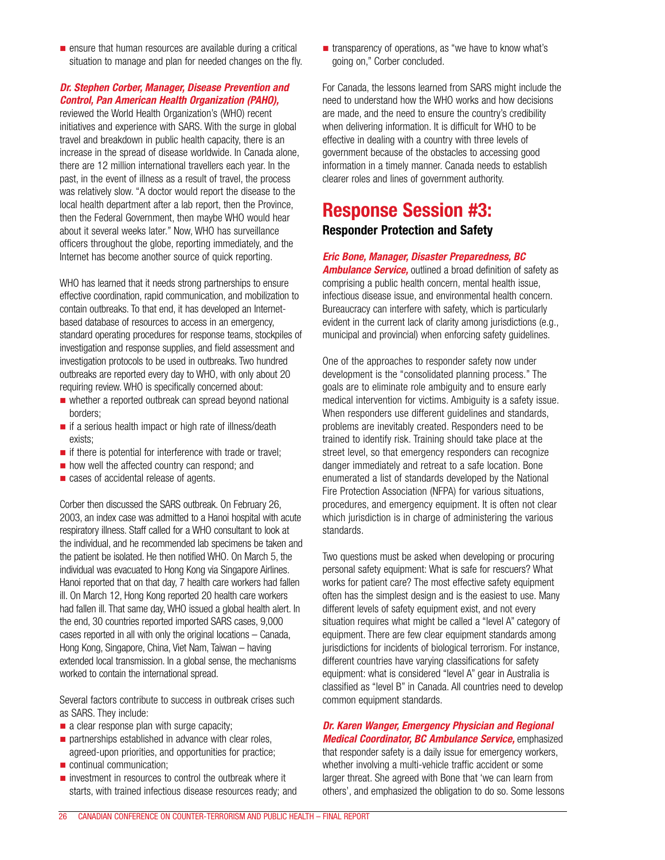$\blacksquare$  ensure that human resources are available during a critical situation to manage and plan for needed changes on the fly.

### *Dr. Stephen Corber, Manager, Disease Prevention and Control, Pan American Health Organization (PAHO),*

reviewed the World Health Organization's (WHO) recent initiatives and experience with SARS. With the surge in global travel and breakdown in public health capacity, there is an increase in the spread of disease worldwide. In Canada alone, there are 12 million international travellers each year. In the past, in the event of illness as a result of travel, the process was relatively slow. "A doctor would report the disease to the local health department after a lab report, then the Province, then the Federal Government, then maybe WHO would hear about it several weeks later." Now, WHO has surveillance officers throughout the globe, reporting immediately, and the Internet has become another source of quick reporting.

WHO has learned that it needs strong partnerships to ensure effective coordination, rapid communication, and mobilization to contain outbreaks. To that end, it has developed an Internetbased database of resources to access in an emergency, standard operating procedures for response teams, stockpiles of investigation and response supplies, and field assessment and investigation protocols to be used in outbreaks. Two hundred outbreaks are reported every day to WHO, with only about 20 requiring review. WHO is specifically concerned about:

- $\blacksquare$  whether a reported outbreak can spread beyond national borders;
- $\blacksquare$  if a serious health impact or high rate of illness/death exists;
- $\blacksquare$  if there is potential for interference with trade or travel;
- $\blacksquare$  how well the affected country can respond; and
- $\blacksquare$  cases of accidental release of agents.

Corber then discussed the SARS outbreak. On February 26, 2003, an index case was admitted to a Hanoi hospital with acute respiratory illness. Staff called for a WHO consultant to look at the individual, and he recommended lab specimens be taken and the patient be isolated. He then notified WHO. On March 5, the individual was evacuated to Hong Kong via Singapore Airlines. Hanoi reported that on that day, 7 health care workers had fallen ill. On March 12, Hong Kong reported 20 health care workers had fallen ill. That same day, WHO issued a global health alert. In the end, 30 countries reported imported SARS cases, 9,000 cases reported in all with only the original locations – Canada, Hong Kong, Singapore, China, Viet Nam, Taiwan – having extended local transmission. In a global sense, the mechanisms worked to contain the international spread.

Several factors contribute to success in outbreak crises such as SARS. They include:

- $\blacksquare$  a clear response plan with surge capacity;
- $\blacksquare$  partnerships established in advance with clear roles, agreed-upon priorities, and opportunities for practice;
- continual communication;
- $\blacksquare$  investment in resources to control the outbreak where it starts, with trained infectious disease resources ready; and

 $\blacksquare$  transparency of operations, as "we have to know what's going on," Corber concluded.

For Canada, the lessons learned from SARS might include the need to understand how the WHO works and how decisions are made, and the need to ensure the country's credibility when delivering information. It is difficult for WHO to be effective in dealing with a country with three levels of government because of the obstacles to accessing good information in a timely manner. Canada needs to establish clearer roles and lines of government authority.

### **Response Session #3: Responder Protection and Safety**

*Eric Bone, Manager, Disaster Preparedness, BC* **Ambulance Service,** outlined a broad definition of safety as comprising a public health concern, mental health issue, infectious disease issue, and environmental health concern. Bureaucracy can interfere with safety, which is particularly evident in the current lack of clarity among jurisdictions (e.g., municipal and provincial) when enforcing safety guidelines.

One of the approaches to responder safety now under development is the "consolidated planning process." The goals are to eliminate role ambiguity and to ensure early medical intervention for victims. Ambiguity is a safety issue. When responders use different guidelines and standards, problems are inevitably created. Responders need to be trained to identify risk. Training should take place at the street level, so that emergency responders can recognize danger immediately and retreat to a safe location. Bone enumerated a list of standards developed by the National Fire Protection Association (NFPA) for various situations, procedures, and emergency equipment. It is often not clear which jurisdiction is in charge of administering the various standards.

Two questions must be asked when developing or procuring personal safety equipment: What is safe for rescuers? What works for patient care? The most effective safety equipment often has the simplest design and is the easiest to use. Many different levels of safety equipment exist, and not every situation requires what might be called a "level A" category of equipment. There are few clear equipment standards among jurisdictions for incidents of biological terrorism. For instance, different countries have varying classifications for safety equipment: what is considered "level A" gear in Australia is classified as "level B" in Canada. All countries need to develop common equipment standards.

*Dr. Karen Wanger, Emergency Physician and Regional Medical Coordinator, BC Ambulance Service,* emphasized that responder safety is a daily issue for emergency workers, whether involving a multi-vehicle traffic accident or some larger threat. She agreed with Bone that 'we can learn from others', and emphasized the obligation to do so. Some lessons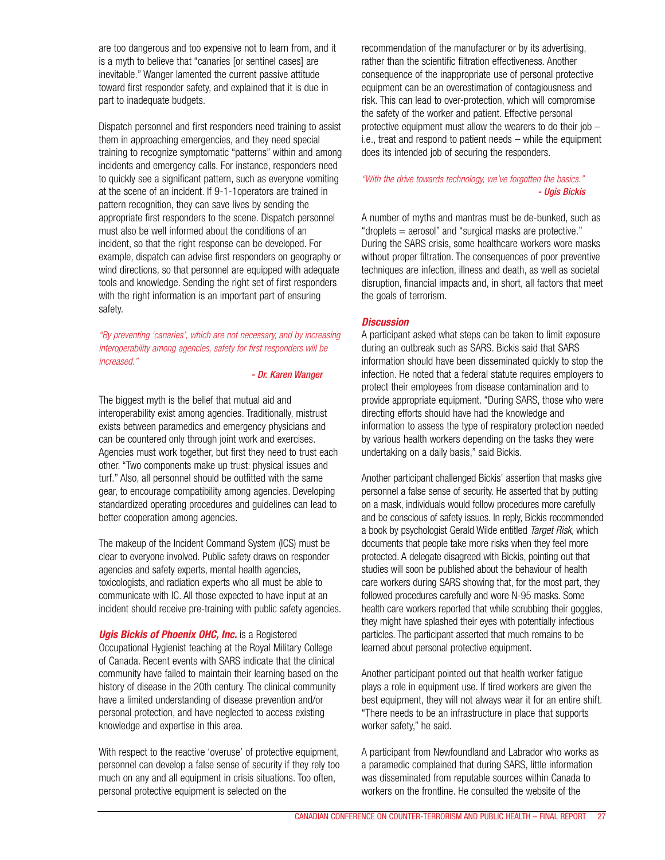are too dangerous and too expensive not to learn from, and it is a myth to believe that "canaries [or sentinel cases] are inevitable." Wanger lamented the current passive attitude toward first responder safety, and explained that it is due in part to inadequate budgets.

Dispatch personnel and first responders need training to assist them in approaching emergencies, and they need special training to recognize symptomatic "patterns" within and among incidents and emergency calls. For instance, responders need to quickly see a significant pattern, such as everyone vomiting at the scene of an incident. If 9-1-1operators are trained in pattern recognition, they can save lives by sending the appropriate first responders to the scene. Dispatch personnel must also be well informed about the conditions of an incident, so that the right response can be developed. For example, dispatch can advise first responders on geography or wind directions, so that personnel are equipped with adequate tools and knowledge. Sending the right set of first responders with the right information is an important part of ensuring safety.

*"By preventing 'canaries', which are not necessary, and by increasing interoperability among agencies, safety for first responders will be increased."*

#### *- Dr. Karen Wanger*

The biggest myth is the belief that mutual aid and interoperability exist among agencies. Traditionally, mistrust exists between paramedics and emergency physicians and can be countered only through joint work and exercises. Agencies must work together, but first they need to trust each other. "Two components make up trust: physical issues and turf." Also, all personnel should be outfitted with the same gear, to encourage compatibility among agencies. Developing standardized operating procedures and guidelines can lead to better cooperation among agencies.

The makeup of the Incident Command System (ICS) must be clear to everyone involved. Public safety draws on responder agencies and safety experts, mental health agencies, toxicologists, and radiation experts who all must be able to communicate with IC. All those expected to have input at an incident should receive pre-training with public safety agencies.

*Ugis Bickis of Phoenix OHC, Inc.* is a Registered Occupational Hygienist teaching at the Royal Military College of Canada. Recent events with SARS indicate that the clinical community have failed to maintain their learning based on the history of disease in the 20th century. The clinical community have a limited understanding of disease prevention and/or personal protection, and have neglected to access existing knowledge and expertise in this area.

With respect to the reactive 'overuse' of protective equipment, personnel can develop a false sense of security if they rely too much on any and all equipment in crisis situations. Too often, personal protective equipment is selected on the

recommendation of the manufacturer or by its advertising, rather than the scientific filtration effectiveness. Another consequence of the inappropriate use of personal protective equipment can be an overestimation of contagiousness and risk. This can lead to over-protection, which will compromise the safety of the worker and patient. Effective personal protective equipment must allow the wearers to do their job – i.e., treat and respond to patient needs – while the equipment does its intended job of securing the responders.

### *"With the drive towards technology, we've forgotten the basics." - Ugis Bickis*

A number of myths and mantras must be de-bunked, such as "droplets = aerosol" and "surgical masks are protective." During the SARS crisis, some healthcare workers wore masks without proper filtration. The consequences of poor preventive techniques are infection, illness and death, as well as societal disruption, financial impacts and, in short, all factors that meet the goals of terrorism.

### *Discussion*

A participant asked what steps can be taken to limit exposure during an outbreak such as SARS. Bickis said that SARS information should have been disseminated quickly to stop the infection. He noted that a federal statute requires employers to protect their employees from disease contamination and to provide appropriate equipment. "During SARS, those who were directing efforts should have had the knowledge and information to assess the type of respiratory protection needed by various health workers depending on the tasks they were undertaking on a daily basis," said Bickis.

Another participant challenged Bickis' assertion that masks give personnel a false sense of security. He asserted that by putting on a mask, individuals would follow procedures more carefully and be conscious of safety issues. In reply, Bickis recommended a book by psychologist Gerald Wilde entitled *Target Risk,* which documents that people take more risks when they feel more protected. A delegate disagreed with Bickis, pointing out that studies will soon be published about the behaviour of health care workers during SARS showing that, for the most part, they followed procedures carefully and wore N-95 masks. Some health care workers reported that while scrubbing their goggles, they might have splashed their eyes with potentially infectious particles. The participant asserted that much remains to be learned about personal protective equipment.

Another participant pointed out that health worker fatigue plays a role in equipment use. If tired workers are given the best equipment, they will not always wear it for an entire shift. "There needs to be an infrastructure in place that supports worker safety," he said.

A participant from Newfoundland and Labrador who works as a paramedic complained that during SARS, little information was disseminated from reputable sources within Canada to workers on the frontline. He consulted the website of the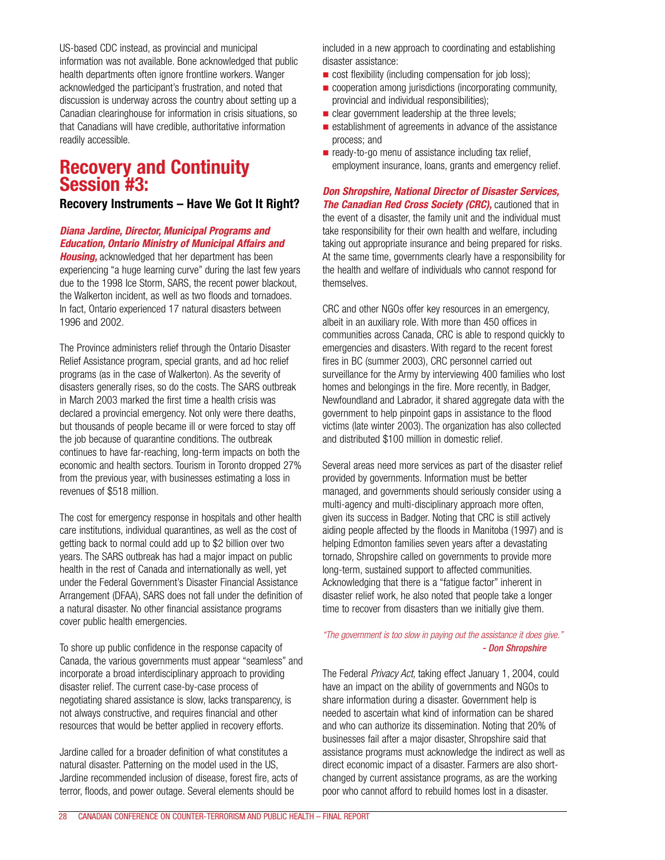US-based CDC instead, as provincial and municipal information was not available. Bone acknowledged that public health departments often janore frontline workers. Wanger acknowledged the participant's frustration, and noted that discussion is underway across the country about setting up a Canadian clearinghouse for information in crisis situations, so that Canadians will have credible, authoritative information readily accessible.

## **Recovery and Continuity Session #3:**

**Recovery Instruments – Have We Got It Right?**

### *Diana Jardine, Director, Municipal Programs and Education, Ontario Ministry of Municipal Affairs and*

*Housing,* acknowledged that her department has been experiencing "a huge learning curve" during the last few years due to the 1998 Ice Storm, SARS, the recent power blackout, the Walkerton incident, as well as two floods and tornadoes. In fact, Ontario experienced 17 natural disasters between 1996 and 2002.

The Province administers relief through the Ontario Disaster Relief Assistance program, special grants, and ad hoc relief programs (as in the case of Walkerton). As the severity of disasters generally rises, so do the costs. The SARS outbreak in March 2003 marked the first time a health crisis was declared a provincial emergency. Not only were there deaths, but thousands of people became ill or were forced to stay off the job because of quarantine conditions. The outbreak continues to have far-reaching, long-term impacts on both the economic and health sectors. Tourism in Toronto dropped 27% from the previous year, with businesses estimating a loss in revenues of \$518 million.

The cost for emergency response in hospitals and other health care institutions, individual quarantines, as well as the cost of getting back to normal could add up to \$2 billion over two years. The SARS outbreak has had a major impact on public health in the rest of Canada and internationally as well, yet under the Federal Government's Disaster Financial Assistance Arrangement (DFAA), SARS does not fall under the definition of a natural disaster. No other financial assistance programs cover public health emergencies.

To shore up public confidence in the response capacity of Canada, the various governments must appear "seamless" and incorporate a broad interdisciplinary approach to providing disaster relief. The current case-by-case process of negotiating shared assistance is slow, lacks transparency, is not always constructive, and requires financial and other resources that would be better applied in recovery efforts.

Jardine called for a broader definition of what constitutes a natural disaster. Patterning on the model used in the US, Jardine recommended inclusion of disease, forest fire, acts of terror, floods, and power outage. Several elements should be

included in a new approach to coordinating and establishing disaster assistance:

- $\blacksquare$  cost flexibility (including compensation for job loss);
- $\blacksquare$  cooperation among jurisdictions (incorporating community, provincial and individual responsibilities);
- $\blacksquare$  clear government leadership at the three levels;
- $\blacksquare$  establishment of agreements in advance of the assistance process; and
- $\blacksquare$  ready-to-go menu of assistance including tax relief, employment insurance, loans, grants and emergency relief.

*Don Shropshire, National Director of Disaster Services, The Canadian Red Cross Society (CRC)*, cautioned that in the event of a disaster, the family unit and the individual must take responsibility for their own health and welfare, including taking out appropriate insurance and being prepared for risks. At the same time, governments clearly have a responsibility for the health and welfare of individuals who cannot respond for themselves.

CRC and other NGOs offer key resources in an emergency, albeit in an auxiliary role. With more than 450 offices in communities across Canada, CRC is able to respond quickly to emergencies and disasters. With regard to the recent forest fires in BC (summer 2003), CRC personnel carried out surveillance for the Army by interviewing 400 families who lost homes and belongings in the fire. More recently, in Badger, Newfoundland and Labrador, it shared aggregate data with the government to help pinpoint gaps in assistance to the flood victims (late winter 2003). The organization has also collected and distributed \$100 million in domestic relief.

Several areas need more services as part of the disaster relief provided by governments. Information must be better managed, and governments should seriously consider using a multi-agency and multi-disciplinary approach more often, given its success in Badger. Noting that CRC is still actively aiding people affected by the floods in Manitoba (1997) and is helping Edmonton families seven years after a devastating tornado, Shropshire called on governments to provide more long-term, sustained support to affected communities. Acknowledging that there is a "fatigue factor" inherent in disaster relief work, he also noted that people take a longer time to recover from disasters than we initially give them.

### *"The government is too slow in paying out the assistance it does give." - Don Shropshire*

The Federal *Privacy Act,* taking effect January 1, 2004, could have an impact on the ability of governments and NGOs to share information during a disaster. Government help is needed to ascertain what kind of information can be shared and who can authorize its dissemination. Noting that 20% of businesses fail after a major disaster, Shropshire said that assistance programs must acknowledge the indirect as well as direct economic impact of a disaster. Farmers are also shortchanged by current assistance programs, as are the working poor who cannot afford to rebuild homes lost in a disaster.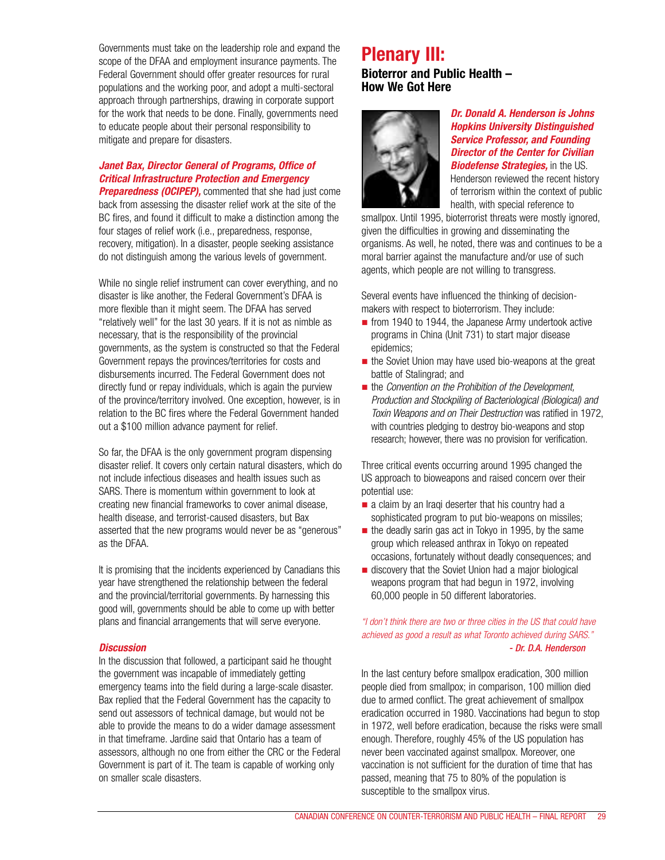Governments must take on the leadership role and expand the scope of the DFAA and employment insurance payments. The Federal Government should offer greater resources for rural populations and the working poor, and adopt a multi-sectoral approach through partnerships, drawing in corporate support for the work that needs to be done. Finally, governments need to educate people about their personal responsibility to mitigate and prepare for disasters.

### *Janet Bax, Director General of Programs, Office of Critical Infrastructure Protection and Emergency*

**Preparedness (OCIPEP),** commented that she had just come back from assessing the disaster relief work at the site of the BC fires, and found it difficult to make a distinction among the four stages of relief work (i.e., preparedness, response, recovery, mitigation). In a disaster, people seeking assistance do not distinguish among the various levels of government.

While no single relief instrument can cover everything, and no disaster is like another, the Federal Government's DFAA is more flexible than it might seem. The DFAA has served "relatively well" for the last 30 years. If it is not as nimble as necessary, that is the responsibility of the provincial governments, as the system is constructed so that the Federal Government repays the provinces/territories for costs and disbursements incurred. The Federal Government does not directly fund or repay individuals, which is again the purview of the province/territory involved. One exception, however, is in relation to the BC fires where the Federal Government handed out a \$100 million advance payment for relief.

So far, the DFAA is the only government program dispensing disaster relief. It covers only certain natural disasters, which do not include infectious diseases and health issues such as SARS. There is momentum within government to look at creating new financial frameworks to cover animal disease, health disease, and terrorist-caused disasters, but Bax asserted that the new programs would never be as "generous" as the DFAA.

It is promising that the incidents experienced by Canadians this year have strengthened the relationship between the federal and the provincial/territorial governments. By harnessing this good will, governments should be able to come up with better plans and financial arrangements that will serve everyone.

### *Discussion*

In the discussion that followed, a participant said he thought the government was incapable of immediately getting emergency teams into the field during a large-scale disaster. Bax replied that the Federal Government has the capacity to send out assessors of technical damage, but would not be able to provide the means to do a wider damage assessment in that timeframe. Jardine said that Ontario has a team of assessors, although no one from either the CRC or the Federal Government is part of it. The team is capable of working only on smaller scale disasters.

## **Plenary III:**

### **Bioterror and Public Health – How We Got Here**



*Dr. Donald A. Henderson is Johns Hopkins University Distinguished Service Professor, and Founding Director of the Center for Civilian Biodefense Strategies,* in the US. Henderson reviewed the recent history of terrorism within the context of public health, with special reference to

smallpox. Until 1995, bioterrorist threats were mostly ignored. given the difficulties in growing and disseminating the organisms. As well, he noted, there was and continues to be a moral barrier against the manufacture and/or use of such agents, which people are not willing to transgress.

Several events have influenced the thinking of decisionmakers with respect to bioterrorism. They include:

- $\blacksquare$  from 1940 to 1944, the Japanese Army undertook active programs in China (Unit 731) to start major disease epidemics;
- $\blacksquare$  the Soviet Union may have used bio-weapons at the great battle of Stalingrad; and
- the *Convention on the Prohibition of the Development*, *Production and Stockpiling of Bacteriological (Biological) and Toxin Weapons and on Their Destruction* was ratified in 1972, with countries pledging to destroy bio-weapons and stop research; however, there was no provision for verification.

Three critical events occurring around 1995 changed the US approach to bioweapons and raised concern over their potential use:

- $\blacksquare$  a claim by an Iraqi deserter that his country had a sophisticated program to put bio-weapons on missiles;
- $\blacksquare$  the deadly sarin gas act in Tokyo in 1995, by the same group which released anthrax in Tokyo on repeated occasions, fortunately without deadly consequences; and
- $\blacksquare$  discovery that the Soviet Union had a major biological weapons program that had begun in 1972, involving 60,000 people in 50 different laboratories.

*"I don't think there are two or three cities in the US that could have achieved as good a result as what Toronto achieved during SARS." - Dr. D.A. Henderson*

In the last century before smallpox eradication, 300 million people died from smallpox; in comparison, 100 million died due to armed conflict. The great achievement of smallpox eradication occurred in 1980. Vaccinations had begun to stop in 1972, well before eradication, because the risks were small enough. Therefore, roughly 45% of the US population has never been vaccinated against smallpox. Moreover, one vaccination is not sufficient for the duration of time that has passed, meaning that 75 to 80% of the population is susceptible to the smallpox virus.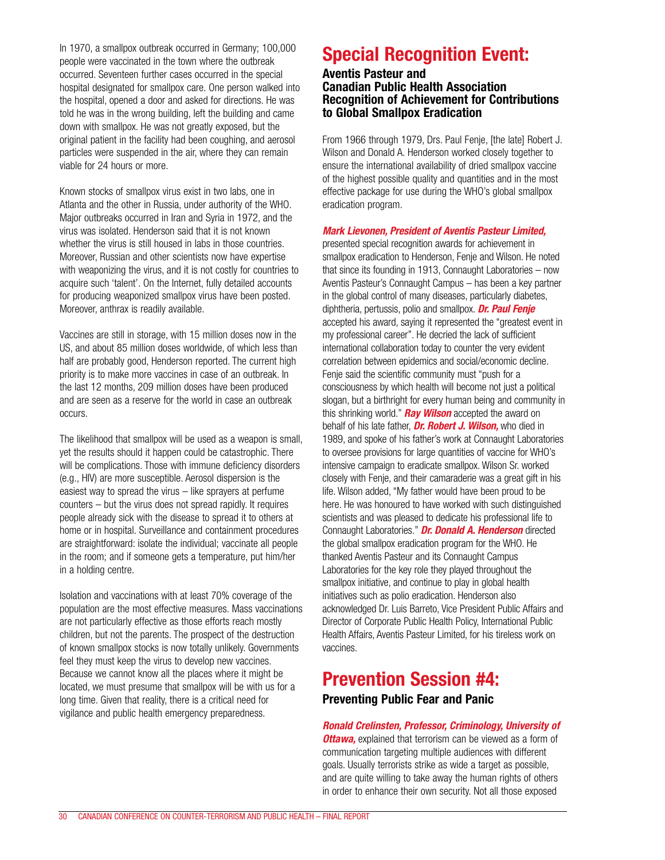In 1970, a smallpox outbreak occurred in Germany; 100,000 people were vaccinated in the town where the outbreak occurred. Seventeen further cases occurred in the special hospital designated for smallpox care. One person walked into the hospital, opened a door and asked for directions. He was told he was in the wrong building, left the building and came down with smallpox. He was not greatly exposed, but the original patient in the facility had been coughing, and aerosol particles were suspended in the air, where they can remain viable for 24 hours or more.

Known stocks of smallpox virus exist in two labs, one in Atlanta and the other in Russia, under authority of the WHO. Major outbreaks occurred in Iran and Syria in 1972, and the virus was isolated. Henderson said that it is not known whether the virus is still housed in labs in those countries. Moreover, Russian and other scientists now have expertise with weaponizing the virus, and it is not costly for countries to acquire such 'talent'. On the Internet, fully detailed accounts for producing weaponized smallpox virus have been posted. Moreover, anthrax is readily available.

Vaccines are still in storage, with 15 million doses now in the US, and about 85 million doses worldwide, of which less than half are probably good. Henderson reported. The current high priority is to make more vaccines in case of an outbreak. In the last 12 months, 209 million doses have been produced and are seen as a reserve for the world in case an outbreak occurs.

The likelihood that smallpox will be used as a weapon is small, yet the results should it happen could be catastrophic. There will be complications. Those with immune deficiency disorders (e.g., HIV) are more susceptible. Aerosol dispersion is the easiest way to spread the virus – like sprayers at perfume counters – but the virus does not spread rapidly. It requires people already sick with the disease to spread it to others at home or in hospital. Surveillance and containment procedures are straightforward: isolate the individual; vaccinate all people in the room; and if someone gets a temperature, put him/her in a holding centre.

Isolation and vaccinations with at least 70% coverage of the population are the most effective measures. Mass vaccinations are not particularly effective as those efforts reach mostly children, but not the parents. The prospect of the destruction of known smallpox stocks is now totally unlikely. Governments feel they must keep the virus to develop new vaccines. Because we cannot know all the places where it might be located, we must presume that smallpox will be with us for a long time. Given that reality, there is a critical need for vigilance and public health emergency preparedness.

## **Special Recognition Event:**

### **Aventis Pasteur and Canadian Public Health Association Recognition of Achievement for Contributions to Global Smallpox Eradication**

From 1966 through 1979, Drs. Paul Fenje, [the late] Robert J. Wilson and Donald A. Henderson worked closely together to ensure the international availability of dried smallpox vaccine of the highest possible quality and quantities and in the most effective package for use during the WHO's global smallpox eradication program.

### *Mark Lievonen, President of Aventis Pasteur Limited,*

presented special recognition awards for achievement in smallpox eradication to Henderson, Fenje and Wilson. He noted that since its founding in 1913, Connaught Laboratories – now Aventis Pasteur's Connaught Campus – has been a key partner in the global control of many diseases, particularly diabetes, diphtheria, pertussis, polio and smallpox. *Dr. Paul Fenje* accepted his award, saying it represented the "greatest event in my professional career". He decried the lack of sufficient international collaboration today to counter the very evident correlation between epidemics and social/economic decline. Fenje said the scientific community must "push for a consciousness by which health will become not just a political slogan, but a birthright for every human being and community in this shrinking world." *Ray Wilson* accepted the award on behalf of his late father, *Dr. Robert J. Wilson,* who died in 1989, and spoke of his father's work at Connaught Laboratories to oversee provisions for large quantities of vaccine for WHO's intensive campaign to eradicate smallpox. Wilson Sr. worked closely with Fenje, and their camaraderie was a great gift in his life. Wilson added, "My father would have been proud to be here. He was honoured to have worked with such distinguished scientists and was pleased to dedicate his professional life to Connaught Laboratories." *Dr. Donald A. Henderson* directed the global smallpox eradication program for the WHO. He thanked Aventis Pasteur and its Connaught Campus Laboratories for the key role they played throughout the smallpox initiative, and continue to play in global health initiatives such as polio eradication. Henderson also acknowledged Dr. Luis Barreto, Vice President Public Affairs and Director of Corporate Public Health Policy, International Public Health Affairs, Aventis Pasteur Limited, for his tireless work on vaccines.

# **Prevention Session #4:**

### **Preventing Public Fear and Panic**

*Ronald Crelinsten, Professor, Criminology, University of Ottawa,* explained that terrorism can be viewed as a form of communication targeting multiple audiences with different goals. Usually terrorists strike as wide a target as possible, and are quite willing to take away the human rights of others

in order to enhance their own security. Not all those exposed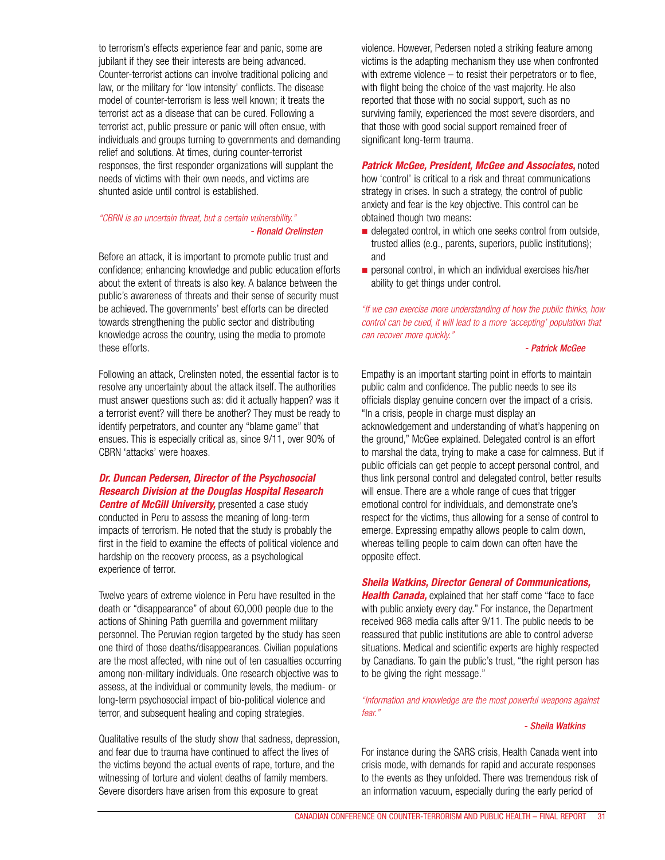to terrorism's effects experience fear and panic, some are jubilant if they see their interests are being advanced. Counter-terrorist actions can involve traditional policing and law, or the military for 'low intensity' conflicts. The disease model of counter-terrorism is less well known; it treats the terrorist act as a disease that can be cured. Following a terrorist act, public pressure or panic will often ensue, with individuals and groups turning to governments and demanding relief and solutions. At times, during counter-terrorist responses, the first responder organizations will supplant the needs of victims with their own needs, and victims are shunted aside until control is established.

### *"CBRN is an uncertain threat, but a certain vulnerability." - Ronald Crelinsten*

Before an attack, it is important to promote public trust and confidence; enhancing knowledge and public education efforts about the extent of threats is also key. A balance between the public's awareness of threats and their sense of security must be achieved. The governments' best efforts can be directed towards strengthening the public sector and distributing knowledge across the country, using the media to promote these efforts.

Following an attack, Crelinsten noted, the essential factor is to resolve any uncertainty about the attack itself. The authorities must answer questions such as: did it actually happen? was it a terrorist event? will there be another? They must be ready to identify perpetrators, and counter any "blame game" that ensues. This is especially critical as, since 9/11, over 90% of CBRN 'attacks' were hoaxes.

### *Dr. Duncan Pedersen, Director of the Psychosocial Research Division at the Douglas Hospital Research*

*Centre of McGill University, presented a case study* conducted in Peru to assess the meaning of long-term impacts of terrorism. He noted that the study is probably the first in the field to examine the effects of political violence and hardship on the recovery process, as a psychological experience of terror.

Twelve years of extreme violence in Peru have resulted in the death or "disappearance" of about 60,000 people due to the actions of Shining Path guerrilla and government military personnel. The Peruvian region targeted by the study has seen one third of those deaths/disappearances. Civilian populations are the most affected, with nine out of ten casualties occurring among non-military individuals. One research objective was to assess, at the individual or community levels, the medium- or long-term psychosocial impact of bio-political violence and terror, and subsequent healing and coping strategies.

Qualitative results of the study show that sadness, depression, and fear due to trauma have continued to affect the lives of the victims beyond the actual events of rape, torture, and the witnessing of torture and violent deaths of family members. Severe disorders have arisen from this exposure to great

violence. However, Pedersen noted a striking feature among victims is the adapting mechanism they use when confronted with extreme violence – to resist their perpetrators or to flee. with flight being the choice of the vast majority. He also reported that those with no social support, such as no surviving family, experienced the most severe disorders, and that those with good social support remained freer of significant long-term trauma.

### *Patrick McGee, President, McGee and Associates,* noted

how 'control' is critical to a risk and threat communications strategy in crises. In such a strategy, the control of public anxiety and fear is the key objective. This control can be obtained though two means:

- $\blacksquare$  delegated control, in which one seeks control from outside, trusted allies (e.g., parents, superiors, public institutions); and
- $\blacksquare$  personal control, in which an individual exercises his/her ability to get things under control.

*"If we can exercise more understanding of how the public thinks, how control can be cued, it will lead to a more 'accepting' population that can recover more quickly."*

#### *- Patrick McGee*

Empathy is an important starting point in efforts to maintain public calm and confidence. The public needs to see its officials display genuine concern over the impact of a crisis. "In a crisis, people in charge must display an acknowledgement and understanding of what's happening on the ground," McGee explained. Delegated control is an effort to marshal the data, trying to make a case for calmness. But if public officials can get people to accept personal control, and thus link personal control and delegated control, better results will ensue. There are a whole range of cues that trigger emotional control for individuals, and demonstrate one's respect for the victims, thus allowing for a sense of control to emerge. Expressing empathy allows people to calm down, whereas telling people to calm down can often have the opposite effect.

*Sheila Watkins, Director General of Communications,* **Health Canada,** explained that her staff come "face to face with public anxiety every day." For instance, the Department received 968 media calls after 9/11. The public needs to be reassured that public institutions are able to control adverse situations. Medical and scientific experts are highly respected by Canadians. To gain the public's trust, "the right person has to be giving the right message."

### *"Information and knowledge are the most powerful weapons against fear."*

### *- Sheila Watkins*

For instance during the SARS crisis, Health Canada went into crisis mode, with demands for rapid and accurate responses to the events as they unfolded. There was tremendous risk of an information vacuum, especially during the early period of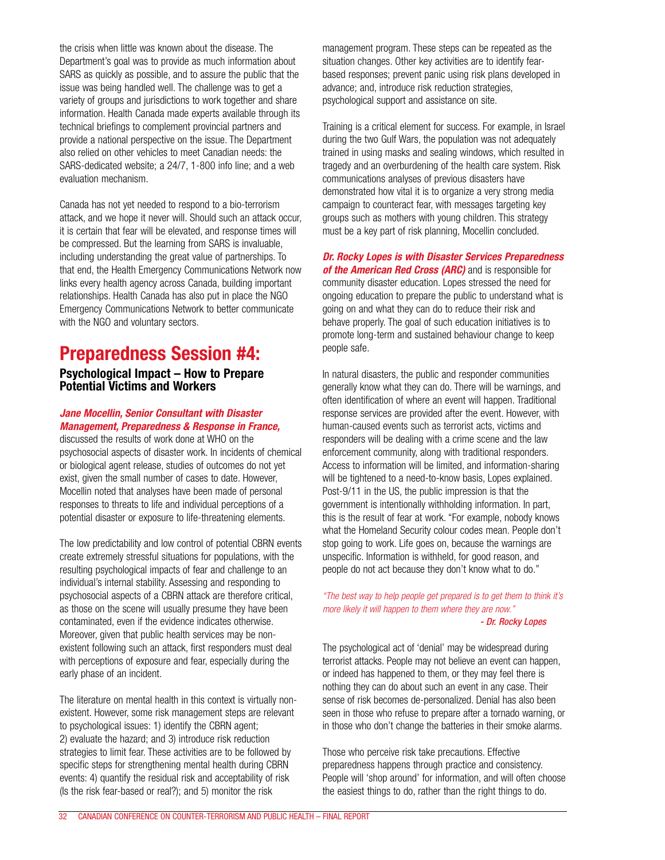the crisis when little was known about the disease. The Department's goal was to provide as much information about SARS as quickly as possible, and to assure the public that the issue was being handled well. The challenge was to get a variety of groups and jurisdictions to work together and share information. Health Canada made experts available through its technical briefings to complement provincial partners and provide a national perspective on the issue. The Department also relied on other vehicles to meet Canadian needs: the SARS-dedicated website; a 24/7, 1-800 info line; and a web evaluation mechanism.

Canada has not yet needed to respond to a bio-terrorism attack, and we hope it never will. Should such an attack occur, it is certain that fear will be elevated, and response times will be compressed. But the learning from SARS is invaluable, including understanding the great value of partnerships. To that end, the Health Emergency Communications Network now links every health agency across Canada, building important relationships. Health Canada has also put in place the NGO Emergency Communications Network to better communicate with the NGO and voluntary sectors.

## **Preparedness Session #4:**

### **Psychological Impact – How to Prepare Potential Victims and Workers**

### *Jane Mocellin, Senior Consultant with Disaster Management, Preparedness & Response in France,*

discussed the results of work done at WHO on the psychosocial aspects of disaster work. In incidents of chemical or biological agent release, studies of outcomes do not yet exist, given the small number of cases to date. However, Mocellin noted that analyses have been made of personal responses to threats to life and individual perceptions of a potential disaster or exposure to life-threatening elements.

The low predictability and low control of potential CBRN events create extremely stressful situations for populations, with the resulting psychological impacts of fear and challenge to an individual's internal stability. Assessing and responding to psychosocial aspects of a CBRN attack are therefore critical, as those on the scene will usually presume they have been contaminated, even if the evidence indicates otherwise. Moreover, given that public health services may be nonexistent following such an attack, first responders must deal with perceptions of exposure and fear, especially during the early phase of an incident.

The literature on mental health in this context is virtually nonexistent. However, some risk management steps are relevant to psychological issues: 1) identify the CBRN agent; 2) evaluate the hazard; and 3) introduce risk reduction strategies to limit fear. These activities are to be followed by specific steps for strengthening mental health during CBRN events: 4) quantify the residual risk and acceptability of risk (Is the risk fear-based or real?); and 5) monitor the risk

management program. These steps can be repeated as the situation changes. Other key activities are to identify fearbased responses; prevent panic using risk plans developed in advance; and, introduce risk reduction strategies, psychological support and assistance on site.

Training is a critical element for success. For example, in Israel during the two Gulf Wars, the population was not adequately trained in using masks and sealing windows, which resulted in tragedy and an overburdening of the health care system. Risk communications analyses of previous disasters have demonstrated how vital it is to organize a very strong media campaign to counteract fear, with messages targeting key groups such as mothers with young children. This strategy must be a key part of risk planning, Mocellin concluded.

*Dr. Rocky Lopes is with Disaster Services Preparedness of the American Red Cross (ARC)* and is responsible for community disaster education. Lopes stressed the need for ongoing education to prepare the public to understand what is going on and what they can do to reduce their risk and behave properly. The goal of such education initiatives is to promote long-term and sustained behaviour change to keep people safe.

In natural disasters, the public and responder communities generally know what they can do. There will be warnings, and often identification of where an event will happen. Traditional response services are provided after the event. However, with human-caused events such as terrorist acts, victims and responders will be dealing with a crime scene and the law enforcement community, along with traditional responders. Access to information will be limited, and information-sharing will be tightened to a need-to-know basis, Lopes explained. Post-9/11 in the US, the public impression is that the government is intentionally withholding information. In part, this is the result of fear at work. "For example, nobody knows what the Homeland Security colour codes mean. People don't stop going to work. Life goes on, because the warnings are unspecific. Information is withheld, for good reason, and people do not act because they don't know what to do."

*"The best way to help people get prepared is to get them to think it's more likely it will happen to them where they are now." - Dr. Rocky Lopes*

The psychological act of 'denial' may be widespread during terrorist attacks. People may not believe an event can happen, or indeed has happened to them, or they may feel there is nothing they can do about such an event in any case. Their sense of risk becomes de-personalized. Denial has also been seen in those who refuse to prepare after a tornado warning, or in those who don't change the batteries in their smoke alarms.

Those who perceive risk take precautions. Effective preparedness happens through practice and consistency. People will 'shop around' for information, and will often choose the easiest things to do, rather than the right things to do.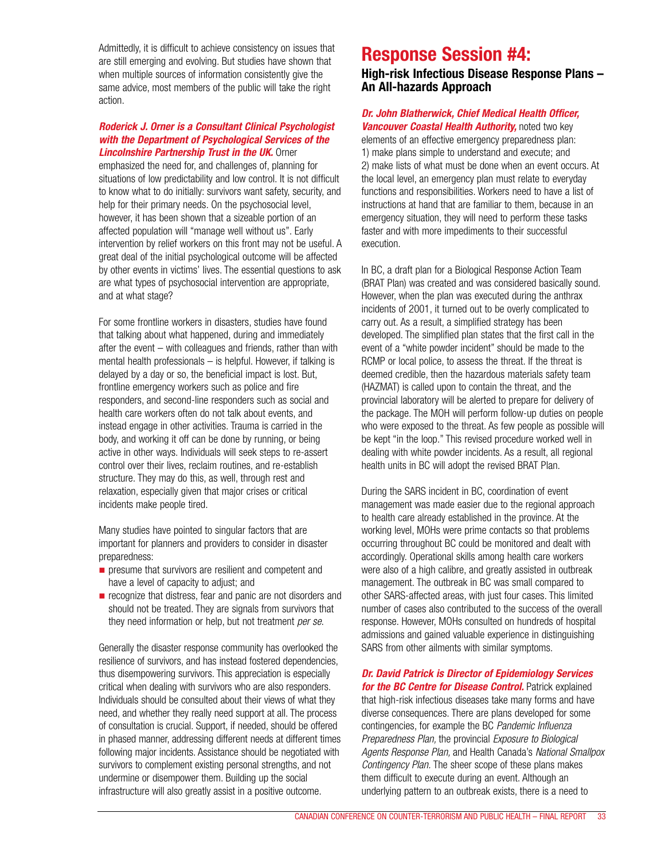Admittedly, it is difficult to achieve consistency on issues that are still emerging and evolving. But studies have shown that when multiple sources of information consistently give the same advice, most members of the public will take the right action.

### *Roderick J. Orner is a Consultant Clinical Psychologist with the Department of Psychological Services of the Lincolnshire Partnership Trust in the UK. Orner*

emphasized the need for, and challenges of, planning for situations of low predictability and low control. It is not difficult to know what to do initially: survivors want safety, security, and help for their primary needs. On the psychosocial level, however, it has been shown that a sizeable portion of an affected population will "manage well without us". Early intervention by relief workers on this front may not be useful. A great deal of the initial psychological outcome will be affected by other events in victims' lives. The essential questions to ask are what types of psychosocial intervention are appropriate, and at what stage?

For some frontline workers in disasters, studies have found that talking about what happened, during and immediately after the event – with colleagues and friends, rather than with mental health professionals – is helpful. However, if talking is delayed by a day or so, the beneficial impact is lost. But, frontline emergency workers such as police and fire responders, and second-line responders such as social and health care workers often do not talk about events, and instead engage in other activities. Trauma is carried in the body, and working it off can be done by running, or being active in other ways. Individuals will seek steps to re-assert control over their lives, reclaim routines, and re-establish structure. They may do this, as well, through rest and relaxation, especially given that major crises or critical incidents make people tired.

Many studies have pointed to singular factors that are important for planners and providers to consider in disaster preparedness:

- $\blacksquare$  presume that survivors are resilient and competent and have a level of capacity to adjust; and
- $\blacksquare$  recognize that distress, fear and panic are not disorders and should not be treated. They are signals from survivors that they need information or help, but not treatment *per se*.

Generally the disaster response community has overlooked the resilience of survivors, and has instead fostered dependencies, thus disempowering survivors. This appreciation is especially critical when dealing with survivors who are also responders. Individuals should be consulted about their views of what they need, and whether they really need support at all. The process of consultation is crucial. Support, if needed, should be offered in phased manner, addressing different needs at different times following major incidents. Assistance should be negotiated with survivors to complement existing personal strengths, and not undermine or disempower them. Building up the social infrastructure will also greatly assist in a positive outcome.

## **Response Session #4:**

### **High-risk Infectious Disease Response Plans – An All-hazards Approach**

### *Dr. John Blatherwick, Chief Medical Health Officer, Vancouver Coastal Health Authority,* noted two key

elements of an effective emergency preparedness plan: 1) make plans simple to understand and execute; and 2) make lists of what must be done when an event occurs. At the local level, an emergency plan must relate to everyday functions and responsibilities. Workers need to have a list of instructions at hand that are familiar to them, because in an emergency situation, they will need to perform these tasks faster and with more impediments to their successful execution.

In BC, a draft plan for a Biological Response Action Team (BRAT Plan) was created and was considered basically sound. However, when the plan was executed during the anthrax incidents of 2001, it turned out to be overly complicated to carry out. As a result, a simplified strategy has been developed. The simplified plan states that the first call in the event of a "white powder incident" should be made to the RCMP or local police, to assess the threat. If the threat is deemed credible, then the hazardous materials safety team (HAZMAT) is called upon to contain the threat, and the provincial laboratory will be alerted to prepare for delivery of the package. The MOH will perform follow-up duties on people who were exposed to the threat. As few people as possible will be kept "in the loop." This revised procedure worked well in dealing with white powder incidents. As a result, all regional health units in BC will adopt the revised BRAT Plan.

During the SARS incident in BC, coordination of event management was made easier due to the regional approach to health care already established in the province. At the working level, MOHs were prime contacts so that problems occurring throughout BC could be monitored and dealt with accordingly. Operational skills among health care workers were also of a high calibre, and greatly assisted in outbreak management. The outbreak in BC was small compared to other SARS-affected areas, with just four cases. This limited number of cases also contributed to the success of the overall response. However, MOHs consulted on hundreds of hospital admissions and gained valuable experience in distinguishing SARS from other ailments with similar symptoms.

*Dr. David Patrick is Director of Epidemiology Services for the BC Centre for Disease Control.* Patrick explained that high-risk infectious diseases take many forms and have diverse consequences. There are plans developed for some contingencies, for example the BC *Pandemic Influenza Preparedness Plan,* the provincial *Exposure to Biological Agents Response Plan,* and Health Canada's *National Smallpox Contingency Plan.* The sheer scope of these plans makes them difficult to execute during an event. Although an underlying pattern to an outbreak exists, there is a need to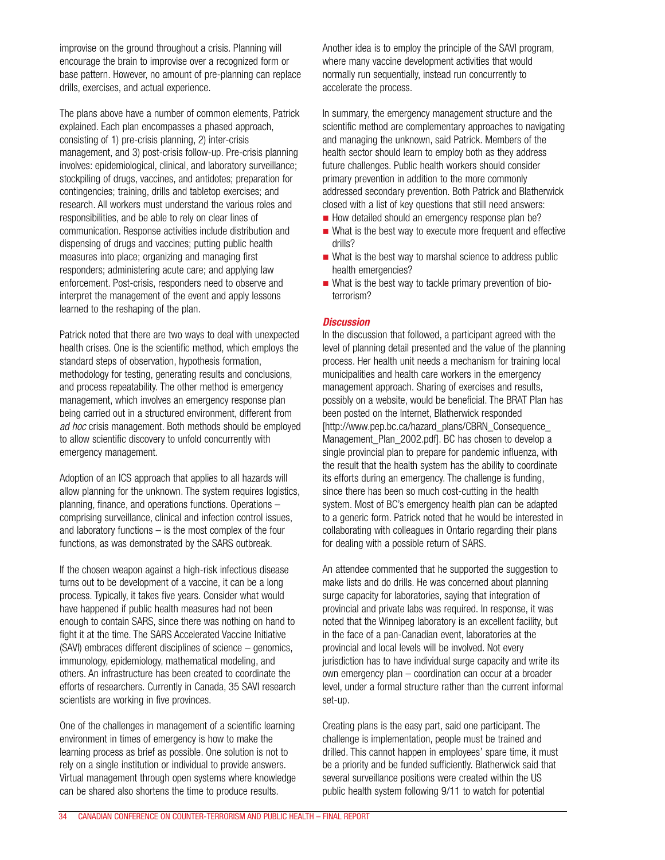improvise on the ground throughout a crisis. Planning will encourage the brain to improvise over a recognized form or base pattern. However, no amount of pre-planning can replace drills, exercises, and actual experience.

The plans above have a number of common elements, Patrick explained. Each plan encompasses a phased approach, consisting of 1) pre-crisis planning, 2) inter-crisis management, and 3) post-crisis follow-up. Pre-crisis planning involves: epidemiological, clinical, and laboratory surveillance; stockpiling of drugs, vaccines, and antidotes; preparation for contingencies; training, drills and tabletop exercises; and research. All workers must understand the various roles and responsibilities, and be able to rely on clear lines of communication. Response activities include distribution and dispensing of drugs and vaccines; putting public health measures into place; organizing and managing first responders; administering acute care; and applying law enforcement. Post-crisis, responders need to observe and interpret the management of the event and apply lessons learned to the reshaping of the plan.

Patrick noted that there are two ways to deal with unexpected health crises. One is the scientific method, which employs the standard steps of observation, hypothesis formation, methodology for testing, generating results and conclusions, and process repeatability. The other method is emergency management, which involves an emergency response plan being carried out in a structured environment, different from *ad hoc* crisis management. Both methods should be employed to allow scientific discovery to unfold concurrently with emergency management.

Adoption of an ICS approach that applies to all hazards will allow planning for the unknown. The system requires logistics, planning, finance, and operations functions. Operations – comprising surveillance, clinical and infection control issues, and laboratory functions – is the most complex of the four functions, as was demonstrated by the SARS outbreak.

If the chosen weapon against a high-risk infectious disease turns out to be development of a vaccine, it can be a long process. Typically, it takes five years. Consider what would have happened if public health measures had not been enough to contain SARS, since there was nothing on hand to fight it at the time. The SARS Accelerated Vaccine Initiative (SAVI) embraces different disciplines of science – genomics, immunology, epidemiology, mathematical modeling, and others. An infrastructure has been created to coordinate the efforts of researchers. Currently in Canada, 35 SAVI research scientists are working in five provinces.

One of the challenges in management of a scientific learning environment in times of emergency is how to make the learning process as brief as possible. One solution is not to rely on a single institution or individual to provide answers. Virtual management through open systems where knowledge can be shared also shortens the time to produce results.

Another idea is to employ the principle of the SAVI program, where many vaccine development activities that would normally run sequentially, instead run concurrently to accelerate the process.

In summary, the emergency management structure and the scientific method are complementary approaches to navigating and managing the unknown, said Patrick. Members of the health sector should learn to employ both as they address future challenges. Public health workers should consider primary prevention in addition to the more commonly addressed secondary prevention. Both Patrick and Blatherwick closed with a list of key questions that still need answers:

- $\blacksquare$  How detailed should an emergency response plan be?
- $\blacksquare$  What is the best way to execute more frequent and effective drills?
- $\blacksquare$  What is the best way to marshal science to address public health emergencies?
- $\blacksquare$  What is the best way to tackle primary prevention of bioterrorism?

### *Discussion*

In the discussion that followed, a participant agreed with the level of planning detail presented and the value of the planning process. Her health unit needs a mechanism for training local municipalities and health care workers in the emergency management approach. Sharing of exercises and results, possibly on a website, would be beneficial. The BRAT Plan has been posted on the Internet, Blatherwick responded [http://www.pep.bc.ca/hazard\_plans/CBRN\_Consequence Management Plan 2002.pdf]. BC has chosen to develop a single provincial plan to prepare for pandemic influenza, with the result that the health system has the ability to coordinate its efforts during an emergency. The challenge is funding, since there has been so much cost-cutting in the health system. Most of BC's emergency health plan can be adapted to a generic form. Patrick noted that he would be interested in collaborating with colleagues in Ontario regarding their plans for dealing with a possible return of SARS.

An attendee commented that he supported the suggestion to make lists and do drills. He was concerned about planning surge capacity for laboratories, saying that integration of provincial and private labs was required. In response, it was noted that the Winnipeg laboratory is an excellent facility, but in the face of a pan-Canadian event, laboratories at the provincial and local levels will be involved. Not every jurisdiction has to have individual surge capacity and write its own emergency plan – coordination can occur at a broader level, under a formal structure rather than the current informal set-up.

Creating plans is the easy part, said one participant. The challenge is implementation, people must be trained and drilled. This cannot happen in employees' spare time, it must be a priority and be funded sufficiently. Blatherwick said that several surveillance positions were created within the US public health system following 9/11 to watch for potential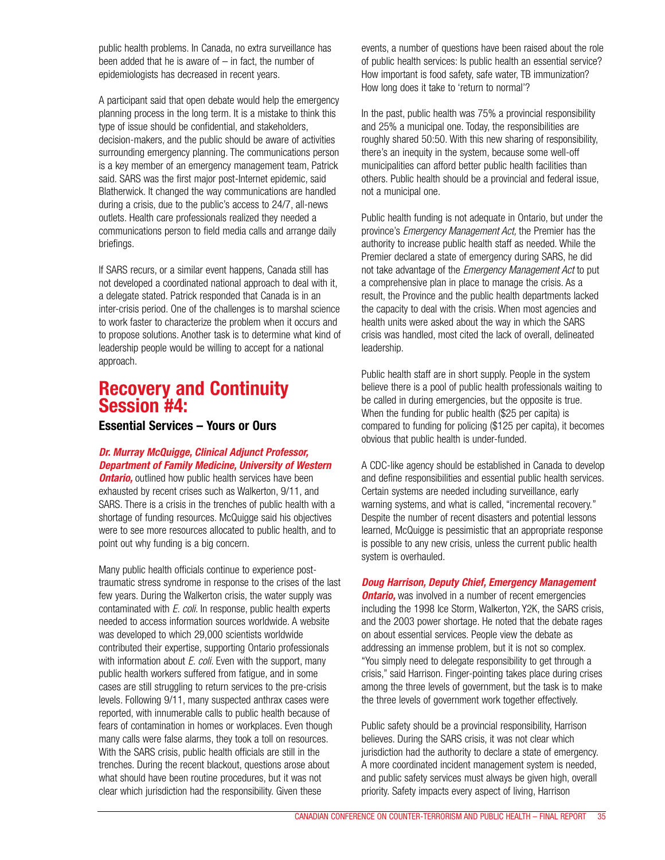public health problems. In Canada, no extra surveillance has been added that he is aware of  $-$  in fact, the number of epidemiologists has decreased in recent years.

A participant said that open debate would help the emergency planning process in the long term. It is a mistake to think this type of issue should be confidential, and stakeholders, decision-makers, and the public should be aware of activities surrounding emergency planning. The communications person is a key member of an emergency management team, Patrick said. SARS was the first major post-Internet epidemic, said Blatherwick. It changed the way communications are handled during a crisis, due to the public's access to 24/7, all-news outlets. Health care professionals realized they needed a communications person to field media calls and arrange daily briefings.

If SARS recurs, or a similar event happens, Canada still has not developed a coordinated national approach to deal with it, a delegate stated. Patrick responded that Canada is in an inter-crisis period. One of the challenges is to marshal science to work faster to characterize the problem when it occurs and to propose solutions. Another task is to determine what kind of leadership people would be willing to accept for a national approach.

### **Recovery and Continuity Session #4:**

**Essential Services – Yours or Ours**

### *Dr. Murray McQuigge, Clinical Adjunct Professor, Department of Family Medicine, University of Western*

**Ontario**, outlined how public health services have been exhausted by recent crises such as Walkerton, 9/11, and SARS. There is a crisis in the trenches of public health with a shortage of funding resources. McQuigge said his objectives were to see more resources allocated to public health, and to point out why funding is a big concern.

Many public health officials continue to experience posttraumatic stress syndrome in response to the crises of the last few years. During the Walkerton crisis, the water supply was contaminated with *E. coli.* In response, public health experts needed to access information sources worldwide. A website was developed to which 29,000 scientists worldwide contributed their expertise, supporting Ontario professionals with information about *E. coli.* Even with the support, many public health workers suffered from fatigue, and in some cases are still struggling to return services to the pre-crisis levels. Following 9/11, many suspected anthrax cases were reported, with innumerable calls to public health because of fears of contamination in homes or workplaces. Even though many calls were false alarms, they took a toll on resources. With the SARS crisis, public health officials are still in the trenches. During the recent blackout, questions arose about what should have been routine procedures, but it was not clear which jurisdiction had the responsibility. Given these

events, a number of questions have been raised about the role of public health services: Is public health an essential service? How important is food safety, safe water, TB immunization? How long does it take to 'return to normal'?

In the past, public health was 75% a provincial responsibility and 25% a municipal one. Today, the responsibilities are roughly shared 50:50. With this new sharing of responsibility, there's an inequity in the system, because some well-off municipalities can afford better public health facilities than others. Public health should be a provincial and federal issue, not a municipal one.

Public health funding is not adequate in Ontario, but under the province's *Emergency Management Act,* the Premier has the authority to increase public health staff as needed. While the Premier declared a state of emergency during SARS, he did not take advantage of the *Emergency Management Act* to put a comprehensive plan in place to manage the crisis. As a result, the Province and the public health departments lacked the capacity to deal with the crisis. When most agencies and health units were asked about the way in which the SARS crisis was handled, most cited the lack of overall, delineated leadership.

Public health staff are in short supply. People in the system believe there is a pool of public health professionals waiting to be called in during emergencies, but the opposite is true. When the funding for public health (\$25 per capita) is compared to funding for policing (\$125 per capita), it becomes obvious that public health is under-funded.

A CDC-like agency should be established in Canada to develop and define responsibilities and essential public health services. Certain systems are needed including surveillance, early warning systems, and what is called, "incremental recovery." Despite the number of recent disasters and potential lessons learned, McQuigge is pessimistic that an appropriate response is possible to any new crisis, unless the current public health system is overhauled.

### *Doug Harrison, Deputy Chief, Emergency Management*

*Ontario,* was involved in a number of recent emergencies including the 1998 Ice Storm, Walkerton, Y2K, the SARS crisis, and the 2003 power shortage. He noted that the debate rages on about essential services. People view the debate as addressing an immense problem, but it is not so complex. "You simply need to delegate responsibility to get through a crisis," said Harrison. Finger-pointing takes place during crises among the three levels of government, but the task is to make the three levels of government work together effectively.

Public safety should be a provincial responsibility, Harrison believes. During the SARS crisis, it was not clear which jurisdiction had the authority to declare a state of emergency. A more coordinated incident management system is needed, and public safety services must always be given high, overall priority. Safety impacts every aspect of living, Harrison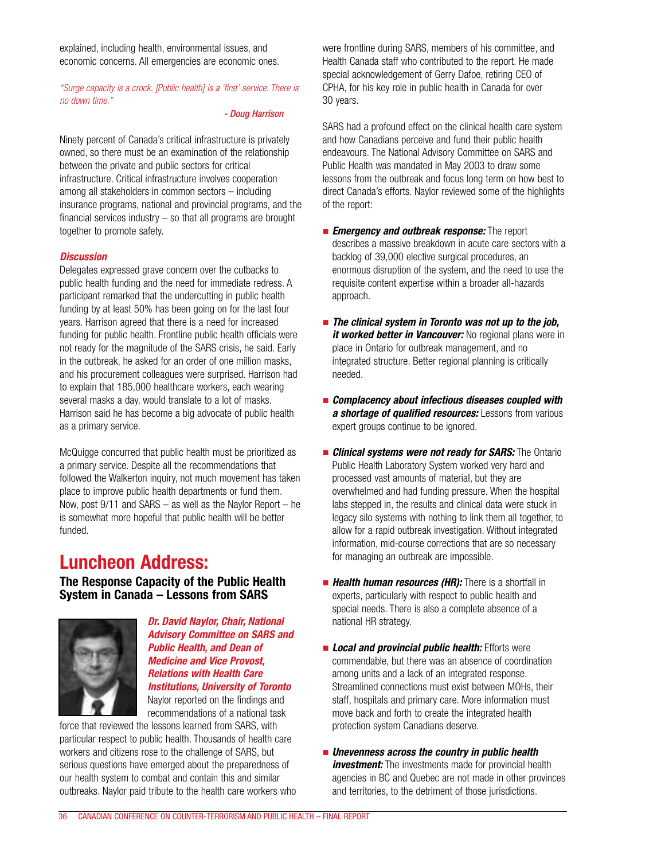explained, including health, environmental issues, and economic concerns. All emergencies are economic ones.

*"Surge capacity is a crock. [Public health] is a 'first' service. There is no down time."*

#### *- Doug Harrison*

Ninety percent of Canada's critical infrastructure is privately owned, so there must be an examination of the relationship between the private and public sectors for critical infrastructure. Critical infrastructure involves cooperation among all stakeholders in common sectors – including insurance programs, national and provincial programs, and the financial services industry  $-$  so that all programs are brought together to promote safety.

### *Discussion*

Delegates expressed grave concern over the cutbacks to public health funding and the need for immediate redress. A participant remarked that the undercutting in public health funding by at least 50% has been going on for the last four years. Harrison agreed that there is a need for increased funding for public health. Frontline public health officials were not ready for the magnitude of the SARS crisis, he said. Early in the outbreak, he asked for an order of one million masks, and his procurement colleagues were surprised. Harrison had to explain that 185,000 healthcare workers, each wearing several masks a day, would translate to a lot of masks. Harrison said he has become a big advocate of public health as a primary service.

McQuigge concurred that public health must be prioritized as a primary service. Despite all the recommendations that followed the Walkerton inquiry, not much movement has taken place to improve public health departments or fund them. Now, post 9/11 and SARS – as well as the Naylor Report – he is somewhat more hopeful that public health will be better funded.

## **Luncheon Address:**

**The Response Capacity of the Public Health System in Canada – Lessons from SARS**



*Dr. David Naylor, Chair, National Advisory Committee on SARS and Public Health, and Dean of Medicine and Vice Provost, Relations with Health Care Institutions, University of Toronto* Naylor reported on the findings and recommendations of a national task

force that reviewed the lessons learned from SARS, with particular respect to public health. Thousands of health care workers and citizens rose to the challenge of SARS, but serious questions have emerged about the preparedness of our health system to combat and contain this and similar outbreaks. Naylor paid tribute to the health care workers who

were frontline during SARS, members of his committee, and Health Canada staff who contributed to the report. He made special acknowledgement of Gerry Dafoe, retiring CEO of CPHA, for his key role in public health in Canada for over 30 years.

SARS had a profound effect on the clinical health care system and how Canadians perceive and fund their public health endeavours. The National Advisory Committee on SARS and Public Health was mandated in May 2003 to draw some lessons from the outbreak and focus long term on how best to direct Canada's efforts. Naylor reviewed some of the highlights of the report:

- **Emergency and outbreak response:** The report describes a massive breakdown in acute care sectors with a backlog of 39,000 elective surgical procedures, an enormous disruption of the system, and the need to use the requisite content expertise within a broader all-hazards approach.
- *The clinical system in Toronto was not up to the job, it worked better in Vancouver:* No regional plans were in place in Ontario for outbreak management, and no integrated structure. Better regional planning is critically needed.
- **E** *Complacency about infectious diseases coupled with a shortage of qualified resources:* Lessons from various expert groups continue to be ignored.
- **E** *Clinical systems were not ready for SARS:* **The Ontario** Public Health Laboratory System worked very hard and processed vast amounts of material, but they are overwhelmed and had funding pressure. When the hospital labs stepped in, the results and clinical data were stuck in legacy silo systems with nothing to link them all together, to allow for a rapid outbreak investigation. Without integrated information, mid-course corrections that are so necessary for managing an outbreak are impossible.
- **E** Health human resources (HR): There is a shortfall in experts, particularly with respect to public health and special needs. There is also a complete absence of a national HR strategy.
- **E** *Local and provincial public health:* Efforts were commendable, but there was an absence of coordination among units and a lack of an integrated response. Streamlined connections must exist between MOHs, their staff, hospitals and primary care. More information must move back and forth to create the integrated health protection system Canadians deserve.
- **E** Unevenness across the country in public health **investment:** The investments made for provincial health agencies in BC and Quebec are not made in other provinces and territories, to the detriment of those jurisdictions.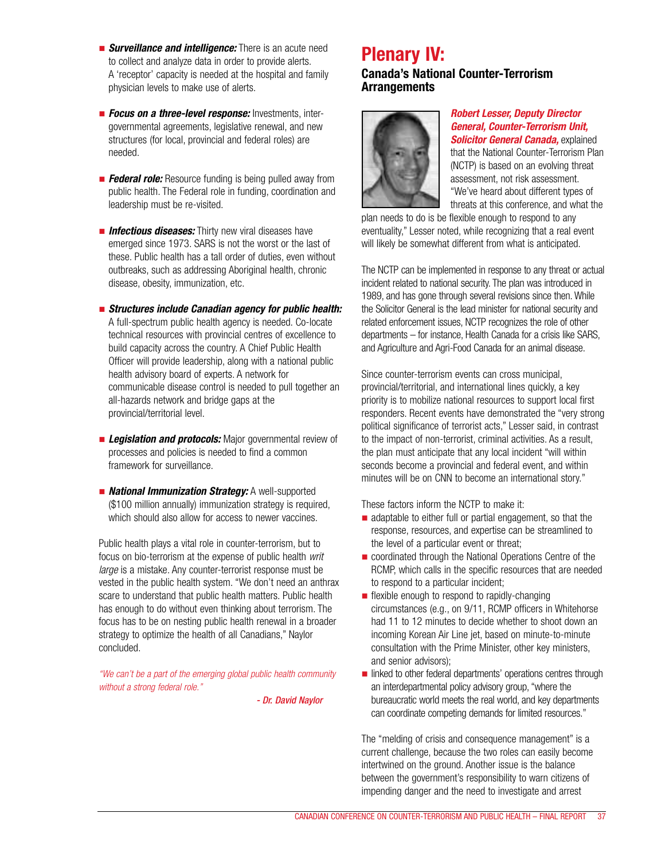- **E Surveillance and intelligence:** There is an acute need to collect and analyze data in order to provide alerts. A 'receptor' capacity is needed at the hospital and family physician levels to make use of alerts.
- **E Focus on a three-level response:** Investments, intergovernmental agreements, legislative renewal, and new structures (for local, provincial and federal roles) are needed.
- **Federal role:** Resource funding is being pulled away from public health. The Federal role in funding, coordination and leadership must be re-visited.
- **Infectious diseases:** Thirty new viral diseases have emerged since 1973. SARS is not the worst or the last of these. Public health has a tall order of duties, even without outbreaks, such as addressing Aboriginal health, chronic disease, obesity, immunization, etc.
- **Example 3 Structures include Canadian agency for public health:** A full-spectrum public health agency is needed. Co-locate technical resources with provincial centres of excellence to build capacity across the country. A Chief Public Health Officer will provide leadership, along with a national public health advisory board of experts. A network for communicable disease control is needed to pull together an all-hazards network and bridge gaps at the provincial/territorial level.
- **Example 2 Legislation and protocols:** Major governmental review of processes and policies is needed to find a common framework for surveillance.
- **E** *National Immunization Strategy:* A well-supported (\$100 million annually) immunization strategy is required, which should also allow for access to newer vaccines.

Public health plays a vital role in counter-terrorism, but to focus on bio-terrorism at the expense of public health *writ* large is a mistake. Any counter-terrorist response must be vested in the public health system. "We don't need an anthrax scare to understand that public health matters. Public health has enough to do without even thinking about terrorism. The focus has to be on nesting public health renewal in a broader strategy to optimize the health of all Canadians," Naylor concluded.

*"We can't be a part of the emerging global public health community without a strong federal role."*

*- Dr. David Naylor*

## **Plenary IV:**

### **Canada's National Counter-Terrorism Arrangements**



### *Robert Lesser, Deputy Director General, Counter-Terrorism Unit,*

*Solicitor General Canada,* explained that the National Counter-Terrorism Plan (NCTP) is based on an evolving threat assessment, not risk assessment. "We've heard about different types of threats at this conference, and what the

plan needs to do is be flexible enough to respond to any eventuality," Lesser noted, while recognizing that a real event will likely be somewhat different from what is anticipated.

The NCTP can be implemented in response to any threat or actual incident related to national security. The plan was introduced in 1989, and has gone through several revisions since then. While the Solicitor General is the lead minister for national security and related enforcement issues, NCTP recognizes the role of other departments – for instance, Health Canada for a crisis like SARS, and Agriculture and Agri-Food Canada for an animal disease.

Since counter-terrorism events can cross municipal, provincial/territorial, and international lines quickly, a key priority is to mobilize national resources to support local first responders. Recent events have demonstrated the "very strong political significance of terrorist acts," Lesser said, in contrast to the impact of non-terrorist, criminal activities. As a result, the plan must anticipate that any local incident "will within seconds become a provincial and federal event, and within minutes will be on CNN to become an international story."

These factors inform the NCTP to make it:

- $\blacksquare$  adaptable to either full or partial engagement, so that the response, resources, and expertise can be streamlined to the level of a particular event or threat;
- $\blacksquare$  coordinated through the National Operations Centre of the RCMP, which calls in the specific resources that are needed to respond to a particular incident;
- $\blacksquare$  flexible enough to respond to rapidly-changing circumstances (e.g., on 9/11, RCMP officers in Whitehorse had 11 to 12 minutes to decide whether to shoot down an incoming Korean Air Line jet, based on minute-to-minute consultation with the Prime Minister, other key ministers, and senior advisors);
- linked to other federal departments' operations centres through an interdepartmental policy advisory group, "where the bureaucratic world meets the real world, and key departments can coordinate competing demands for limited resources."

The "melding of crisis and consequence management" is a current challenge, because the two roles can easily become intertwined on the ground. Another issue is the balance between the government's responsibility to warn citizens of impending danger and the need to investigate and arrest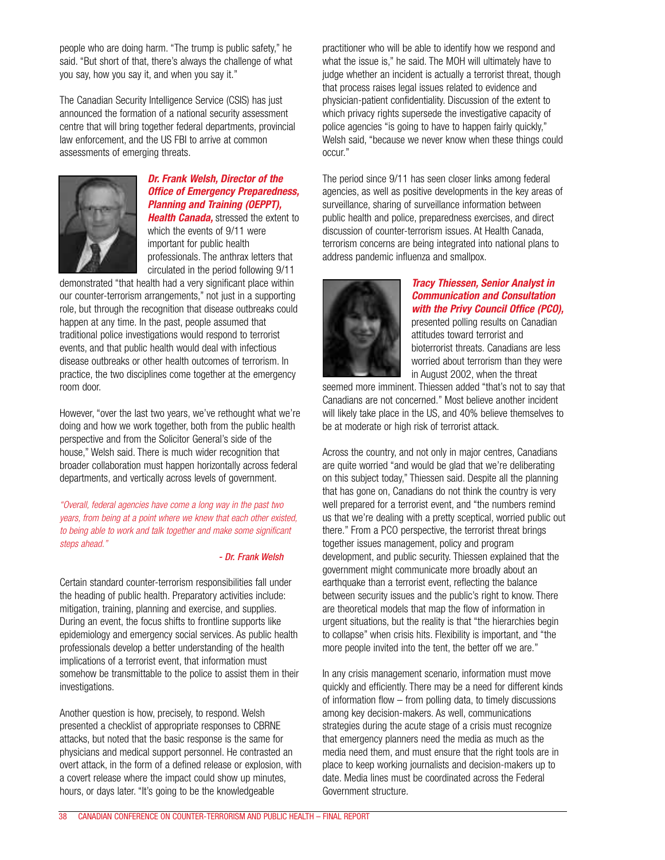people who are doing harm. "The trump is public safety," he said. "But short of that, there's always the challenge of what you say, how you say it, and when you say it."

The Canadian Security Intelligence Service (CSIS) has just announced the formation of a national security assessment centre that will bring together federal departments, provincial law enforcement, and the US FBI to arrive at common assessments of emerging threats.



### *Dr. Frank Welsh, Director of the Office of Emergency Preparedness, Planning and Training (OEPPT),*

*Health Canada,* stressed the extent to which the events of 9/11 were important for public health professionals. The anthrax letters that circulated in the period following 9/11

demonstrated "that health had a very significant place within our counter-terrorism arrangements," not just in a supporting role, but through the recognition that disease outbreaks could happen at any time. In the past, people assumed that traditional police investigations would respond to terrorist events, and that public health would deal with infectious disease outbreaks or other health outcomes of terrorism. In practice, the two disciplines come together at the emergency room door.

However, "over the last two years, we've rethought what we're doing and how we work together, both from the public health perspective and from the Solicitor General's side of the house," Welsh said. There is much wider recognition that broader collaboration must happen horizontally across federal departments, and vertically across levels of government.

*"Overall, federal agencies have come a long way in the past two years, from being at a point where we knew that each other existed, to being able to work and talk together and make some significant steps ahead."*

### *- Dr. Frank Welsh*

Certain standard counter-terrorism responsibilities fall under the heading of public health. Preparatory activities include: mitigation, training, planning and exercise, and supplies. During an event, the focus shifts to frontline supports like epidemiology and emergency social services. As public health professionals develop a better understanding of the health implications of a terrorist event, that information must somehow be transmittable to the police to assist them in their investigations.

Another question is how, precisely, to respond. Welsh presented a checklist of appropriate responses to CBRNE attacks, but noted that the basic response is the same for physicians and medical support personnel. He contrasted an overt attack, in the form of a defined release or explosion, with a covert release where the impact could show up minutes, hours, or days later. "It's going to be the knowledgeable

practitioner who will be able to identify how we respond and what the issue is," he said. The MOH will ultimately have to judge whether an incident is actually a terrorist threat, though that process raises legal issues related to evidence and physician-patient confidentiality. Discussion of the extent to which privacy rights supersede the investigative capacity of police agencies "is going to have to happen fairly quickly," Welsh said, "because we never know when these things could occur."

The period since 9/11 has seen closer links among federal agencies, as well as positive developments in the key areas of surveillance, sharing of surveillance information between public health and police, preparedness exercises, and direct discussion of counter-terrorism issues. At Health Canada, terrorism concerns are being integrated into national plans to address pandemic influenza and smallpox.



### *Tracy Thiessen, Senior Analyst in Communication and Consultation with the Privy Council Office (PCO),* presented polling results on Canadian

attitudes toward terrorist and bioterrorist threats. Canadians are less worried about terrorism than they were in August 2002, when the threat

seemed more imminent. Thiessen added "that's not to say that Canadians are not concerned." Most believe another incident will likely take place in the US, and 40% believe themselves to be at moderate or high risk of terrorist attack.

Across the country, and not only in major centres, Canadians are quite worried "and would be glad that we're deliberating on this subject today," Thiessen said. Despite all the planning that has gone on, Canadians do not think the country is very well prepared for a terrorist event, and "the numbers remind us that we're dealing with a pretty sceptical, worried public out there." From a PCO perspective, the terrorist threat brings together issues management, policy and program development, and public security. Thiessen explained that the government might communicate more broadly about an earthquake than a terrorist event, reflecting the balance between security issues and the public's right to know. There are theoretical models that map the flow of information in urgent situations, but the reality is that "the hierarchies begin to collapse" when crisis hits. Flexibility is important, and "the more people invited into the tent, the better off we are."

In any crisis management scenario, information must move quickly and efficiently. There may be a need for different kinds of information flow – from polling data, to timely discussions among key decision-makers. As well, communications strategies during the acute stage of a crisis must recognize that emergency planners need the media as much as the media need them, and must ensure that the right tools are in place to keep working journalists and decision-makers up to date. Media lines must be coordinated across the Federal Government structure.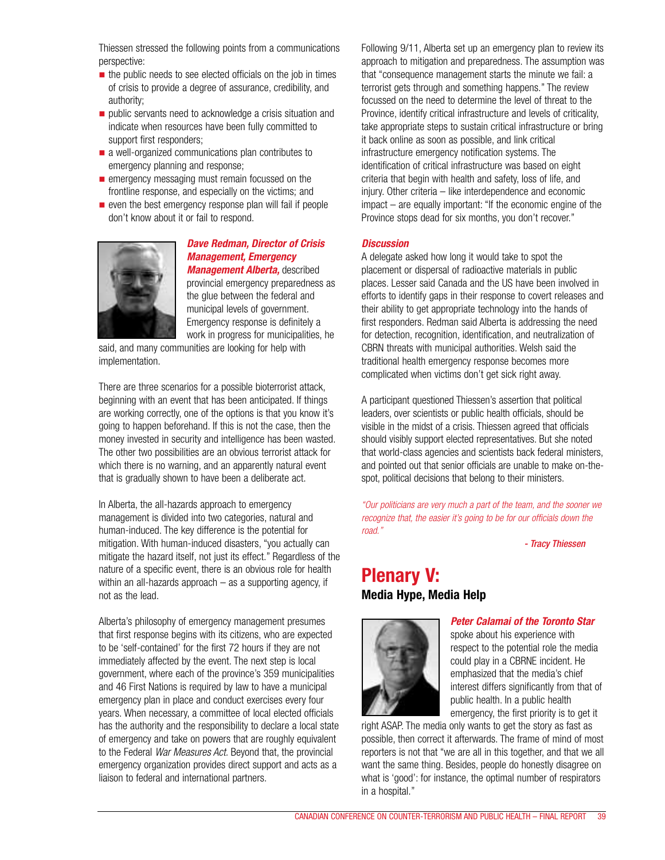Thiessen stressed the following points from a communications perspective:

- $\blacksquare$  the public needs to see elected officials on the job in times of crisis to provide a degree of assurance, credibility, and authority;
- $\blacksquare$  public servants need to acknowledge a crisis situation and indicate when resources have been fully committed to support first responders;
- $\blacksquare$  a well-organized communications plan contributes to emergency planning and response;
- $\blacksquare$  emergency messaging must remain focussed on the frontline response, and especially on the victims; and
- $\blacksquare$  even the best emergency response plan will fail if people don't know about it or fail to respond.



### *Dave Redman, Director of Crisis Management, Emergency*

*Management Alberta,* described provincial emergency preparedness as the glue between the federal and municipal levels of government. Emergency response is definitely a work in progress for municipalities, he

said, and many communities are looking for help with implementation.

There are three scenarios for a possible bioterrorist attack, beginning with an event that has been anticipated. If things are working correctly, one of the options is that you know it's going to happen beforehand. If this is not the case, then the money invested in security and intelligence has been wasted. The other two possibilities are an obvious terrorist attack for which there is no warning, and an apparently natural event that is gradually shown to have been a deliberate act.

In Alberta, the all-hazards approach to emergency management is divided into two categories, natural and human-induced. The key difference is the potential for mitigation. With human-induced disasters, "you actually can mitigate the hazard itself, not just its effect." Regardless of the nature of a specific event, there is an obvious role for health within an all-hazards approach – as a supporting agency, if not as the lead.

Alberta's philosophy of emergency management presumes that first response begins with its citizens, who are expected to be 'self-contained' for the first 72 hours if they are not immediately affected by the event. The next step is local government, where each of the province's 359 municipalities and 46 First Nations is required by law to have a municipal emergency plan in place and conduct exercises every four years. When necessary, a committee of local elected officials has the authority and the responsibility to declare a local state of emergency and take on powers that are roughly equivalent to the Federal *War Measures Act.* Beyond that, the provincial emergency organization provides direct support and acts as a liaison to federal and international partners.

Following 9/11, Alberta set up an emergency plan to review its approach to mitigation and preparedness. The assumption was that "consequence management starts the minute we fail: a terrorist gets through and something happens." The review focussed on the need to determine the level of threat to the Province, identify critical infrastructure and levels of criticality, take appropriate steps to sustain critical infrastructure or bring it back online as soon as possible, and link critical infrastructure emergency notification systems. The identification of critical infrastructure was based on eight criteria that begin with health and safety, loss of life, and injury. Other criteria – like interdependence and economic impact – are equally important: "If the economic engine of the Province stops dead for six months, you don't recover."

### *Discussion*

A delegate asked how long it would take to spot the placement or dispersal of radioactive materials in public places. Lesser said Canada and the US have been involved in efforts to identify gaps in their response to covert releases and their ability to get appropriate technology into the hands of first responders. Redman said Alberta is addressing the need for detection, recognition, identification, and neutralization of CBRN threats with municipal authorities. Welsh said the traditional health emergency response becomes more complicated when victims don't get sick right away.

A participant questioned Thiessen's assertion that political leaders, over scientists or public health officials, should be visible in the midst of a crisis. Thiessen agreed that officials should visibly support elected representatives. But she noted that world-class agencies and scientists back federal ministers, and pointed out that senior officials are unable to make on-thespot, political decisions that belong to their ministers.

*"Our politicians are very much a part of the team, and the sooner we recognize that, the easier it's going to be for our officials down the road."*

*- Tracy Thiessen*

## **Plenary V: Media Hype, Media Help**



### *Peter Calamai of the Toronto Star*

spoke about his experience with respect to the potential role the media could play in a CBRNE incident. He emphasized that the media's chief interest differs significantly from that of public health. In a public health emergency, the first priority is to get it

right ASAP. The media only wants to get the story as fast as possible, then correct it afterwards. The frame of mind of most reporters is not that "we are all in this together, and that we all want the same thing. Besides, people do honestly disagree on what is 'good': for instance, the optimal number of respirators in a hospital."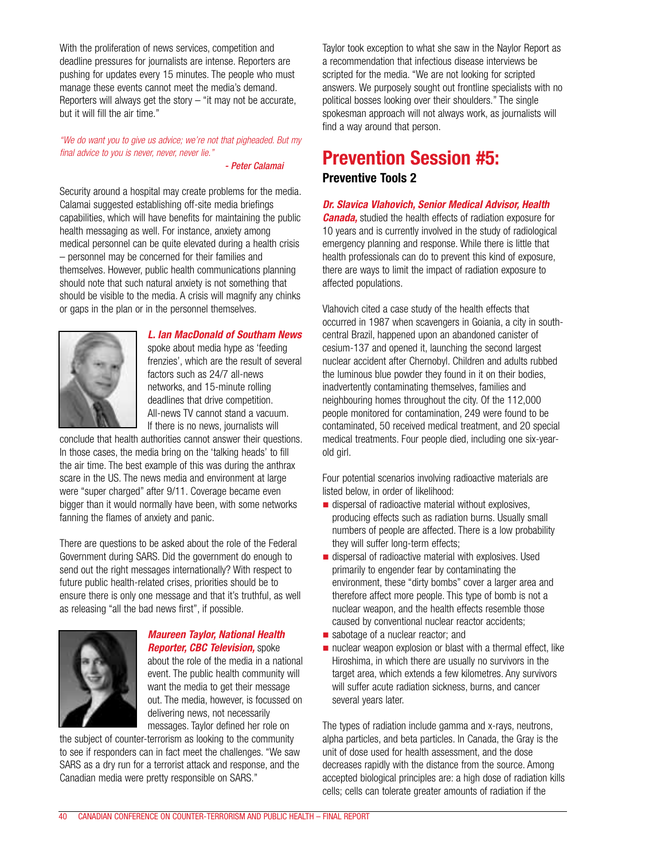With the proliferation of news services, competition and deadline pressures for journalists are intense. Reporters are pushing for updates every 15 minutes. The people who must manage these events cannot meet the media's demand. Reporters will always get the story  $-$  "it may not be accurate, but it will fill the air time."

### *"We do want you to give us advice; we're not that pigheaded. But my final advice to you is never, never, never lie."*

*- Peter Calamai*

Security around a hospital may create problems for the media. Calamai suggested establishing off-site media briefings capabilities, which will have benefits for maintaining the public health messaging as well. For instance, anxiety among medical personnel can be quite elevated during a health crisis – personnel may be concerned for their families and themselves. However, public health communications planning should note that such natural anxiety is not something that should be visible to the media. A crisis will magnify any chinks or gaps in the plan or in the personnel themselves.



*L. Ian MacDonald of Southam News*

spoke about media hype as 'feeding frenzies', which are the result of several factors such as 24/7 all-news networks, and 15-minute rolling deadlines that drive competition. All-news TV cannot stand a vacuum. If there is no news, journalists will

conclude that health authorities cannot answer their questions. In those cases, the media bring on the 'talking heads' to fill the air time. The best example of this was during the anthrax scare in the US. The news media and environment at large were "super charged" after 9/11. Coverage became even bigger than it would normally have been, with some networks fanning the flames of anxiety and panic.

There are questions to be asked about the role of the Federal Government during SARS. Did the government do enough to send out the right messages internationally? With respect to future public health-related crises, priorities should be to ensure there is only one message and that it's truthful, as well as releasing "all the bad news first", if possible.



### *Maureen Taylor, National Health Reporter, CBC Television,* spoke

about the role of the media in a national event. The public health community will want the media to get their message out. The media, however, is focussed on delivering news, not necessarily messages. Taylor defined her role on

the subject of counter-terrorism as looking to the community to see if responders can in fact meet the challenges. "We saw SARS as a dry run for a terrorist attack and response, and the Canadian media were pretty responsible on SARS."

Taylor took exception to what she saw in the Naylor Report as a recommendation that infectious disease interviews be scripted for the media. "We are not looking for scripted answers. We purposely sought out frontline specialists with no political bosses looking over their shoulders." The single spokesman approach will not always work, as journalists will find a way around that person.

## **Prevention Session #5: Preventive Tools 2**

*Dr. Slavica Vlahovich, Senior Medical Advisor, Health Canada,* studied the health effects of radiation exposure for 10 years and is currently involved in the study of radiological emergency planning and response. While there is little that health professionals can do to prevent this kind of exposure, there are ways to limit the impact of radiation exposure to affected populations.

Vlahovich cited a case study of the health effects that occurred in 1987 when scavengers in Goiania, a city in southcentral Brazil, happened upon an abandoned canister of cesium-137 and opened it, launching the second largest nuclear accident after Chernobyl. Children and adults rubbed the luminous blue powder they found in it on their bodies, inadvertently contaminating themselves, families and neighbouring homes throughout the city. Of the 112,000 people monitored for contamination, 249 were found to be contaminated, 50 received medical treatment, and 20 special medical treatments. Four people died, including one six-yearold girl.

Four potential scenarios involving radioactive materials are listed below, in order of likelihood:

- $\blacksquare$  dispersal of radioactive material without explosives, producing effects such as radiation burns. Usually small numbers of people are affected. There is a low probability they will suffer long-term effects;
- $\blacksquare$  dispersal of radioactive material with explosives. Used primarily to engender fear by contaminating the environment, these "dirty bombs" cover a larger area and therefore affect more people. This type of bomb is not a nuclear weapon, and the health effects resemble those caused by conventional nuclear reactor accidents;
- $\blacksquare$  sabotage of a nuclear reactor; and
- $\blacksquare$  nuclear weapon explosion or blast with a thermal effect, like Hiroshima, in which there are usually no survivors in the target area, which extends a few kilometres. Any survivors will suffer acute radiation sickness, burns, and cancer several years later.

The types of radiation include gamma and x-rays, neutrons, alpha particles, and beta particles. In Canada, the Gray is the unit of dose used for health assessment, and the dose decreases rapidly with the distance from the source. Among accepted biological principles are: a high dose of radiation kills cells; cells can tolerate greater amounts of radiation if the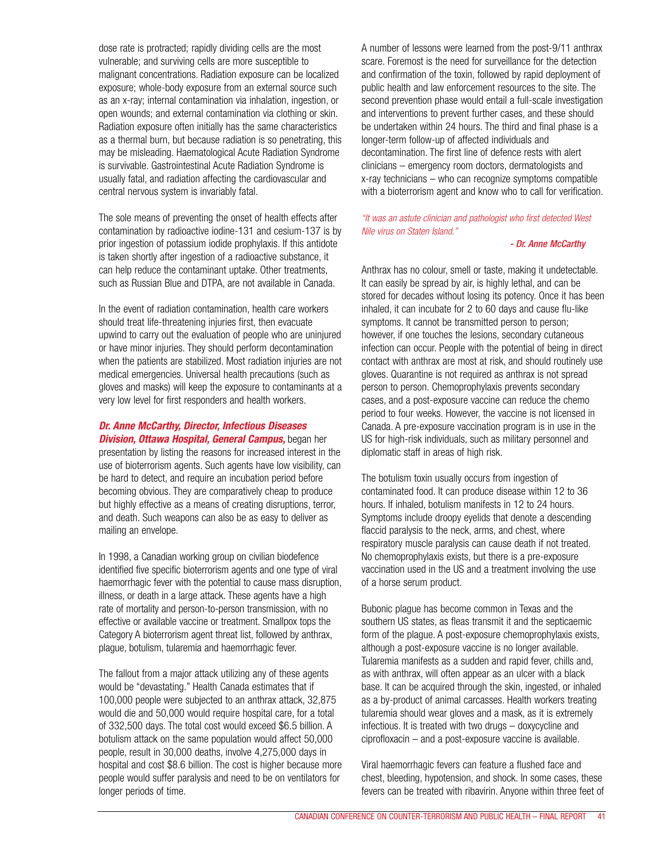dose rate is protracted; rapidly dividing cells are the most vulnerable; and surviving cells are more susceptible to malignant concentrations. Radiation exposure can be localized exposure; whole-body exposure from an external source such as an x-ray; internal contamination via inhalation, ingestion, or open wounds; and external contamination via clothing or skin. Radiation exposure often initially has the same characteristics as a thermal burn, but because radiation is so penetrating, this may be misleading. Haematological Acute Radiation Syndrome is survivable. Gastrointestinal Acute Radiation Syndrome is usually fatal, and radiation affecting the cardiovascular and central nervous system is invariably fatal.

The sole means of preventing the onset of health effects after contamination by radioactive iodine-131 and cesium-137 is by prior ingestion of potassium iodide prophylaxis. If this antidote is taken shortly after ingestion of a radioactive substance, it can help reduce the contaminant uptake. Other treatments, such as Russian Blue and DTPA, are not available in Canada.

In the event of radiation contamination, health care workers should treat life-threatening injuries first, then evacuate upwind to carry out the evaluation of people who are uninjured or have minor injuries. They should perform decontamination when the patients are stabilized. Most radiation injuries are not medical emergencies. Universal health precautions (such as gloves and masks) will keep the exposure to contaminants at a very low level for first responders and health workers.

### *Dr. Anne McCarthy, Director, Infectious Diseases*

*Division, Ottawa Hospital, General Campus,* began her presentation by listing the reasons for increased interest in the use of bioterrorism agents. Such agents have low visibility, can be hard to detect, and require an incubation period before becoming obvious. They are comparatively cheap to produce but highly effective as a means of creating disruptions, terror, and death. Such weapons can also be as easy to deliver as mailing an envelope.

In 1998, a Canadian working group on civilian biodefence identified five specific bioterrorism agents and one type of viral haemorrhagic fever with the potential to cause mass disruption, illness, or death in a large attack. These agents have a high rate of mortality and person-to-person transmission, with no effective or available vaccine or treatment. Smallpox tops the Category A bioterrorism agent threat list, followed by anthrax, plague, botulism, tularemia and haemorrhagic fever.

The fallout from a major attack utilizing any of these agents would be "devastating." Health Canada estimates that if 100,000 people were subjected to an anthrax attack, 32,875 would die and 50,000 would require hospital care, for a total of 332,500 days. The total cost would exceed \$6.5 billion. A botulism attack on the same population would affect 50,000 people, result in 30,000 deaths, involve 4,275,000 days in hospital and cost \$8.6 billion. The cost is higher because more people would suffer paralysis and need to be on ventilators for longer periods of time.

A number of lessons were learned from the post-9/11 anthrax scare. Foremost is the need for surveillance for the detection and confirmation of the toxin, followed by rapid deployment of public health and law enforcement resources to the site. The second prevention phase would entail a full-scale investigation and interventions to prevent further cases, and these should be undertaken within 24 hours. The third and final phase is a longer-term follow-up of affected individuals and decontamination. The first line of defence rests with alert clinicians – emergency room doctors, dermatologists and x-ray technicians – who can recognize symptoms compatible with a bioterrorism agent and know who to call for verification.

*"It was an astute clinician and pathologist who first detected West Nile virus on Staten Island."*

### *- Dr. Anne McCarthy*

Anthrax has no colour, smell or taste, making it undetectable. It can easily be spread by air, is highly lethal, and can be stored for decades without losing its potency. Once it has been inhaled, it can incubate for 2 to 60 days and cause flu-like symptoms. It cannot be transmitted person to person; however, if one touches the lesions, secondary cutaneous infection can occur. People with the potential of being in direct contact with anthrax are most at risk, and should routinely use gloves. Quarantine is not required as anthrax is not spread person to person. Chemoprophylaxis prevents secondary cases, and a post-exposure vaccine can reduce the chemo period to four weeks. However, the vaccine is not licensed in Canada. A pre-exposure vaccination program is in use in the US for high-risk individuals, such as military personnel and diplomatic staff in areas of high risk.

The botulism toxin usually occurs from ingestion of contaminated food. It can produce disease within 12 to 36 hours. If inhaled, botulism manifests in 12 to 24 hours. Symptoms include droopy eyelids that denote a descending flaccid paralysis to the neck, arms, and chest, where respiratory muscle paralysis can cause death if not treated. No chemoprophylaxis exists, but there is a pre-exposure vaccination used in the US and a treatment involving the use of a horse serum product.

Bubonic plague has become common in Texas and the southern US states, as fleas transmit it and the septicaemic form of the plague. A post-exposure chemoprophylaxis exists, although a post-exposure vaccine is no longer available. Tularemia manifests as a sudden and rapid fever, chills and, as with anthrax, will often appear as an ulcer with a black base. It can be acquired through the skin, ingested, or inhaled as a by-product of animal carcasses. Health workers treating tularemia should wear gloves and a mask, as it is extremely infectious. It is treated with two drugs – doxycycline and ciprofloxacin – and a post-exposure vaccine is available.

Viral haemorrhagic fevers can feature a flushed face and chest, bleeding, hypotension, and shock. In some cases, these fevers can be treated with ribavirin. Anyone within three feet of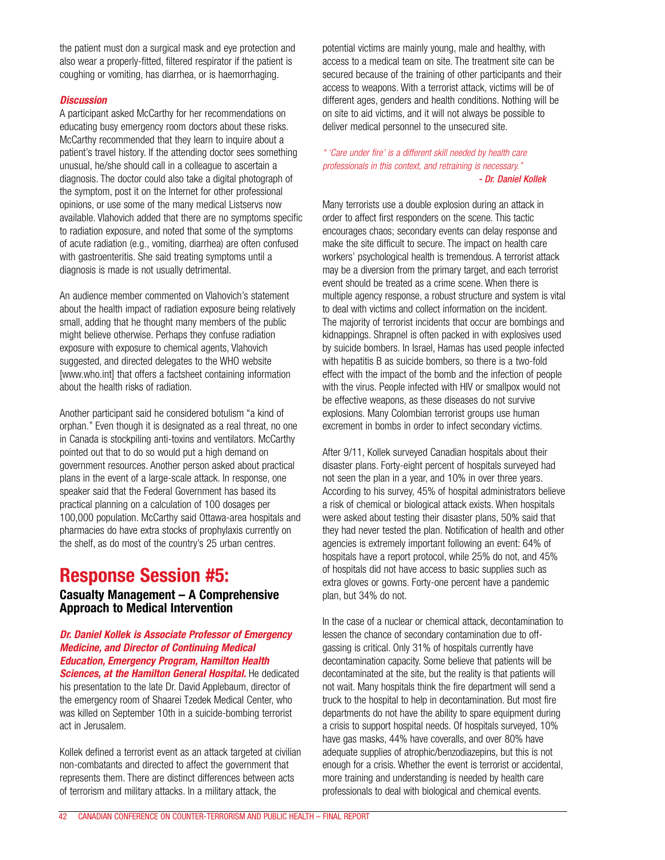the patient must don a surgical mask and eye protection and also wear a properly-fitted, filtered respirator if the patient is coughing or vomiting, has diarrhea, or is haemorrhaging.

### *Discussion*

A participant asked McCarthy for her recommendations on educating busy emergency room doctors about these risks. McCarthy recommended that they learn to inquire about a patient's travel history. If the attending doctor sees something unusual, he/she should call in a colleague to ascertain a diagnosis. The doctor could also take a digital photograph of the symptom, post it on the Internet for other professional opinions, or use some of the many medical Listservs now available. Vlahovich added that there are no symptoms specific to radiation exposure, and noted that some of the symptoms of acute radiation (e.g., vomiting, diarrhea) are often confused with gastroenteritis. She said treating symptoms until a diagnosis is made is not usually detrimental.

An audience member commented on Vlahovich's statement about the health impact of radiation exposure being relatively small, adding that he thought many members of the public might believe otherwise. Perhaps they confuse radiation exposure with exposure to chemical agents, Vlahovich suggested, and directed delegates to the WHO website [www.who.int] that offers a factsheet containing information about the health risks of radiation.

Another participant said he considered botulism "a kind of orphan." Even though it is designated as a real threat, no one in Canada is stockpiling anti-toxins and ventilators. McCarthy pointed out that to do so would put a high demand on government resources. Another person asked about practical plans in the event of a large-scale attack. In response, one speaker said that the Federal Government has based its practical planning on a calculation of 100 dosages per 100,000 population. McCarthy said Ottawa-area hospitals and pharmacies do have extra stocks of prophylaxis currently on the shelf, as do most of the country's 25 urban centres.

## **Response Session #5:**

### **Casualty Management – A Comprehensive Approach to Medical Intervention**

### *Dr. Daniel Kollek is Associate Professor of Emergency Medicine, and Director of Continuing Medical Education, Emergency Program, Hamilton Health*

*Sciences, at the Hamilton General Hospital.* He dedicated his presentation to the late Dr. David Applebaum, director of the emergency room of Shaarei Tzedek Medical Center, who was killed on September 10th in a suicide-bombing terrorist act in Jerusalem.

Kollek defined a terrorist event as an attack targeted at civilian non-combatants and directed to affect the government that represents them. There are distinct differences between acts of terrorism and military attacks. In a military attack, the

potential victims are mainly young, male and healthy, with access to a medical team on site. The treatment site can be secured because of the training of other participants and their access to weapons. With a terrorist attack, victims will be of different ages, genders and health conditions. Nothing will be on site to aid victims, and it will not always be possible to deliver medical personnel to the unsecured site.

### *" 'Care under fire' is a different skill needed by health care professionals in this context, and retraining is necessary." - Dr. Daniel Kollek*

Many terrorists use a double explosion during an attack in order to affect first responders on the scene. This tactic encourages chaos; secondary events can delay response and make the site difficult to secure. The impact on health care workers' psychological health is tremendous. A terrorist attack may be a diversion from the primary target, and each terrorist event should be treated as a crime scene. When there is multiple agency response, a robust structure and system is vital to deal with victims and collect information on the incident. The majority of terrorist incidents that occur are bombings and kidnappings. Shrapnel is often packed in with explosives used by suicide bombers. In Israel, Hamas has used people infected with hepatitis B as suicide bombers, so there is a two-fold effect with the impact of the bomb and the infection of people with the virus. People infected with HIV or smallpox would not be effective weapons, as these diseases do not survive explosions. Many Colombian terrorist groups use human excrement in bombs in order to infect secondary victims.

After 9/11, Kollek surveyed Canadian hospitals about their disaster plans. Forty-eight percent of hospitals surveyed had not seen the plan in a year, and 10% in over three years. According to his survey, 45% of hospital administrators believe a risk of chemical or biological attack exists. When hospitals were asked about testing their disaster plans, 50% said that they had never tested the plan. Notification of health and other agencies is extremely important following an event: 64% of hospitals have a report protocol, while 25% do not, and 45% of hospitals did not have access to basic supplies such as extra gloves or gowns. Forty-one percent have a pandemic plan, but 34% do not.

In the case of a nuclear or chemical attack, decontamination to lessen the chance of secondary contamination due to offgassing is critical. Only 31% of hospitals currently have decontamination capacity. Some believe that patients will be decontaminated at the site, but the reality is that patients will not wait. Many hospitals think the fire department will send a truck to the hospital to help in decontamination. But most fire departments do not have the ability to spare equipment during a crisis to support hospital needs. Of hospitals surveyed, 10% have gas masks, 44% have coveralls, and over 80% have adequate supplies of atrophic/benzodiazepins, but this is not enough for a crisis. Whether the event is terrorist or accidental, more training and understanding is needed by health care professionals to deal with biological and chemical events.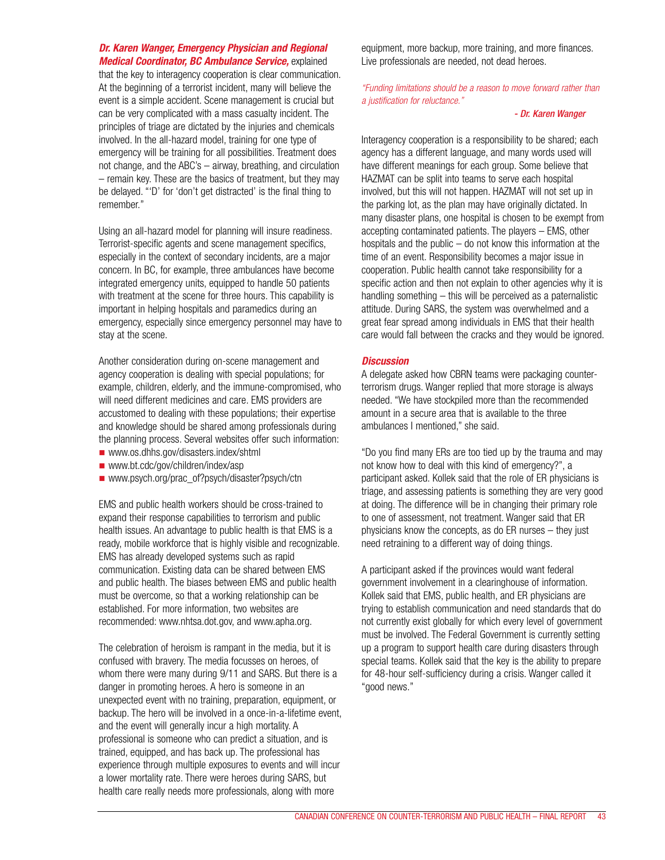### *Dr. Karen Wanger, Emergency Physician and Regional Medical Coordinator, BC Ambulance Service,* explained

that the key to interagency cooperation is clear communication. At the beginning of a terrorist incident, many will believe the event is a simple accident. Scene management is crucial but can be very complicated with a mass casualty incident. The principles of triage are dictated by the injuries and chemicals involved. In the all-hazard model, training for one type of emergency will be training for all possibilities. Treatment does not change, and the ABC's – airway, breathing, and circulation – remain key. These are the basics of treatment, but they may be delayed. "'D' for 'don't get distracted' is the final thing to remember."

Using an all-hazard model for planning will insure readiness. Terrorist-specific agents and scene management specifics, especially in the context of secondary incidents, are a major concern. In BC, for example, three ambulances have become integrated emergency units, equipped to handle 50 patients with treatment at the scene for three hours. This capability is important in helping hospitals and paramedics during an emergency, especially since emergency personnel may have to stay at the scene.

Another consideration during on-scene management and agency cooperation is dealing with special populations; for example, children, elderly, and the immune-compromised, who will need different medicines and care. EMS providers are accustomed to dealing with these populations; their expertise and knowledge should be shared among professionals during the planning process. Several websites offer such information:

- www.os.dhhs.gov/disasters.index/shtml
- www.bt.cdc/gov/children/index/asp
- www.psych.org/prac\_of?psych/disaster?psych/ctn

EMS and public health workers should be cross-trained to expand their response capabilities to terrorism and public health issues. An advantage to public health is that EMS is a ready, mobile workforce that is highly visible and recognizable. EMS has already developed systems such as rapid communication. Existing data can be shared between EMS and public health. The biases between EMS and public health must be overcome, so that a working relationship can be established. For more information, two websites are recommended: www.nhtsa.dot.gov, and www.apha.org.

The celebration of heroism is rampant in the media, but it is confused with bravery. The media focusses on heroes, of whom there were many during 9/11 and SARS. But there is a danger in promoting heroes. A hero is someone in an unexpected event with no training, preparation, equipment, or backup. The hero will be involved in a once-in-a-lifetime event, and the event will generally incur a high mortality. A professional is someone who can predict a situation, and is trained, equipped, and has back up. The professional has experience through multiple exposures to events and will incur a lower mortality rate. There were heroes during SARS, but health care really needs more professionals, along with more

equipment, more backup, more training, and more finances. Live professionals are needed, not dead heroes.

*"Funding limitations should be a reason to move forward rather than a justification for reluctance."*

### *- Dr. Karen Wanger*

Interagency cooperation is a responsibility to be shared; each agency has a different language, and many words used will have different meanings for each group. Some believe that HAZMAT can be split into teams to serve each hospital involved, but this will not happen. HAZMAT will not set up in the parking lot, as the plan may have originally dictated. In many disaster plans, one hospital is chosen to be exempt from accepting contaminated patients. The players – EMS, other hospitals and the public – do not know this information at the time of an event. Responsibility becomes a major issue in cooperation. Public health cannot take responsibility for a specific action and then not explain to other agencies why it is handling something – this will be perceived as a paternalistic attitude. During SARS, the system was overwhelmed and a great fear spread among individuals in EMS that their health care would fall between the cracks and they would be ignored.

#### *Discussion*

A delegate asked how CBRN teams were packaging counterterrorism drugs. Wanger replied that more storage is always needed. "We have stockpiled more than the recommended amount in a secure area that is available to the three ambulances I mentioned," she said.

"Do you find many ERs are too tied up by the trauma and may not know how to deal with this kind of emergency?", a participant asked. Kollek said that the role of ER physicians is triage, and assessing patients is something they are very good at doing. The difference will be in changing their primary role to one of assessment, not treatment. Wanger said that ER physicians know the concepts, as do ER nurses – they just need retraining to a different way of doing things.

A participant asked if the provinces would want federal government involvement in a clearinghouse of information. Kollek said that EMS, public health, and ER physicians are trying to establish communication and need standards that do not currently exist globally for which every level of government must be involved. The Federal Government is currently setting up a program to support health care during disasters through special teams. Kollek said that the key is the ability to prepare for 48-hour self-sufficiency during a crisis. Wanger called it "good news."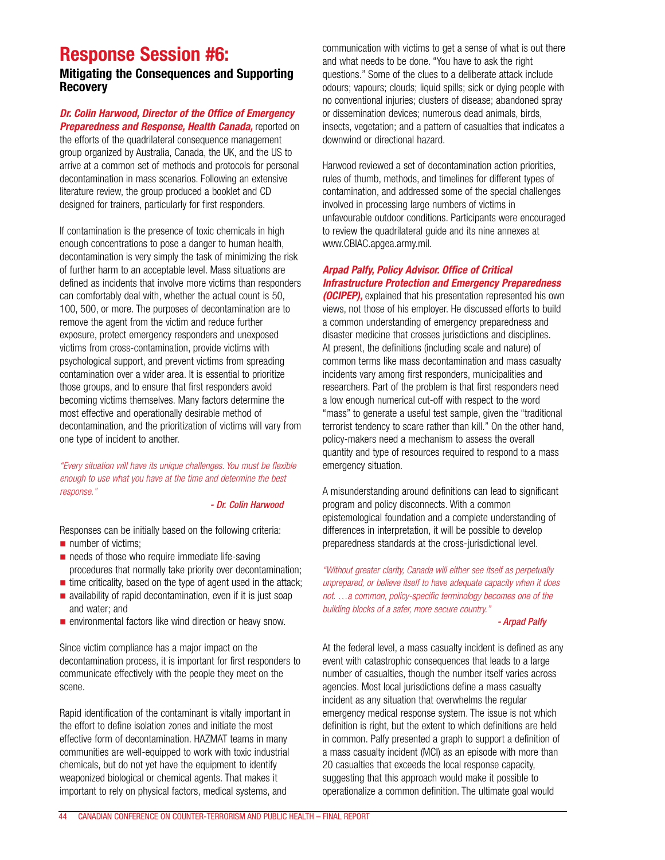## **Response Session #6:**

### **Mitigating the Consequences and Supporting Recovery**

### *Dr. Colin Harwood, Director of the Office of Emergency Preparedness and Response, Health Canada,* reported on

the efforts of the quadrilateral consequence management group organized by Australia, Canada, the UK, and the US to arrive at a common set of methods and protocols for personal decontamination in mass scenarios. Following an extensive literature review, the group produced a booklet and CD designed for trainers, particularly for first responders.

If contamination is the presence of toxic chemicals in high enough concentrations to pose a danger to human health, decontamination is very simply the task of minimizing the risk of further harm to an acceptable level. Mass situations are defined as incidents that involve more victims than responders can comfortably deal with, whether the actual count is 50, 100, 500, or more. The purposes of decontamination are to remove the agent from the victim and reduce further exposure, protect emergency responders and unexposed victims from cross-contamination, provide victims with psychological support, and prevent victims from spreading contamination over a wider area. It is essential to prioritize those groups, and to ensure that first responders avoid becoming victims themselves. Many factors determine the most effective and operationally desirable method of decontamination, and the prioritization of victims will vary from one type of incident to another.

*"Every situation will have its unique challenges. You must be flexible enough to use what you have at the time and determine the best response."*

### *- Dr. Colin Harwood*

Responses can be initially based on the following criteria:

- $\blacksquare$  number of victims;
- $\blacksquare$  needs of those who require immediate life-saving procedures that normally take priority over decontamination;
- $\blacksquare$  time criticality, based on the type of agent used in the attack;
- $\blacksquare$  availability of rapid decontamination, even if it is just soap and water; and
- $\blacksquare$  environmental factors like wind direction or heavy snow.

Since victim compliance has a major impact on the decontamination process, it is important for first responders to communicate effectively with the people they meet on the scene.

Rapid identification of the contaminant is vitally important in the effort to define isolation zones and initiate the most effective form of decontamination. HAZMAT teams in many communities are well-equipped to work with toxic industrial chemicals, but do not yet have the equipment to identify weaponized biological or chemical agents. That makes it important to rely on physical factors, medical systems, and

communication with victims to get a sense of what is out there and what needs to be done. "You have to ask the right questions." Some of the clues to a deliberate attack include odours; vapours; clouds; liquid spills; sick or dying people with no conventional injuries; clusters of disease; abandoned spray or dissemination devices; numerous dead animals, birds, insects, vegetation; and a pattern of casualties that indicates a downwind or directional hazard.

Harwood reviewed a set of decontamination action priorities, rules of thumb, methods, and timelines for different types of contamination, and addressed some of the special challenges involved in processing large numbers of victims in unfavourable outdoor conditions. Participants were encouraged to review the quadrilateral guide and its nine annexes at www.CBIAC.apgea.army.mil.

### *Arpad Palfy, Policy Advisor. Office of Critical Infrastructure Protection and Emergency Preparedness*

*(OCIPEP),* explained that his presentation represented his own views, not those of his employer. He discussed efforts to build a common understanding of emergency preparedness and disaster medicine that crosses jurisdictions and disciplines. At present, the definitions (including scale and nature) of common terms like mass decontamination and mass casualty incidents vary among first responders, municipalities and researchers. Part of the problem is that first responders need a low enough numerical cut-off with respect to the word "mass" to generate a useful test sample, given the "traditional terrorist tendency to scare rather than kill." On the other hand, policy-makers need a mechanism to assess the overall quantity and type of resources required to respond to a mass emergency situation.

A misunderstanding around definitions can lead to significant program and policy disconnects. With a common epistemological foundation and a complete understanding of differences in interpretation, it will be possible to develop preparedness standards at the cross-jurisdictional level.

*"Without greater clarity, Canada will either see itself as perpetually unprepared, or believe itself to have adequate capacity when it does not. …a common, policy-specific terminology becomes one of the building blocks of a safer, more secure country."*

*- Arpad Palfy*

At the federal level, a mass casualty incident is defined as any event with catastrophic consequences that leads to a large number of casualties, though the number itself varies across agencies. Most local jurisdictions define a mass casualty incident as any situation that overwhelms the regular emergency medical response system. The issue is not which definition is right, but the extent to which definitions are held in common. Palfy presented a graph to support a definition of a mass casualty incident (MCI) as an episode with more than 20 casualties that exceeds the local response capacity, suggesting that this approach would make it possible to operationalize a common definition. The ultimate goal would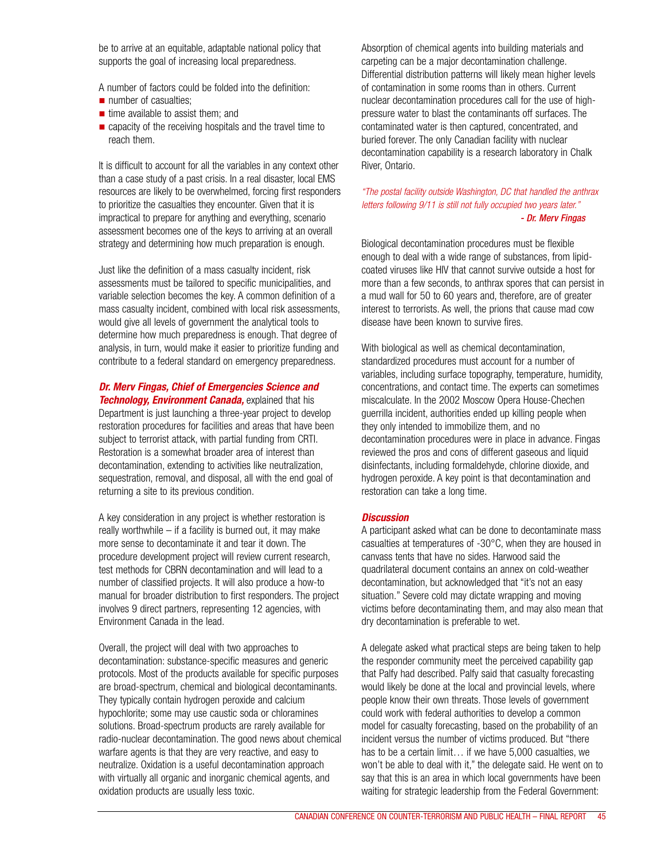be to arrive at an equitable, adaptable national policy that supports the goal of increasing local preparedness.

A number of factors could be folded into the definition:

- $\blacksquare$  number of casualties:
- $\blacksquare$  time available to assist them; and
- $\blacksquare$  capacity of the receiving hospitals and the travel time to reach them.

It is difficult to account for all the variables in any context other than a case study of a past crisis. In a real disaster, local EMS resources are likely to be overwhelmed, forcing first responders to prioritize the casualties they encounter. Given that it is impractical to prepare for anything and everything, scenario assessment becomes one of the keys to arriving at an overall strategy and determining how much preparation is enough.

Just like the definition of a mass casualty incident, risk assessments must be tailored to specific municipalities, and variable selection becomes the key. A common definition of a mass casualty incident, combined with local risk assessments, would give all levels of government the analytical tools to determine how much preparedness is enough. That degree of analysis, in turn, would make it easier to prioritize funding and contribute to a federal standard on emergency preparedness.

*Dr. Merv Fingas, Chief of Emergencies Science and*

*Technology, Environment Canada, explained that his* Department is just launching a three-year project to develop restoration procedures for facilities and areas that have been subject to terrorist attack, with partial funding from CRTI. Restoration is a somewhat broader area of interest than decontamination, extending to activities like neutralization, sequestration, removal, and disposal, all with the end goal of returning a site to its previous condition.

A key consideration in any project is whether restoration is really worthwhile – if a facility is burned out, it may make more sense to decontaminate it and tear it down. The procedure development project will review current research, test methods for CBRN decontamination and will lead to a number of classified projects. It will also produce a how-to manual for broader distribution to first responders. The project involves 9 direct partners, representing 12 agencies, with Environment Canada in the lead.

Overall, the project will deal with two approaches to decontamination: substance-specific measures and generic protocols. Most of the products available for specific purposes are broad-spectrum, chemical and biological decontaminants. They typically contain hydrogen peroxide and calcium hypochlorite; some may use caustic soda or chloramines solutions. Broad-spectrum products are rarely available for radio-nuclear decontamination. The good news about chemical warfare agents is that they are very reactive, and easy to neutralize. Oxidation is a useful decontamination approach with virtually all organic and inorganic chemical agents, and oxidation products are usually less toxic.

Absorption of chemical agents into building materials and carpeting can be a major decontamination challenge. Differential distribution patterns will likely mean higher levels of contamination in some rooms than in others. Current nuclear decontamination procedures call for the use of highpressure water to blast the contaminants off surfaces. The contaminated water is then captured, concentrated, and buried forever. The only Canadian facility with nuclear decontamination capability is a research laboratory in Chalk River, Ontario.

### *"The postal facility outside Washington, DC that handled the anthrax letters following 9/11 is still not fully occupied two years later." - Dr. Merv Fingas*

Biological decontamination procedures must be flexible enough to deal with a wide range of substances, from lipidcoated viruses like HIV that cannot survive outside a host for more than a few seconds, to anthrax spores that can persist in a mud wall for 50 to 60 years and, therefore, are of greater interest to terrorists. As well, the prions that cause mad cow disease have been known to survive fires.

With biological as well as chemical decontamination, standardized procedures must account for a number of variables, including surface topography, temperature, humidity, concentrations, and contact time. The experts can sometimes miscalculate. In the 2002 Moscow Opera House-Chechen guerrilla incident, authorities ended up killing people when they only intended to immobilize them, and no decontamination procedures were in place in advance. Fingas reviewed the pros and cons of different gaseous and liquid disinfectants, including formaldehyde, chlorine dioxide, and hydrogen peroxide. A key point is that decontamination and restoration can take a long time.

### *Discussion*

A participant asked what can be done to decontaminate mass casualties at temperatures of -30°C, when they are housed in canvass tents that have no sides. Harwood said the quadrilateral document contains an annex on cold-weather decontamination, but acknowledged that "it's not an easy situation." Severe cold may dictate wrapping and moving victims before decontaminating them, and may also mean that dry decontamination is preferable to wet.

A delegate asked what practical steps are being taken to help the responder community meet the perceived capability gap that Palfy had described. Palfy said that casualty forecasting would likely be done at the local and provincial levels, where people know their own threats. Those levels of government could work with federal authorities to develop a common model for casualty forecasting, based on the probability of an incident versus the number of victims produced. But "there has to be a certain limit... if we have 5,000 casualties, we won't be able to deal with it," the delegate said. He went on to say that this is an area in which local governments have been waiting for strategic leadership from the Federal Government: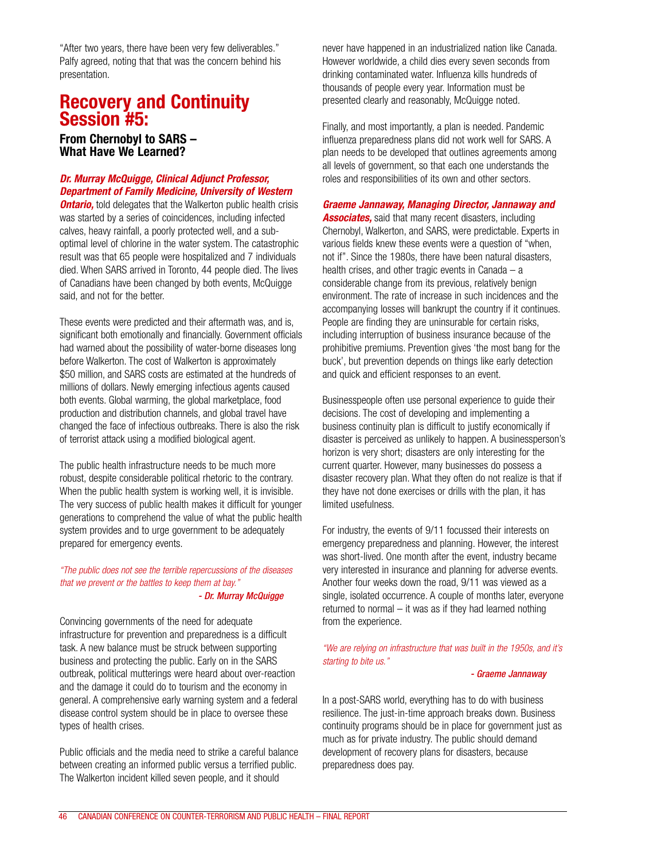"After two years, there have been very few deliverables." Palfy agreed, noting that that was the concern behind his presentation.

### **Recovery and Continuity Session #5:**

### **From Chernobyl to SARS – What Have We Learned?**

### *Dr. Murray McQuigge, Clinical Adjunct Professor, Department of Family Medicine, University of Western*

*Ontario,* told delegates that the Walkerton public health crisis was started by a series of coincidences, including infected calves, heavy rainfall, a poorly protected well, and a suboptimal level of chlorine in the water system. The catastrophic result was that 65 people were hospitalized and 7 individuals died. When SARS arrived in Toronto, 44 people died. The lives of Canadians have been changed by both events, McQuigge said, and not for the better.

These events were predicted and their aftermath was, and is, significant both emotionally and financially. Government officials had warned about the possibility of water-borne diseases long before Walkerton. The cost of Walkerton is approximately \$50 million, and SARS costs are estimated at the hundreds of millions of dollars. Newly emerging infectious agents caused both events. Global warming, the global marketplace, food production and distribution channels, and global travel have changed the face of infectious outbreaks. There is also the risk of terrorist attack using a modified biological agent.

The public health infrastructure needs to be much more robust, despite considerable political rhetoric to the contrary. When the public health system is working well, it is invisible. The very success of public health makes it difficult for younger generations to comprehend the value of what the public health system provides and to urge government to be adequately prepared for emergency events.

### *"The public does not see the terrible repercussions of the diseases that we prevent or the battles to keep them at bay." - Dr. Murray McQuigge*

Convincing governments of the need for adequate infrastructure for prevention and preparedness is a difficult task. A new balance must be struck between supporting business and protecting the public. Early on in the SARS outbreak, political mutterings were heard about over-reaction and the damage it could do to tourism and the economy in general. A comprehensive early warning system and a federal disease control system should be in place to oversee these types of health crises.

Public officials and the media need to strike a careful balance between creating an informed public versus a terrified public. The Walkerton incident killed seven people, and it should

never have happened in an industrialized nation like Canada. However worldwide, a child dies every seven seconds from drinking contaminated water. Influenza kills hundreds of thousands of people every year. Information must be presented clearly and reasonably, McQuigge noted.

Finally, and most importantly, a plan is needed. Pandemic influenza preparedness plans did not work well for SARS. A plan needs to be developed that outlines agreements among all levels of government, so that each one understands the roles and responsibilities of its own and other sectors.

### *Graeme Jannaway, Managing Director, Jannaway and*

*Associates,* said that many recent disasters, including Chernobyl, Walkerton, and SARS, were predictable. Experts in various fields knew these events were a question of "when, not if". Since the 1980s, there have been natural disasters, health crises, and other tragic events in Canada – a considerable change from its previous, relatively benign environment. The rate of increase in such incidences and the accompanying losses will bankrupt the country if it continues. People are finding they are uninsurable for certain risks, including interruption of business insurance because of the prohibitive premiums. Prevention gives 'the most bang for the buck', but prevention depends on things like early detection and quick and efficient responses to an event.

Businesspeople often use personal experience to guide their decisions. The cost of developing and implementing a business continuity plan is difficult to justify economically if disaster is perceived as unlikely to happen. A businessperson's horizon is very short; disasters are only interesting for the current quarter. However, many businesses do possess a disaster recovery plan. What they often do not realize is that if they have not done exercises or drills with the plan, it has limited usefulness.

For industry, the events of 9/11 focussed their interests on emergency preparedness and planning. However, the interest was short-lived. One month after the event, industry became very interested in insurance and planning for adverse events. Another four weeks down the road, 9/11 was viewed as a single, isolated occurrence. A couple of months later, everyone returned to normal – it was as if they had learned nothing from the experience.

### *"We are relying on infrastructure that was built in the 1950s, and it's starting to bite us."*

### *- Graeme Jannaway*

In a post-SARS world, everything has to do with business resilience. The just-in-time approach breaks down. Business continuity programs should be in place for government just as much as for private industry. The public should demand development of recovery plans for disasters, because preparedness does pay.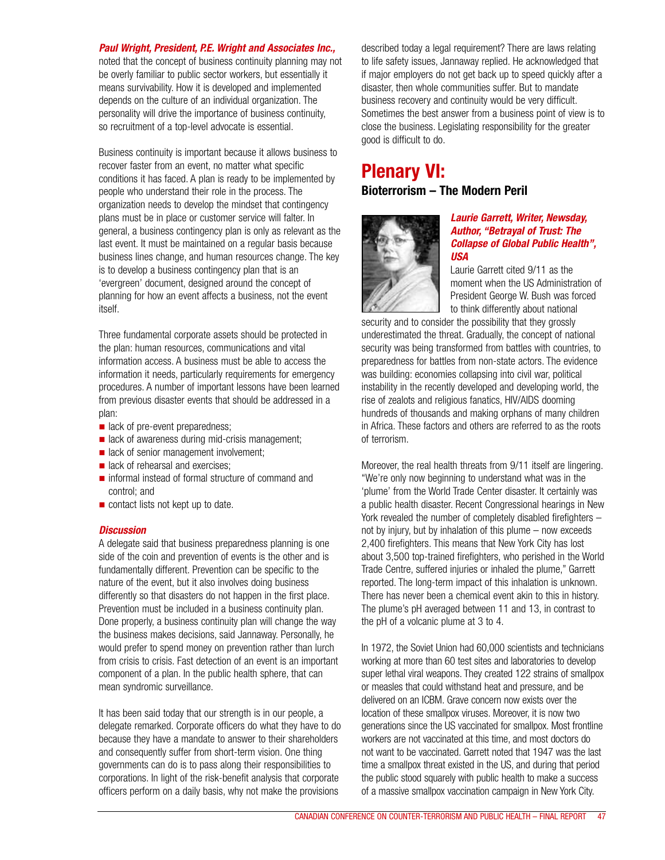### *Paul Wright, President, P.E. Wright and Associates Inc.,*

noted that the concept of business continuity planning may not be overly familiar to public sector workers, but essentially it means survivability. How it is developed and implemented depends on the culture of an individual organization. The personality will drive the importance of business continuity, so recruitment of a top-level advocate is essential.

Business continuity is important because it allows business to recover faster from an event, no matter what specific conditions it has faced. A plan is ready to be implemented by people who understand their role in the process. The organization needs to develop the mindset that contingency plans must be in place or customer service will falter. In general, a business contingency plan is only as relevant as the last event. It must be maintained on a regular basis because business lines change, and human resources change. The key is to develop a business contingency plan that is an 'evergreen' document, designed around the concept of planning for how an event affects a business, not the event itself.

Three fundamental corporate assets should be protected in the plan: human resources, communications and vital information access. A business must be able to access the information it needs, particularly requirements for emergency procedures. A number of important lessons have been learned from previous disaster events that should be addressed in a plan:

- lack of pre-event preparedness;
- $\blacksquare$  lack of awareness during mid-crisis management;
- $\blacksquare$  lack of senior management involvement;
- $\blacksquare$  lack of rehearsal and exercises;
- $\blacksquare$  informal instead of formal structure of command and control; and
- $\blacksquare$  contact lists not kept up to date.

### *Discussion*

A delegate said that business preparedness planning is one side of the coin and prevention of events is the other and is fundamentally different. Prevention can be specific to the nature of the event, but it also involves doing business differently so that disasters do not happen in the first place. Prevention must be included in a business continuity plan. Done properly, a business continuity plan will change the way the business makes decisions, said Jannaway. Personally, he would prefer to spend money on prevention rather than lurch from crisis to crisis. Fast detection of an event is an important component of a plan. In the public health sphere, that can mean syndromic surveillance.

It has been said today that our strength is in our people, a delegate remarked. Corporate officers do what they have to do because they have a mandate to answer to their shareholders and consequently suffer from short-term vision. One thing governments can do is to pass along their responsibilities to corporations. In light of the risk-benefit analysis that corporate officers perform on a daily basis, why not make the provisions

described today a legal requirement? There are laws relating to life safety issues, Jannaway replied. He acknowledged that if major employers do not get back up to speed quickly after a disaster, then whole communities suffer. But to mandate business recovery and continuity would be very difficult. Sometimes the best answer from a business point of view is to close the business. Legislating responsibility for the greater good is difficult to do.

## **Plenary VI:**

**Bioterrorism – The Modern Peril**



### *Laurie Garrett, Writer, Newsday, Author, "Betrayal of Trust: The Collapse of Global Public Health", USA*

Laurie Garrett cited 9/11 as the moment when the US Administration of President George W. Bush was forced to think differently about national

security and to consider the possibility that they grossly underestimated the threat. Gradually, the concept of national security was being transformed from battles with countries, to preparedness for battles from non-state actors. The evidence was building: economies collapsing into civil war, political instability in the recently developed and developing world, the rise of zealots and religious fanatics, HIV/AIDS dooming hundreds of thousands and making orphans of many children in Africa. These factors and others are referred to as the roots of terrorism.

Moreover, the real health threats from 9/11 itself are lingering. "We're only now beginning to understand what was in the 'plume' from the World Trade Center disaster. It certainly was a public health disaster. Recent Congressional hearings in New York revealed the number of completely disabled firefighters – not by injury, but by inhalation of this plume – now exceeds 2,400 firefighters. This means that New York City has lost about 3,500 top-trained firefighters, who perished in the World Trade Centre, suffered injuries or inhaled the plume," Garrett reported. The long-term impact of this inhalation is unknown. There has never been a chemical event akin to this in history. The plume's pH averaged between 11 and 13, in contrast to the pH of a volcanic plume at 3 to 4.

In 1972, the Soviet Union had 60,000 scientists and technicians working at more than 60 test sites and laboratories to develop super lethal viral weapons. They created 122 strains of smallpox or measles that could withstand heat and pressure, and be delivered on an ICBM. Grave concern now exists over the location of these smallpox viruses. Moreover, it is now two generations since the US vaccinated for smallpox. Most frontline workers are not vaccinated at this time, and most doctors do not want to be vaccinated. Garrett noted that 1947 was the last time a smallpox threat existed in the US, and during that period the public stood squarely with public health to make a success of a massive smallpox vaccination campaign in New York City.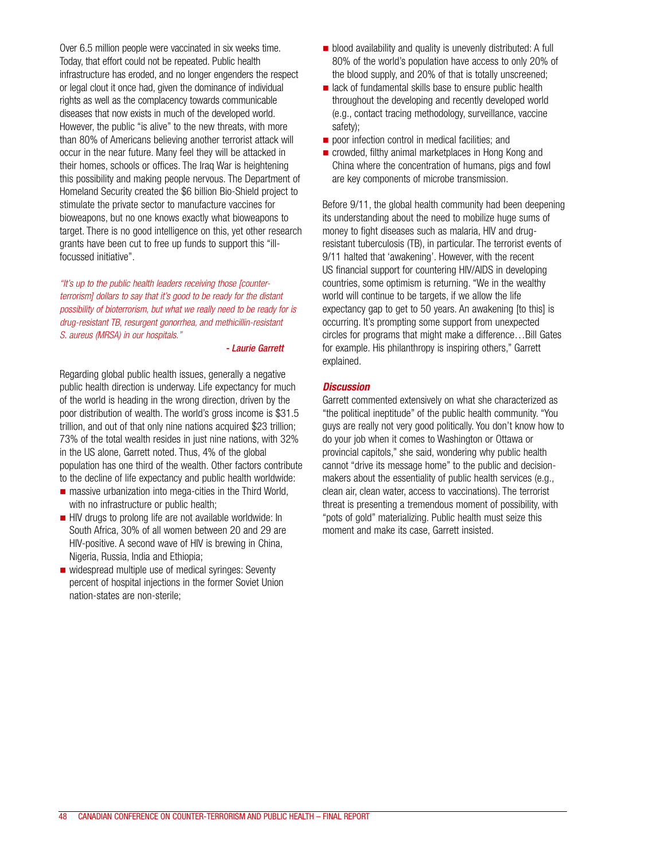Over 6.5 million people were vaccinated in six weeks time. Today, that effort could not be repeated. Public health infrastructure has eroded, and no longer engenders the respect or legal clout it once had, given the dominance of individual rights as well as the complacency towards communicable diseases that now exists in much of the developed world. However, the public "is alive" to the new threats, with more than 80% of Americans believing another terrorist attack will occur in the near future. Many feel they will be attacked in their homes, schools or offices. The Iraq War is heightening this possibility and making people nervous. The Department of Homeland Security created the \$6 billion Bio-Shield project to stimulate the private sector to manufacture vaccines for bioweapons, but no one knows exactly what bioweapons to target. There is no good intelligence on this, yet other research grants have been cut to free up funds to support this "illfocussed initiative".

*"It's up to the public health leaders receiving those [counterterrorism] dollars to say that it's good to be ready for the distant possibility of bioterrorism, but what we really need to be ready for is drug-resistant TB, resurgent gonorrhea, and methicillin-resistant S. aureus (MRSA) in our hospitals."*

*- Laurie Garrett*

Regarding global public health issues, generally a negative public health direction is underway. Life expectancy for much of the world is heading in the wrong direction, driven by the poor distribution of wealth. The world's gross income is \$31.5 trillion, and out of that only nine nations acquired \$23 trillion; 73% of the total wealth resides in just nine nations, with 32% in the US alone, Garrett noted. Thus, 4% of the global population has one third of the wealth. Other factors contribute to the decline of life expectancy and public health worldwide:

- $\blacksquare$  massive urbanization into mega-cities in the Third World, with no infrastructure or public health:
- $\blacksquare$  HIV drugs to prolong life are not available worldwide: In South Africa, 30% of all women between 20 and 29 are HIV-positive. A second wave of HIV is brewing in China, Nigeria, Russia, India and Ethiopia;
- $\blacksquare$  widespread multiple use of medical syringes: Seventy percent of hospital injections in the former Soviet Union nation-states are non-sterile;
- $\blacksquare$  blood availability and quality is unevenly distributed: A full 80% of the world's population have access to only 20% of the blood supply, and 20% of that is totally unscreened;
- $\blacksquare$  lack of fundamental skills base to ensure public health throughout the developing and recently developed world (e.g., contact tracing methodology, surveillance, vaccine safety);
- $\blacksquare$  poor infection control in medical facilities; and
- $\blacksquare$  crowded, filthy animal marketplaces in Hong Kong and China where the concentration of humans, pigs and fowl are key components of microbe transmission.

Before 9/11, the global health community had been deepening its understanding about the need to mobilize huge sums of money to fight diseases such as malaria, HIV and drugresistant tuberculosis (TB), in particular. The terrorist events of 9/11 halted that 'awakening'. However, with the recent US financial support for countering HIV/AIDS in developing countries, some optimism is returning. "We in the wealthy world will continue to be targets, if we allow the life expectancy gap to get to 50 years. An awakening [to this] is occurring. It's prompting some support from unexpected circles for programs that might make a difference…Bill Gates for example. His philanthropy is inspiring others," Garrett explained.

### *Discussion*

Garrett commented extensively on what she characterized as "the political ineptitude" of the public health community. "You guys are really not very good politically. You don't know how to do your job when it comes to Washington or Ottawa or provincial capitols," she said, wondering why public health cannot "drive its message home" to the public and decisionmakers about the essentiality of public health services (e.g., clean air, clean water, access to vaccinations). The terrorist threat is presenting a tremendous moment of possibility, with "pots of gold" materializing. Public health must seize this moment and make its case, Garrett insisted.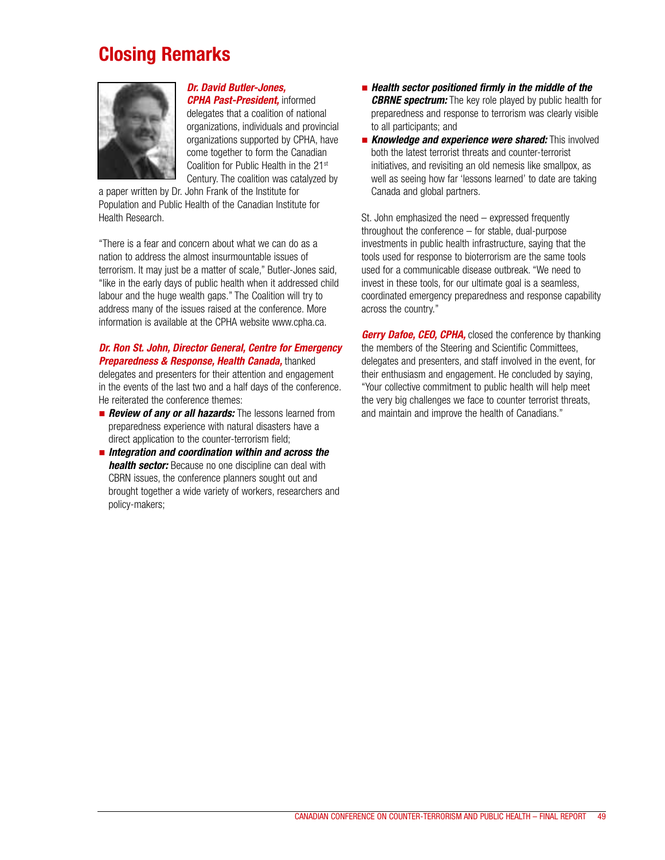## **Closing Remarks**



### *Dr. David Butler-Jones,*

*CPHA Past-President,* informed delegates that a coalition of national organizations, individuals and provincial organizations supported by CPHA, have come together to form the Canadian Coalition for Public Health in the 21st Century. The coalition was catalyzed by

a paper written by Dr. John Frank of the Institute for Population and Public Health of the Canadian Institute for Health Research.

"There is a fear and concern about what we can do as a nation to address the almost insurmountable issues of terrorism. It may just be a matter of scale," Butler-Jones said, "like in the early days of public health when it addressed child labour and the huge wealth gaps." The Coalition will try to address many of the issues raised at the conference. More information is available at the CPHA website www.cpha.ca.

### *Dr. Ron St. John, Director General, Centre for Emergency Preparedness & Response, Health Canada,* thanked

delegates and presenters for their attention and engagement in the events of the last two and a half days of the conference. He reiterated the conference themes:

- **E** Review of any or all hazards: The lessons learned from preparedness experience with natural disasters have a direct application to the counter-terrorism field;
- $\blacksquare$  *Integration and coordination within and across the* **health sector:** Because no one discipline can deal with CBRN issues, the conference planners sought out and brought together a wide variety of workers, researchers and policy-makers;
- *Health sector positioned firmly in the middle of the CBRNE spectrum:* The key role played by public health for preparedness and response to terrorism was clearly visible to all participants; and
- **E** *Knowledge and experience were shared:* This involved both the latest terrorist threats and counter-terrorist initiatives, and revisiting an old nemesis like smallpox, as well as seeing how far 'lessons learned' to date are taking Canada and global partners.

St. John emphasized the need – expressed frequently throughout the conference – for stable, dual-purpose investments in public health infrastructure, saying that the tools used for response to bioterrorism are the same tools used for a communicable disease outbreak. "We need to invest in these tools, for our ultimate goal is a seamless, coordinated emergency preparedness and response capability across the country."

*Gerry Dafoe, CEO, CPHA,* closed the conference by thanking the members of the Steering and Scientific Committees, delegates and presenters, and staff involved in the event, for their enthusiasm and engagement. He concluded by saying, "Your collective commitment to public health will help meet the very big challenges we face to counter terrorist threats, and maintain and improve the health of Canadians."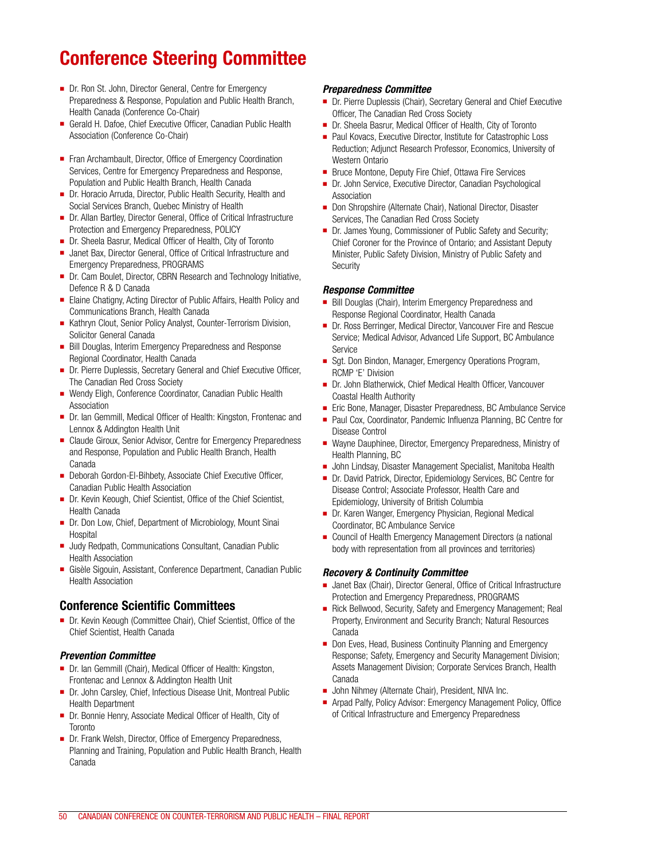## **Conference Steering Committee**

- Dr. Ron St. John, Director General, Centre for Emergency Preparedness & Response, Population and Public Health Branch, Health Canada (Conference Co-Chair)
- Gerald H. Dafoe, Chief Executive Officer, Canadian Public Health Association (Conference Co-Chair)
- Fran Archambault, Director, Office of Emergency Coordination Services, Centre for Emergency Preparedness and Response, Population and Public Health Branch, Health Canada
- Dr. Horacio Arruda, Director, Public Health Security, Health and Social Services Branch, Quebec Ministry of Health
- " Dr. Allan Bartley, Director General, Office of Critical Infrastructure Protection and Emergency Preparedness, POLICY
- Dr. Sheela Basrur, Medical Officer of Health, City of Toronto
- Janet Bax, Director General, Office of Critical Infrastructure and Emergency Preparedness, PROGRAMS
- Dr. Cam Boulet, Director, CBRN Research and Technology Initiative, Defence R & D Canada
- Elaine Chatigny, Acting Director of Public Affairs, Health Policy and Communications Branch, Health Canada
- Kathryn Clout, Senior Policy Analyst, Counter-Terrorism Division, Solicitor General Canada
- **Bill Douglas, Interim Emergency Preparedness and Response** Regional Coordinator, Health Canada
- **Dr. Pierre Duplessis, Secretary General and Chief Executive Officer,** The Canadian Red Cross Society
- " Wendy Eligh, Conference Coordinator, Canadian Public Health Association
- Dr. Ian Gemmill, Medical Officer of Health: Kingston, Frontenac and Lennox & Addington Health Unit
- Claude Giroux, Senior Advisor, Centre for Emergency Preparedness and Response, Population and Public Health Branch, Health Canada
- **-** Deborah Gordon-El-Bihbety, Associate Chief Executive Officer, Canadian Public Health Association
- Dr. Kevin Keough, Chief Scientist, Office of the Chief Scientist, Health Canada
- Dr. Don Low, Chief, Department of Microbiology, Mount Sinai **Hospital**
- Uudy Redpath, Communications Consultant, Canadian Public Health Association
- Gisèle Sigouin, Assistant, Conference Department, Canadian Public Health Association

### **Conference Scientific Committees**

■ Dr. Kevin Keough (Committee Chair), Chief Scientist, Office of the Chief Scientist, Health Canada

### *Prevention Committee*

- Dr. Ian Gemmill (Chair), Medical Officer of Health: Kingston, Frontenac and Lennox & Addington Health Unit
- **Dr. John Carsley, Chief, Infectious Disease Unit, Montreal Public** Health Department
- **Dr. Bonnie Henry, Associate Medical Officer of Health, City of Toronto**
- Dr. Frank Welsh, Director, Office of Emergency Preparedness, Planning and Training, Population and Public Health Branch, Health Canada

### *Preparedness Committee*

- **Dr. Pierre Duplessis (Chair), Secretary General and Chief Executive** Officer, The Canadian Red Cross Society
- Dr. Sheela Basrur, Medical Officer of Health, City of Toronto
- " Paul Kovacs, Executive Director, Institute for Catastrophic Loss Reduction; Adjunct Research Professor, Economics, University of Western Ontario
- **Bruce Montone, Deputy Fire Chief, Ottawa Fire Services**
- Dr. John Service, Executive Director, Canadian Psychological Association
- **Don Shropshire (Alternate Chair), National Director, Disaster** Services, The Canadian Red Cross Society
- Dr. James Young, Commissioner of Public Safety and Security; Chief Coroner for the Province of Ontario; and Assistant Deputy Minister, Public Safety Division, Ministry of Public Safety and **Security**

### *Response Committee*

- **Bill Douglas (Chair), Interim Emergency Preparedness and** Response Regional Coordinator, Health Canada
- Dr. Ross Berringer, Medical Director, Vancouver Fire and Rescue Service; Medical Advisor, Advanced Life Support, BC Ambulance Service
- Sgt. Don Bindon, Manager, Emergency Operations Program, RCMP 'E' Division
- Dr. John Blatherwick, Chief Medical Health Officer, Vancouver Coastal Health Authority
- Eric Bone, Manager, Disaster Preparedness, BC Ambulance Service
- **Paul Cox, Coordinator, Pandemic Influenza Planning, BC Centre for** Disease Control
- " Wayne Dauphinee, Director, Emergency Preparedness, Ministry of Health Planning, BC
- **John Lindsay, Disaster Management Specialist, Manitoba Health**
- Dr. David Patrick, Director, Epidemiology Services, BC Centre for Disease Control; Associate Professor, Health Care and Epidemiology, University of British Columbia
- **Dr. Karen Wanger, Emergency Physician, Regional Medical** Coordinator, BC Ambulance Service
- **E** Council of Health Emergency Management Directors (a national body with representation from all provinces and territories)

### *Recovery & Continuity Committee*

- Janet Bax (Chair), Director General, Office of Critical Infrastructure Protection and Emergency Preparedness, PROGRAMS
- Rick Bellwood, Security, Safety and Emergency Management; Real Property, Environment and Security Branch; Natural Resources Canada
- **Don Eves, Head, Business Continuity Planning and Emergency** Response; Safety, Emergency and Security Management Division; Assets Management Division; Corporate Services Branch, Health Canada
- **DED** John Nihmey (Alternate Chair), President, NIVA Inc.
- **EXECT** Arpad Palfy, Policy Advisor: Emergency Management Policy, Office of Critical Infrastructure and Emergency Preparedness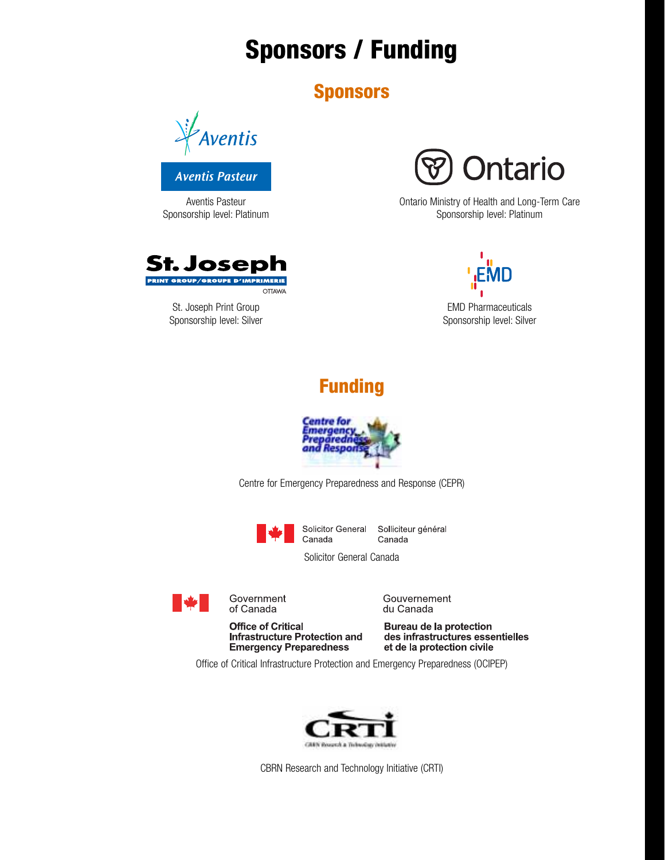# **Sponsors / Funding**

## **Sponsors**



**Aventis Pasteur** 



Aventis Pasteur **Career Career Career Career Career Career Career Career Career Career Career Career Career Care** Sponsorship level: Platinum Sponsorship level: Platinum Sponsorship level: Platinum



St. Joseph Print Group **EMD** Pharmaceuticals Sponsorship level: Silver Sponsorship level: Silver



## **Funding**



Centre for Emergency Preparedness and Response (CEPR)



Solicitor General Solliciteur général Canada

Solicitor General Canada



Government of Canada

**Office of Critical Infrastructure Protection and<br>Emergency Preparedness**  Gouvernement du Canada

Bureau de la protection des infrastructures essentielles et de la protection civile

Office of Critical Infrastructure Protection and Emergency Preparedness (OCIPEP)



CBRN Research and Technology Initiative (CRTI)